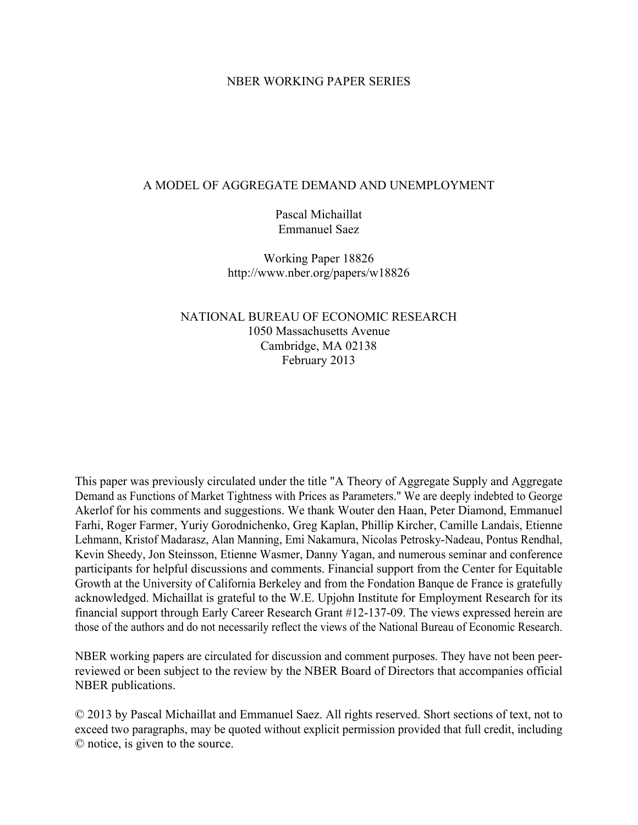#### NBER WORKING PAPER SERIES

#### A MODEL OF AGGREGATE DEMAND AND UNEMPLOYMENT

Pascal Michaillat Emmanuel Saez

Working Paper 18826 http://www.nber.org/papers/w18826

NATIONAL BUREAU OF ECONOMIC RESEARCH 1050 Massachusetts Avenue Cambridge, MA 02138 February 2013

This paper was previously circulated under the title "A Theory of Aggregate Supply and Aggregate Demand as Functions of Market Tightness with Prices as Parameters." We are deeply indebted to George Akerlof for his comments and suggestions. We thank Wouter den Haan, Peter Diamond, Emmanuel Farhi, Roger Farmer, Yuriy Gorodnichenko, Greg Kaplan, Phillip Kircher, Camille Landais, Etienne Lehmann, Kristof Madarasz, Alan Manning, Emi Nakamura, Nicolas Petrosky-Nadeau, Pontus Rendhal, Kevin Sheedy, Jon Steinsson, Etienne Wasmer, Danny Yagan, and numerous seminar and conference participants for helpful discussions and comments. Financial support from the Center for Equitable Growth at the University of California Berkeley and from the Fondation Banque de France is gratefully acknowledged. Michaillat is grateful to the W.E. Upjohn Institute for Employment Research for its financial support through Early Career Research Grant #12-137-09. The views expressed herein are those of the authors and do not necessarily reflect the views of the National Bureau of Economic Research.

NBER working papers are circulated for discussion and comment purposes. They have not been peerreviewed or been subject to the review by the NBER Board of Directors that accompanies official NBER publications.

© 2013 by Pascal Michaillat and Emmanuel Saez. All rights reserved. Short sections of text, not to exceed two paragraphs, may be quoted without explicit permission provided that full credit, including © notice, is given to the source.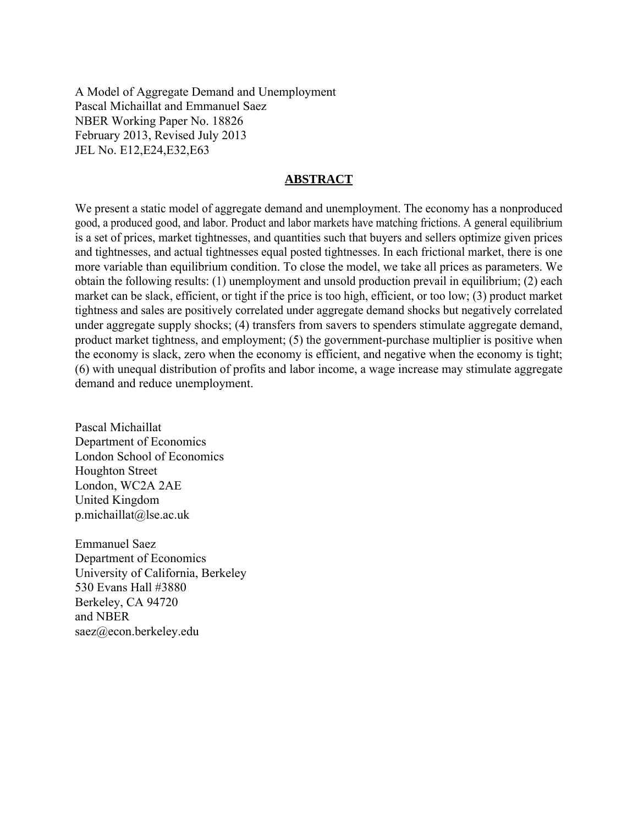A Model of Aggregate Demand and Unemployment Pascal Michaillat and Emmanuel Saez NBER Working Paper No. 18826 February 2013, Revised July 2013 JEL No. E12,E24,E32,E63

### **ABSTRACT**

We present a static model of aggregate demand and unemployment. The economy has a nonproduced good, a produced good, and labor. Product and labor markets have matching frictions. A general equilibrium is a set of prices, market tightnesses, and quantities such that buyers and sellers optimize given prices and tightnesses, and actual tightnesses equal posted tightnesses. In each frictional market, there is one more variable than equilibrium condition. To close the model, we take all prices as parameters. We obtain the following results: (1) unemployment and unsold production prevail in equilibrium; (2) each market can be slack, efficient, or tight if the price is too high, efficient, or too low; (3) product market tightness and sales are positively correlated under aggregate demand shocks but negatively correlated under aggregate supply shocks; (4) transfers from savers to spenders stimulate aggregate demand, product market tightness, and employment; (5) the government-purchase multiplier is positive when the economy is slack, zero when the economy is efficient, and negative when the economy is tight; (6) with unequal distribution of profits and labor income, a wage increase may stimulate aggregate demand and reduce unemployment.

Pascal Michaillat Department of Economics London School of Economics Houghton Street London, WC2A 2AE United Kingdom p.michaillat@lse.ac.uk

Emmanuel Saez Department of Economics University of California, Berkeley 530 Evans Hall #3880 Berkeley, CA 94720 and NBER saez@econ.berkeley.edu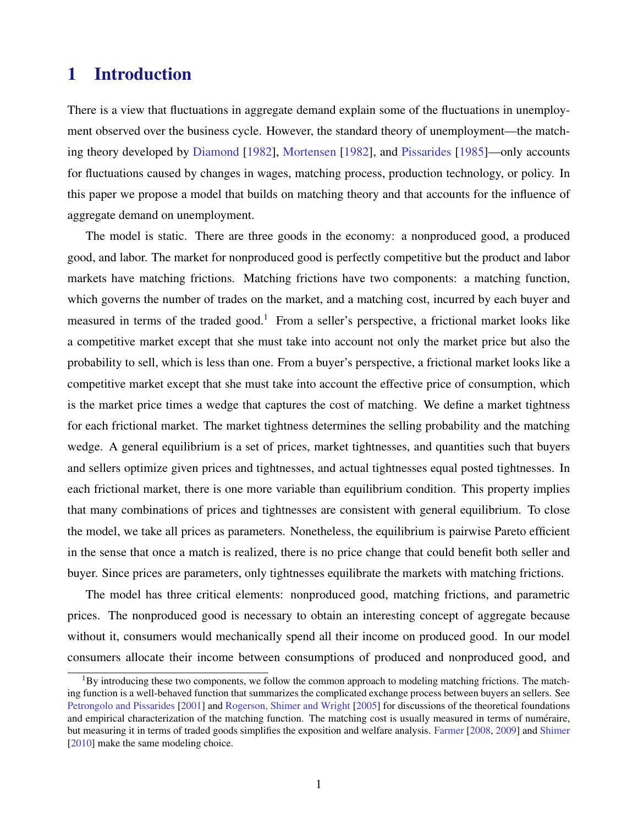# 1 Introduction

There is a view that fluctuations in aggregate demand explain some of the fluctuations in unemployment observed over the business cycle. However, the standard theory of unemployment—the matching theory developed by [Diamond](#page-44-0) [\[1982\]](#page-44-0), [Mortensen](#page-45-0) [\[1982\]](#page-45-0), and [Pissarides](#page-45-0) [\[1985\]](#page-45-0)—only accounts for fluctuations caused by changes in wages, matching process, production technology, or policy. In this paper we propose a model that builds on matching theory and that accounts for the influence of aggregate demand on unemployment.

The model is static. There are three goods in the economy: a nonproduced good, a produced good, and labor. The market for nonproduced good is perfectly competitive but the product and labor markets have matching frictions. Matching frictions have two components: a matching function, which governs the number of trades on the market, and a matching cost, incurred by each buyer and measured in terms of the traded good.<sup>1</sup> From a seller's perspective, a frictional market looks like a competitive market except that she must take into account not only the market price but also the probability to sell, which is less than one. From a buyer's perspective, a frictional market looks like a competitive market except that she must take into account the effective price of consumption, which is the market price times a wedge that captures the cost of matching. We define a market tightness for each frictional market. The market tightness determines the selling probability and the matching wedge. A general equilibrium is a set of prices, market tightnesses, and quantities such that buyers and sellers optimize given prices and tightnesses, and actual tightnesses equal posted tightnesses. In each frictional market, there is one more variable than equilibrium condition. This property implies that many combinations of prices and tightnesses are consistent with general equilibrium. To close the model, we take all prices as parameters. Nonetheless, the equilibrium is pairwise Pareto efficient in the sense that once a match is realized, there is no price change that could benefit both seller and buyer. Since prices are parameters, only tightnesses equilibrate the markets with matching frictions.

The model has three critical elements: nonproduced good, matching frictions, and parametric prices. The nonproduced good is necessary to obtain an interesting concept of aggregate because without it, consumers would mechanically spend all their income on produced good. In our model consumers allocate their income between consumptions of produced and nonproduced good, and

 ${}^{1}$ By introducing these two components, we follow the common approach to modeling matching frictions. The matching function is a well-behaved function that summarizes the complicated exchange process between buyers an sellers. See [Petrongolo and Pissarides](#page-45-0) [\[2001\]](#page-45-0) and [Rogerson, Shimer and Wright](#page-45-0) [\[2005\]](#page-45-0) for discussions of the theoretical foundations and empirical characterization of the matching function. The matching cost is usually measured in terms of numéraire, but measuring it in terms of traded goods simplifies the exposition and welfare analysis. [Farmer](#page-44-0) [\[2008,](#page-44-0) [2009\]](#page-44-0) and [Shimer](#page-45-0) [\[2010\]](#page-45-0) make the same modeling choice.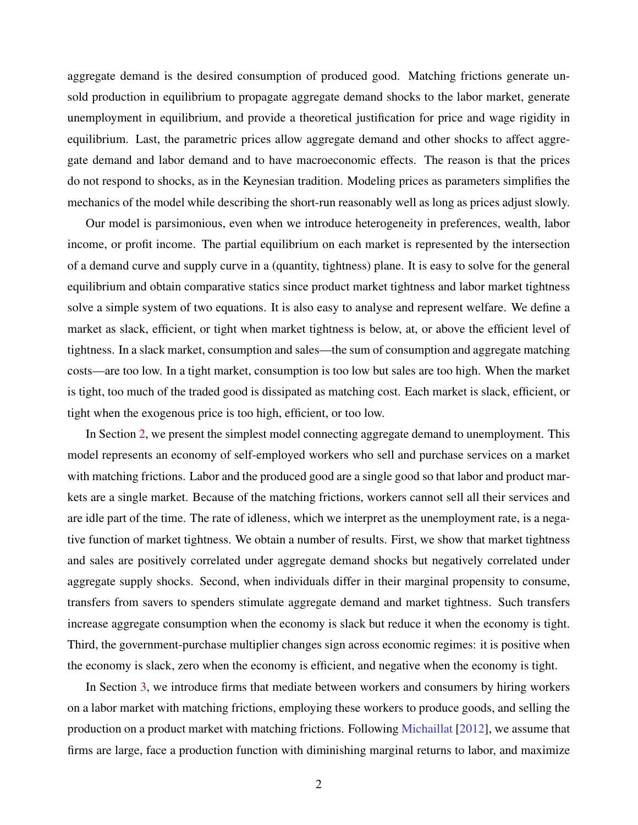aggregate demand is the desired consumption of produced good. Matching frictions generate unsold production in equilibrium to propagate aggregate demand shocks to the labor market, generate unemployment in equilibrium, and provide a theoretical justification for price and wage rigidity in equilibrium. Last, the parametric prices allow aggregate demand and other shocks to affect aggregate demand and labor demand and to have macroeconomic effects. The reason is that the prices do not respond to shocks, as in the Keynesian tradition. Modeling prices as parameters simplifies the mechanics of the model while describing the short-run reasonably well as long as prices adjust slowly.

Our model is parsimonious, even when we introduce heterogeneity in preferences, wealth, labor income, or profit income. The partial equilibrium on each market is represented by the intersection of a demand curve and supply curve in a (quantity, tightness) plane. It is easy to solve for the general equilibrium and obtain comparative statics since product market tightness and labor market tightness solve a simple system of two equations. It is also easy to analyse and represent welfare. We define a market as slack, efficient, or tight when market tightness is below, at, or above the efficient level of tightness. In a slack market, consumption and sales—the sum of consumption and aggregate matching costs—are too low. In a tight market, consumption is too low but sales are too high. When the market is tight, too much of the traded good is dissipated as matching cost. Each market is slack, efficient, or tight when the exogenous price is too high, efficient, or too low.

In Section [2,](#page-5-0) we present the simplest model connecting aggregate demand to unemployment. This model represents an economy of self-employed workers who sell and purchase services on a market with matching frictions. Labor and the produced good are a single good so that labor and product markets are a single market. Because of the matching frictions, workers cannot sell all their services and are idle part of the time. The rate of idleness, which we interpret as the unemployment rate, is a negative function of market tightness. We obtain a number of results. First, we show that market tightness and sales are positively correlated under aggregate demand shocks but negatively correlated under aggregate supply shocks. Second, when individuals differ in their marginal propensity to consume, transfers from savers to spenders stimulate aggregate demand and market tightness. Such transfers increase aggregate consumption when the economy is slack but reduce it when the economy is tight. Third, the government-purchase multiplier changes sign across economic regimes: it is positive when the economy is slack, zero when the economy is efficient, and negative when the economy is tight.

In Section [3,](#page-22-0) we introduce firms that mediate between workers and consumers by hiring workers on a labor market with matching frictions, employing these workers to produce goods, and selling the production on a product market with matching frictions. Following [Michaillat](#page-45-0) [\[2012\]](#page-45-0), we assume that firms are large, face a production function with diminishing marginal returns to labor, and maximize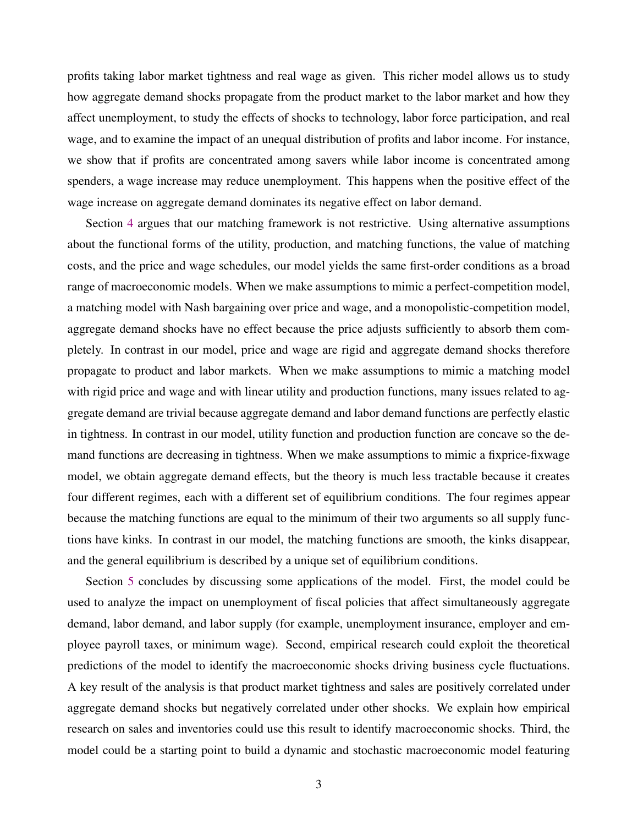profits taking labor market tightness and real wage as given. This richer model allows us to study how aggregate demand shocks propagate from the product market to the labor market and how they affect unemployment, to study the effects of shocks to technology, labor force participation, and real wage, and to examine the impact of an unequal distribution of profits and labor income. For instance, we show that if profits are concentrated among savers while labor income is concentrated among spenders, a wage increase may reduce unemployment. This happens when the positive effect of the wage increase on aggregate demand dominates its negative effect on labor demand.

Section [4](#page-34-0) argues that our matching framework is not restrictive. Using alternative assumptions about the functional forms of the utility, production, and matching functions, the value of matching costs, and the price and wage schedules, our model yields the same first-order conditions as a broad range of macroeconomic models. When we make assumptions to mimic a perfect-competition model, a matching model with Nash bargaining over price and wage, and a monopolistic-competition model, aggregate demand shocks have no effect because the price adjusts sufficiently to absorb them completely. In contrast in our model, price and wage are rigid and aggregate demand shocks therefore propagate to product and labor markets. When we make assumptions to mimic a matching model with rigid price and wage and with linear utility and production functions, many issues related to aggregate demand are trivial because aggregate demand and labor demand functions are perfectly elastic in tightness. In contrast in our model, utility function and production function are concave so the demand functions are decreasing in tightness. When we make assumptions to mimic a fixprice-fixwage model, we obtain aggregate demand effects, but the theory is much less tractable because it creates four different regimes, each with a different set of equilibrium conditions. The four regimes appear because the matching functions are equal to the minimum of their two arguments so all supply functions have kinks. In contrast in our model, the matching functions are smooth, the kinks disappear, and the general equilibrium is described by a unique set of equilibrium conditions.

Section [5](#page-42-0) concludes by discussing some applications of the model. First, the model could be used to analyze the impact on unemployment of fiscal policies that affect simultaneously aggregate demand, labor demand, and labor supply (for example, unemployment insurance, employer and employee payroll taxes, or minimum wage). Second, empirical research could exploit the theoretical predictions of the model to identify the macroeconomic shocks driving business cycle fluctuations. A key result of the analysis is that product market tightness and sales are positively correlated under aggregate demand shocks but negatively correlated under other shocks. We explain how empirical research on sales and inventories could use this result to identify macroeconomic shocks. Third, the model could be a starting point to build a dynamic and stochastic macroeconomic model featuring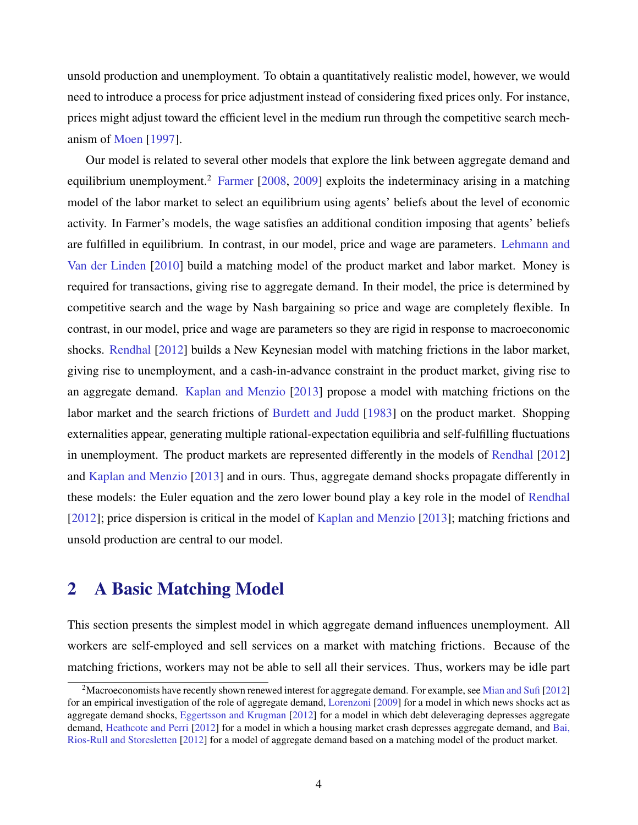<span id="page-5-0"></span>unsold production and unemployment. To obtain a quantitatively realistic model, however, we would need to introduce a process for price adjustment instead of considering fixed prices only. For instance, prices might adjust toward the efficient level in the medium run through the competitive search mechanism of [Moen](#page-45-0) [\[1997\]](#page-45-0).

Our model is related to several other models that explore the link between aggregate demand and equilibrium unemployment.<sup>2</sup> [Farmer](#page-44-0)  $[2008, 2009]$  $[2008, 2009]$  $[2008, 2009]$  exploits the indeterminacy arising in a matching model of the labor market to select an equilibrium using agents' beliefs about the level of economic activity. In Farmer's models, the wage satisfies an additional condition imposing that agents' beliefs are fulfilled in equilibrium. In contrast, in our model, price and wage are parameters. [Lehmann and](#page-45-0) [Van der Linden](#page-45-0) [\[2010\]](#page-45-0) build a matching model of the product market and labor market. Money is required for transactions, giving rise to aggregate demand. In their model, the price is determined by competitive search and the wage by Nash bargaining so price and wage are completely flexible. In contrast, in our model, price and wage are parameters so they are rigid in response to macroeconomic shocks. [Rendhal](#page-45-0) [\[2012\]](#page-45-0) builds a New Keynesian model with matching frictions in the labor market, giving rise to unemployment, and a cash-in-advance constraint in the product market, giving rise to an aggregate demand. [Kaplan and Menzio](#page-44-0) [\[2013\]](#page-44-0) propose a model with matching frictions on the labor market and the search frictions of [Burdett and Judd](#page-44-0) [\[1983\]](#page-44-0) on the product market. Shopping externalities appear, generating multiple rational-expectation equilibria and self-fulfilling fluctuations in unemployment. The product markets are represented differently in the models of [Rendhal](#page-45-0) [\[2012\]](#page-45-0) and [Kaplan and Menzio](#page-44-0) [\[2013\]](#page-44-0) and in ours. Thus, aggregate demand shocks propagate differently in these models: the Euler equation and the zero lower bound play a key role in the model of [Rendhal](#page-45-0) [\[2012\]](#page-45-0); price dispersion is critical in the model of [Kaplan and Menzio](#page-44-0) [\[2013\]](#page-44-0); matching frictions and unsold production are central to our model.

# 2 A Basic Matching Model

This section presents the simplest model in which aggregate demand influences unemployment. All workers are self-employed and sell services on a market with matching frictions. Because of the matching frictions, workers may not be able to sell all their services. Thus, workers may be idle part

<sup>&</sup>lt;sup>2</sup>Macroeconomists have recently shown renewed interest for aggregate demand. For example, see [Mian and Sufi](#page-45-0) [\[2012\]](#page-45-0) for an empirical investigation of the role of aggregate demand, [Lorenzoni](#page-45-0) [\[2009\]](#page-45-0) for a model in which news shocks act as aggregate demand shocks, [Eggertsson and Krugman](#page-44-0) [\[2012\]](#page-44-0) for a model in which debt deleveraging depresses aggregate demand, [Heathcote and Perri](#page-44-0) [\[2012\]](#page-44-0) for a model in which a housing market crash depresses aggregate demand, and [Bai,](#page-44-0) [Rios-Rull and Storesletten](#page-44-0) [\[2012\]](#page-44-0) for a model of aggregate demand based on a matching model of the product market.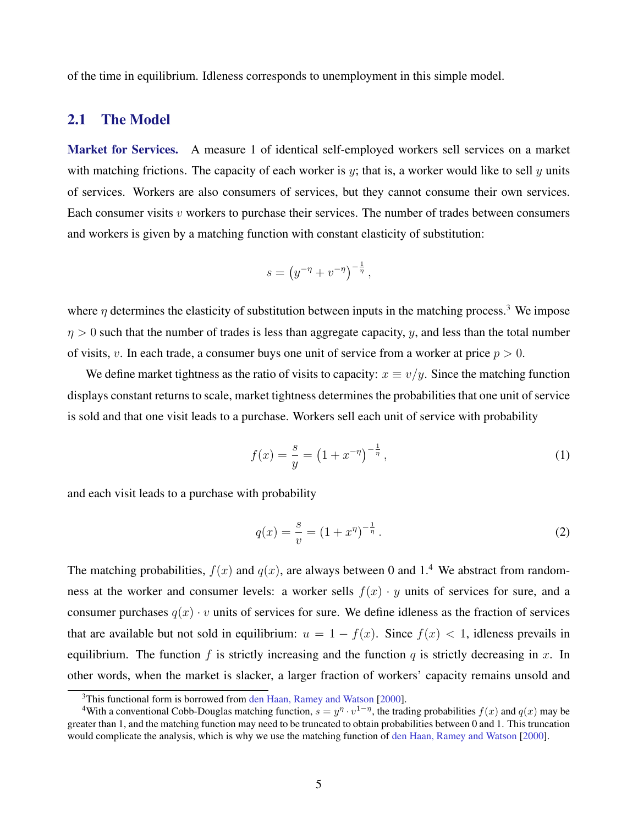<span id="page-6-0"></span>of the time in equilibrium. Idleness corresponds to unemployment in this simple model.

# 2.1 The Model

Market for Services. A measure 1 of identical self-employed workers sell services on a market with matching frictions. The capacity of each worker is  $y$ ; that is, a worker would like to sell  $y$  units of services. Workers are also consumers of services, but they cannot consume their own services. Each consumer visits  $v$  workers to purchase their services. The number of trades between consumers and workers is given by a matching function with constant elasticity of substitution:

$$
s = (y^{-\eta} + v^{-\eta})^{-\frac{1}{\eta}},
$$

where  $\eta$  determines the elasticity of substitution between inputs in the matching process.<sup>3</sup> We impose  $\eta > 0$  such that the number of trades is less than aggregate capacity, y, and less than the total number of visits, v. In each trade, a consumer buys one unit of service from a worker at price  $p > 0$ .

We define market tightness as the ratio of visits to capacity:  $x \equiv v/y$ . Since the matching function displays constant returns to scale, market tightness determines the probabilities that one unit of service is sold and that one visit leads to a purchase. Workers sell each unit of service with probability

$$
f(x) = \frac{s}{y} = \left(1 + x^{-\eta}\right)^{-\frac{1}{\eta}},\tag{1}
$$

and each visit leads to a purchase with probability

$$
q(x) = \frac{s}{v} = (1 + x^{\eta})^{-\frac{1}{\eta}}.
$$
 (2)

The matching probabilities,  $f(x)$  and  $g(x)$ , are always between 0 and 1.<sup>4</sup> We abstract from randomness at the worker and consumer levels: a worker sells  $f(x) \cdot y$  units of services for sure, and a consumer purchases  $q(x) \cdot v$  units of services for sure. We define idleness as the fraction of services that are available but not sold in equilibrium:  $u = 1 - f(x)$ . Since  $f(x) < 1$ , idleness prevails in equilibrium. The function f is strictly increasing and the function q is strictly decreasing in x. In other words, when the market is slacker, a larger fraction of workers' capacity remains unsold and

<sup>&</sup>lt;sup>3</sup>This functional form is borrowed from [den Haan, Ramey and Watson](#page-44-0) [\[2000\]](#page-44-0).

<sup>&</sup>lt;sup>4</sup>With a conventional Cobb-Douglas matching function,  $s = y^{\eta} \cdot v^{1-\eta}$ , the trading probabilities  $f(x)$  and  $q(x)$  may be greater than 1, and the matching function may need to be truncated to obtain probabilities between 0 and 1. This truncation would complicate the analysis, which is why we use the matching function of [den Haan, Ramey and Watson](#page-44-0) [\[2000\]](#page-44-0).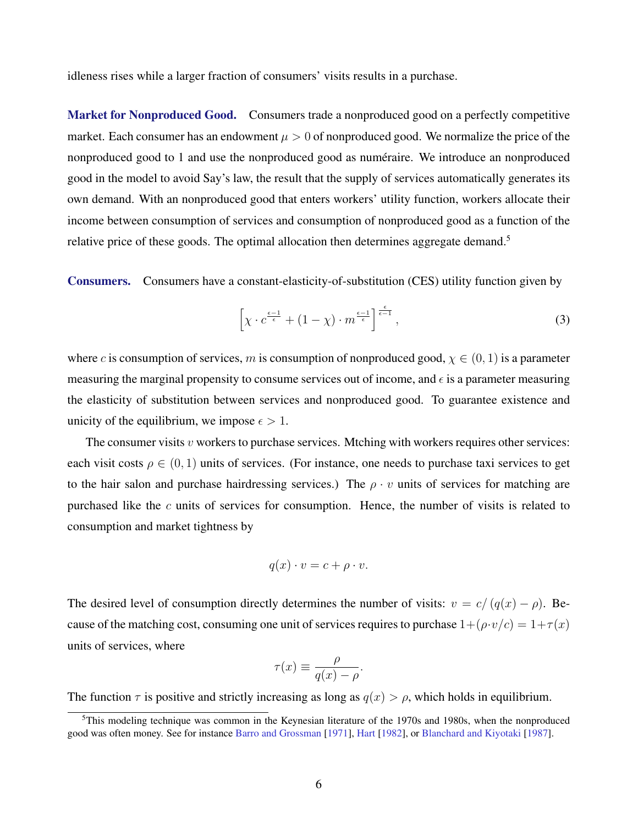<span id="page-7-0"></span>idleness rises while a larger fraction of consumers' visits results in a purchase.

Market for Nonproduced Good. Consumers trade a nonproduced good on a perfectly competitive market. Each consumer has an endowment  $\mu > 0$  of nonproduced good. We normalize the price of the nonproduced good to 1 and use the nonproduced good as numéraire. We introduce an nonproduced good in the model to avoid Say's law, the result that the supply of services automatically generates its own demand. With an nonproduced good that enters workers' utility function, workers allocate their income between consumption of services and consumption of nonproduced good as a function of the relative price of these goods. The optimal allocation then determines aggregate demand.<sup>5</sup>

Consumers. Consumers have a constant-elasticity-of-substitution (CES) utility function given by

$$
\left[\chi \cdot c^{\frac{\epsilon - 1}{\epsilon}} + (1 - \chi) \cdot m^{\frac{\epsilon - 1}{\epsilon}}\right]^{\frac{\epsilon}{\epsilon - 1}},\tag{3}
$$

where c is consumption of services, m is consumption of nonproduced good,  $\chi \in (0, 1)$  is a parameter measuring the marginal propensity to consume services out of income, and  $\epsilon$  is a parameter measuring the elasticity of substitution between services and nonproduced good. To guarantee existence and unicity of the equilibrium, we impose  $\epsilon > 1$ .

The consumer visits  $v$  workers to purchase services. Mtching with workers requires other services: each visit costs  $\rho \in (0, 1)$  units of services. (For instance, one needs to purchase taxi services to get to the hair salon and purchase hairdressing services.) The  $\rho \cdot v$  units of services for matching are purchased like the  $c$  units of services for consumption. Hence, the number of visits is related to consumption and market tightness by

$$
q(x) \cdot v = c + \rho \cdot v.
$$

The desired level of consumption directly determines the number of visits:  $v = c/(q(x) - \rho)$ . Because of the matching cost, consuming one unit of services requires to purchase  $1+(\rho \cdot v/c) = 1+\tau(x)$ units of services, where

$$
\tau(x) \equiv \frac{\rho}{q(x) - \rho}.
$$

The function  $\tau$  is positive and strictly increasing as long as  $q(x) > \rho$ , which holds in equilibrium.

<sup>&</sup>lt;sup>5</sup>This modeling technique was common in the Keynesian literature of the 1970s and 1980s, when the nonproduced good was often money. See for instance [Barro and Grossman](#page-44-0) [\[1971\]](#page-44-0), [Hart](#page-44-0) [\[1982\]](#page-44-0), or [Blanchard and Kiyotaki](#page-44-0) [\[1987\]](#page-44-0).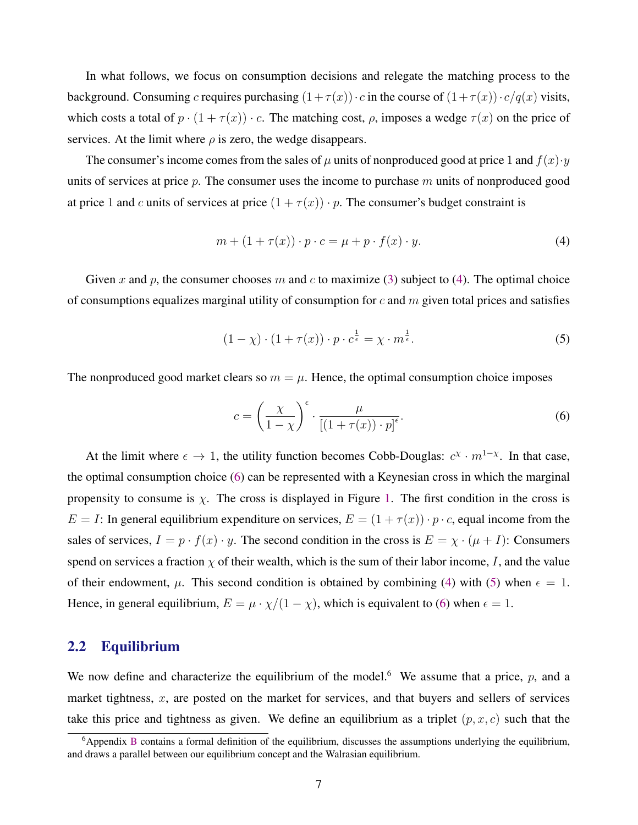<span id="page-8-0"></span>In what follows, we focus on consumption decisions and relegate the matching process to the background. Consuming c requires purchasing  $(1+\tau(x)) \cdot c$  in the course of  $(1+\tau(x)) \cdot c/q(x)$  visits, which costs a total of  $p \cdot (1 + \tau(x)) \cdot c$ . The matching cost,  $\rho$ , imposes a wedge  $\tau(x)$  on the price of services. At the limit where  $\rho$  is zero, the wedge disappears.

The consumer's income comes from the sales of  $\mu$  units of nonproduced good at price 1 and  $f(x) \cdot y$ units of services at price  $p$ . The consumer uses the income to purchase  $m$  units of nonproduced good at price 1 and c units of services at price  $(1 + \tau(x)) \cdot p$ . The consumer's budget constraint is

$$
m + (1 + \tau(x)) \cdot p \cdot c = \mu + p \cdot f(x) \cdot y. \tag{4}
$$

Given x and p, the consumer chooses m and c to maximize [\(3\)](#page-7-0) subject to (4). The optimal choice of consumptions equalizes marginal utility of consumption for  $c$  and  $m$  given total prices and satisfies

$$
(1 - \chi) \cdot (1 + \tau(x)) \cdot p \cdot c^{\frac{1}{\epsilon}} = \chi \cdot m^{\frac{1}{\epsilon}}.
$$
 (5)

The nonproduced good market clears so  $m = \mu$ . Hence, the optimal consumption choice imposes

$$
c = \left(\frac{\chi}{1-\chi}\right)^{\epsilon} \cdot \frac{\mu}{\left[(1+\tau(x))\cdot p\right]^{\epsilon}}.\tag{6}
$$

At the limit where  $\epsilon \to 1$ , the utility function becomes Cobb-Douglas:  $c^{\chi} \cdot m^{1-\chi}$ . In that case, the optimal consumption choice (6) can be represented with a Keynesian cross in which the marginal propensity to consume is  $\chi$ . The cross is displayed in Figure [1.](#page-9-0) The first condition in the cross is  $E = I$ : In general equilibrium expenditure on services,  $E = (1 + \tau(x)) \cdot p \cdot c$ , equal income from the sales of services,  $I = p \cdot f(x) \cdot y$ . The second condition in the cross is  $E = \chi \cdot (\mu + I)$ : Consumers spend on services a fraction  $\chi$  of their wealth, which is the sum of their labor income, I, and the value of their endowment,  $\mu$ . This second condition is obtained by combining (4) with (5) when  $\epsilon = 1$ . Hence, in general equilibrium,  $E = \mu \cdot \chi/(1 - \chi)$ , which is equivalent to (6) when  $\epsilon = 1$ .

### 2.2 Equilibrium

We now define and characterize the equilibrium of the model.<sup>6</sup> We assume that a price, p, and a market tightness,  $x$ , are posted on the market for services, and that buyers and sellers of services take this price and tightness as given. We define an equilibrium as a triplet  $(p, x, c)$  such that the

 $6A$ ppendix [B](#page-52-0) contains a formal definition of the equilibrium, discusses the assumptions underlying the equilibrium, and draws a parallel between our equilibrium concept and the Walrasian equilibrium.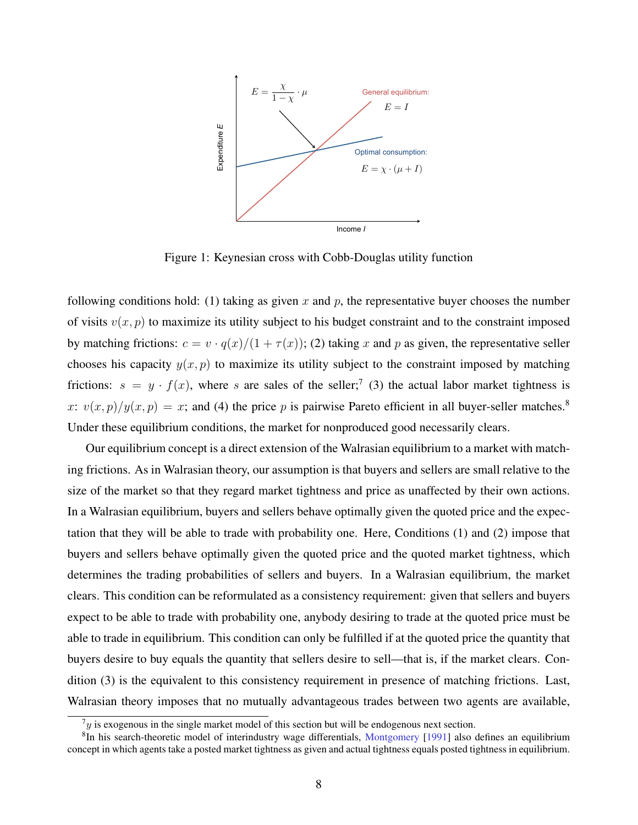<span id="page-9-0"></span>

Figure 1: Keynesian cross with Cobb-Douglas utility function

following conditions hold: (1) taking as given x and p, the representative buyer chooses the number of visits  $v(x, p)$  to maximize its utility subject to his budget constraint and to the constraint imposed by matching frictions:  $c = v \cdot q(x)/(1 + \tau(x))$ ; (2) taking x and p as given, the representative seller chooses his capacity  $y(x, p)$  to maximize its utility subject to the constraint imposed by matching frictions:  $s = y \cdot f(x)$ , where s are sales of the seller;<sup>7</sup> (3) the actual labor market tightness is x:  $v(x, p)/y(x, p) = x$ ; and (4) the price p is pairwise Pareto efficient in all buyer-seller matches.<sup>8</sup> Under these equilibrium conditions, the market for nonproduced good necessarily clears.

Our equilibrium concept is a direct extension of the Walrasian equilibrium to a market with matching frictions. As in Walrasian theory, our assumption is that buyers and sellers are small relative to the size of the market so that they regard market tightness and price as unaffected by their own actions. In a Walrasian equilibrium, buyers and sellers behave optimally given the quoted price and the expectation that they will be able to trade with probability one. Here, Conditions (1) and (2) impose that buyers and sellers behave optimally given the quoted price and the quoted market tightness, which determines the trading probabilities of sellers and buyers. In a Walrasian equilibrium, the market clears. This condition can be reformulated as a consistency requirement: given that sellers and buyers expect to be able to trade with probability one, anybody desiring to trade at the quoted price must be able to trade in equilibrium. This condition can only be fulfilled if at the quoted price the quantity that buyers desire to buy equals the quantity that sellers desire to sell—that is, if the market clears. Condition (3) is the equivalent to this consistency requirement in presence of matching frictions. Last, Walrasian theory imposes that no mutually advantageous trades between two agents are available,

 $7y$  is exogenous in the single market model of this section but will be endogenous next section.

<sup>&</sup>lt;sup>8</sup>In his search-theoretic model of interindustry wage differentials, [Montgomery](#page-45-0) [\[1991\]](#page-45-0) also defines an equilibrium concept in which agents take a posted market tightness as given and actual tightness equals posted tightness in equilibrium.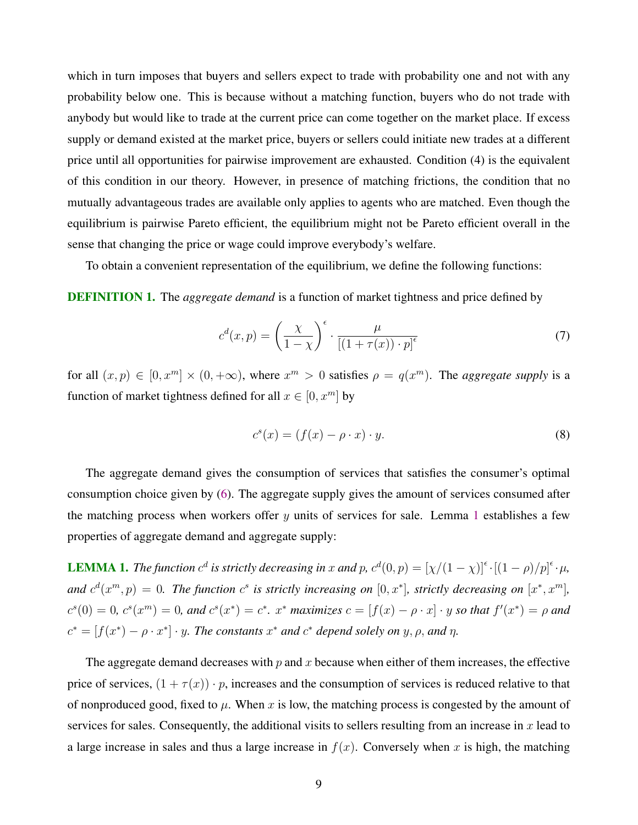<span id="page-10-0"></span>which in turn imposes that buyers and sellers expect to trade with probability one and not with any probability below one. This is because without a matching function, buyers who do not trade with anybody but would like to trade at the current price can come together on the market place. If excess supply or demand existed at the market price, buyers or sellers could initiate new trades at a different price until all opportunities for pairwise improvement are exhausted. Condition (4) is the equivalent of this condition in our theory. However, in presence of matching frictions, the condition that no mutually advantageous trades are available only applies to agents who are matched. Even though the equilibrium is pairwise Pareto efficient, the equilibrium might not be Pareto efficient overall in the sense that changing the price or wage could improve everybody's welfare.

To obtain a convenient representation of the equilibrium, we define the following functions:

DEFINITION 1. The *aggregate demand* is a function of market tightness and price defined by

$$
c^{d}(x,p) = \left(\frac{\chi}{1-\chi}\right)^{\epsilon} \cdot \frac{\mu}{\left[(1+\tau(x))\cdot p\right]^{\epsilon}}\tag{7}
$$

for all  $(x, p) \in [0, x^m] \times (0, +\infty)$ , where  $x^m > 0$  satisfies  $\rho = q(x^m)$ . The *aggregate supply* is a function of market tightness defined for all  $x \in [0, x^m]$  by

$$
c^{s}(x) = (f(x) - \rho \cdot x) \cdot y.
$$
 (8)

The aggregate demand gives the consumption of services that satisfies the consumer's optimal consumption choice given by [\(6\)](#page-8-0). The aggregate supply gives the amount of services consumed after the matching process when workers offer  $y$  units of services for sale. Lemma 1 establishes a few properties of aggregate demand and aggregate supply:

**LEMMA 1.** *The function*  $c^d$  *is strictly decreasing in* x *and* p,  $c^d(0, p) = [\chi/(1 - \chi)]^{\epsilon} \cdot [(1 - \rho)/p]^{\epsilon} \cdot \mu$ , and  $c^d(x^m, p) = 0$ . The function  $c^s$  is strictly increasing on  $[0, x^*]$ , strictly decreasing on  $[x^*, x^m]$ ,  $c^s(0) = 0$ ,  $c^s(x^m) = 0$ , and  $c^s(x^*) = c^*$ .  $x^*$  maximizes  $c = [f(x) - \rho \cdot x] \cdot y$  so that  $f'(x^*) = \rho$  and  $c^* = [f(x^*) - \rho \cdot x^*] \cdot y$ . The constants  $x^*$  and  $c^*$  depend solely on  $y, \rho$ , and  $\eta$ .

The aggregate demand decreases with  $p$  and  $x$  because when either of them increases, the effective price of services,  $(1 + \tau(x)) \cdot p$ , increases and the consumption of services is reduced relative to that of nonproduced good, fixed to  $\mu$ . When x is low, the matching process is congested by the amount of services for sales. Consequently, the additional visits to sellers resulting from an increase in  $x$  lead to a large increase in sales and thus a large increase in  $f(x)$ . Conversely when x is high, the matching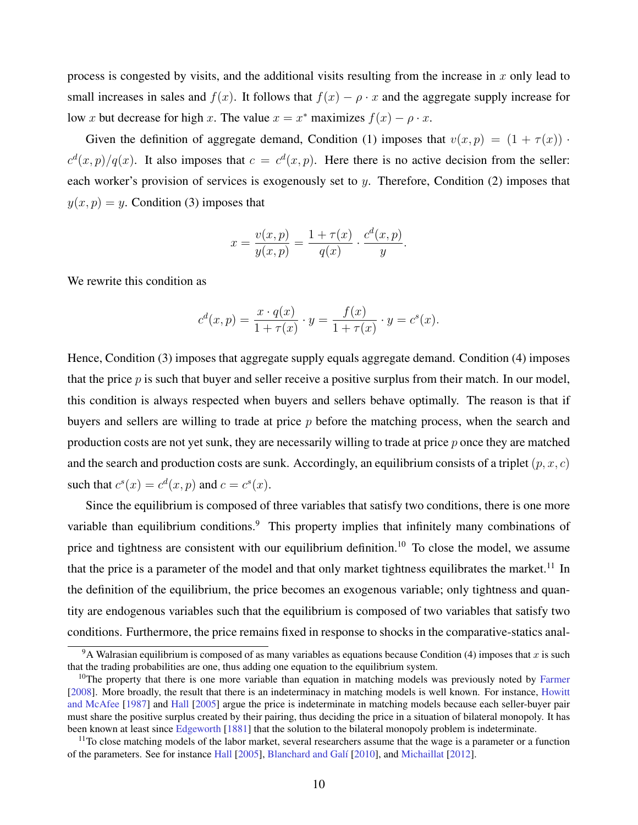process is congested by visits, and the additional visits resulting from the increase in x only lead to small increases in sales and  $f(x)$ . It follows that  $f(x) - \rho \cdot x$  and the aggregate supply increase for low x but decrease for high x. The value  $x = x^*$  maximizes  $f(x) - \rho \cdot x$ .

Given the definition of aggregate demand, Condition (1) imposes that  $v(x, p) = (1 + \tau(x))$ .  $c^d(x,p)/q(x)$ . It also imposes that  $c = c^d(x,p)$ . Here there is no active decision from the seller: each worker's provision of services is exogenously set to  $y$ . Therefore, Condition  $(2)$  imposes that  $y(x, p) = y$ . Condition (3) imposes that

$$
x = \frac{v(x, p)}{y(x, p)} = \frac{1 + \tau(x)}{q(x)} \cdot \frac{c^{d}(x, p)}{y}.
$$

We rewrite this condition as

$$
c^{d}(x, p) = \frac{x \cdot q(x)}{1 + \tau(x)} \cdot y = \frac{f(x)}{1 + \tau(x)} \cdot y = c^{s}(x).
$$

Hence, Condition (3) imposes that aggregate supply equals aggregate demand. Condition (4) imposes that the price  $p$  is such that buyer and seller receive a positive surplus from their match. In our model, this condition is always respected when buyers and sellers behave optimally. The reason is that if buyers and sellers are willing to trade at price  $p$  before the matching process, when the search and production costs are not yet sunk, they are necessarily willing to trade at price  $p$  once they are matched and the search and production costs are sunk. Accordingly, an equilibrium consists of a triplet  $(p, x, c)$ such that  $c^s(x) = c^d(x, p)$  and  $c = c^s(x)$ .

Since the equilibrium is composed of three variables that satisfy two conditions, there is one more variable than equilibrium conditions.<sup>9</sup> This property implies that infinitely many combinations of price and tightness are consistent with our equilibrium definition.<sup>10</sup> To close the model, we assume that the price is a parameter of the model and that only market tightness equilibrates the market.<sup>11</sup> In the definition of the equilibrium, the price becomes an exogenous variable; only tightness and quantity are endogenous variables such that the equilibrium is composed of two variables that satisfy two conditions. Furthermore, the price remains fixed in response to shocks in the comparative-statics anal-

<sup>&</sup>lt;sup>9</sup>A Walrasian equilibrium is composed of as many variables as equations because Condition (4) imposes that x is such that the trading probabilities are one, thus adding one equation to the equilibrium system.

<sup>&</sup>lt;sup>10</sup>The property that there is one more variable than equation in matching models was previously noted by [Farmer](#page-44-0) [\[2008\]](#page-44-0). More broadly, the result that there is an indeterminacy in matching models is well known. For instance, [Howitt](#page-44-0) [and McAfee](#page-44-0) [\[1987\]](#page-44-0) and [Hall](#page-44-0) [\[2005\]](#page-44-0) argue the price is indeterminate in matching models because each seller-buyer pair must share the positive surplus created by their pairing, thus deciding the price in a situation of bilateral monopoly. It has been known at least since [Edgeworth](#page-44-0) [\[1881\]](#page-44-0) that the solution to the bilateral monopoly problem is indeterminate.

 $11$ To close matching models of the labor market, several researchers assume that the wage is a parameter or a function of the parameters. See for instance [Hall](#page-44-0) [\[2005\]](#page-44-0), [Blanchard and Gal´ı](#page-44-0) [\[2010\]](#page-44-0), and [Michaillat](#page-45-0) [\[2012\]](#page-45-0).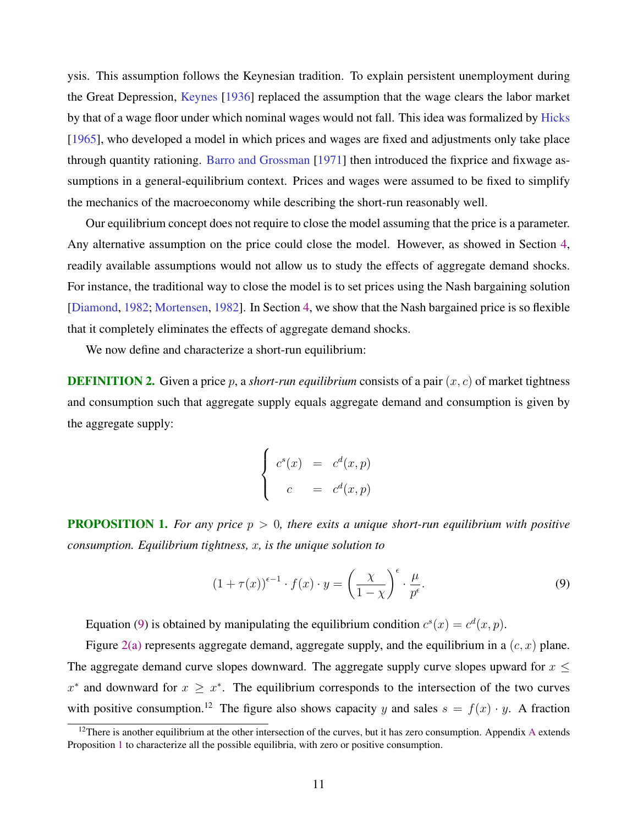<span id="page-12-0"></span>ysis. This assumption follows the Keynesian tradition. To explain persistent unemployment during the Great Depression, [Keynes](#page-44-0) [\[1936\]](#page-44-0) replaced the assumption that the wage clears the labor market by that of a wage floor under which nominal wages would not fall. This idea was formalized by [Hicks](#page-44-0) [\[1965\]](#page-44-0), who developed a model in which prices and wages are fixed and adjustments only take place through quantity rationing. [Barro and Grossman](#page-44-0) [\[1971\]](#page-44-0) then introduced the fixprice and fixwage assumptions in a general-equilibrium context. Prices and wages were assumed to be fixed to simplify the mechanics of the macroeconomy while describing the short-run reasonably well.

Our equilibrium concept does not require to close the model assuming that the price is a parameter. Any alternative assumption on the price could close the model. However, as showed in Section [4,](#page-34-0) readily available assumptions would not allow us to study the effects of aggregate demand shocks. For instance, the traditional way to close the model is to set prices using the Nash bargaining solution [\[Diamond,](#page-44-0) [1982;](#page-44-0) [Mortensen,](#page-45-0) [1982\]](#page-45-0). In Section [4,](#page-34-0) we show that the Nash bargained price is so flexible that it completely eliminates the effects of aggregate demand shocks.

We now define and characterize a short-run equilibrium:

**DEFINITION 2.** Given a price p, a *short-run equilibrium* consists of a pair  $(x, c)$  of market tightness and consumption such that aggregate supply equals aggregate demand and consumption is given by the aggregate supply:

$$
\begin{cases}\nc^s(x) & = & c^d(x,p) \\
c & = & c^d(x,p)\n\end{cases}
$$

**PROPOSITION 1.** For any price  $p > 0$ , there exits a unique short-run equilibrium with positive *consumption. Equilibrium tightness,* x*, is the unique solution to*

$$
(1 + \tau(x))^{\epsilon - 1} \cdot f(x) \cdot y = \left(\frac{\chi}{1 - \chi}\right)^{\epsilon} \cdot \frac{\mu}{p^{\epsilon}}.
$$
\n(9)

Equation (9) is obtained by manipulating the equilibrium condition  $c^s(x) = c^d(x, p)$ .

Figure [2\(a\)](#page-13-0) represents aggregate demand, aggregate supply, and the equilibrium in a  $(c, x)$  plane. The aggregate demand curve slopes downward. The aggregate supply curve slopes upward for  $x \leq$  $x^*$  and downward for  $x \geq x^*$ . The equilibrium corresponds to the intersection of the two curves with positive consumption.<sup>12</sup> The figure also shows capacity y and sales  $s = f(x) \cdot y$ . A fraction

<sup>&</sup>lt;sup>12</sup>There is another equilibrium at the other intersection of the curves, but it has zero consumption. [A](#page-46-0)ppendix A extends Proposition 1 to characterize all the possible equilibria, with zero or positive consumption.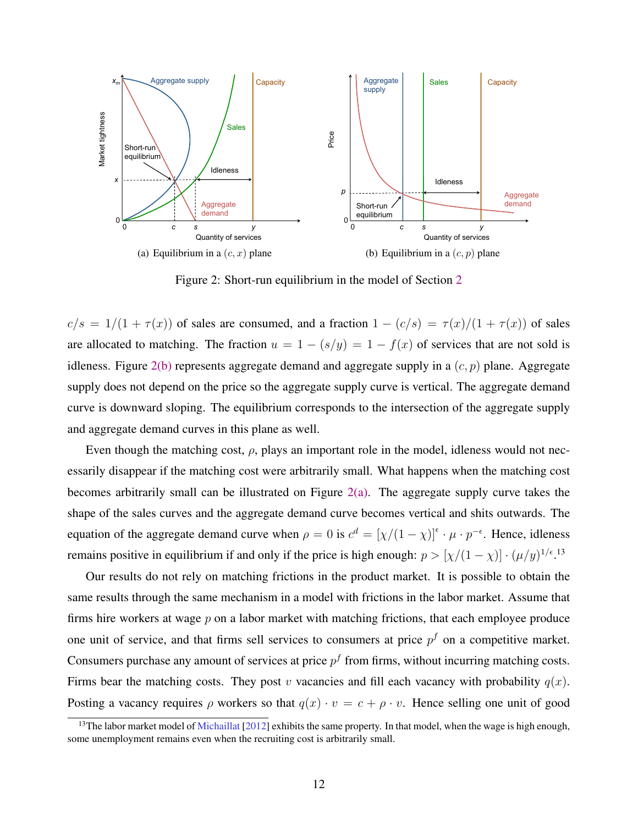<span id="page-13-0"></span>

Figure 2: Short-run equilibrium in the model of Section [2](#page-5-0)

 $c/s = 1/(1 + \tau(x))$  of sales are consumed, and a fraction  $1 - (c/s) = \tau(x)/(1 + \tau(x))$  of sales are allocated to matching. The fraction  $u = 1 - (s/y) = 1 - f(x)$  of services that are not sold is idleness. Figure 2(b) represents aggregate demand and aggregate supply in a  $(c, p)$  plane. Aggregate supply does not depend on the price so the aggregate supply curve is vertical. The aggregate demand curve is downward sloping. The equilibrium corresponds to the intersection of the aggregate supply and aggregate demand curves in this plane as well.

Even though the matching cost,  $\rho$ , plays an important role in the model, idleness would not necessarily disappear if the matching cost were arbitrarily small. What happens when the matching cost becomes arbitrarily small can be illustrated on Figure  $2(a)$ . The aggregate supply curve takes the shape of the sales curves and the aggregate demand curve becomes vertical and shits outwards. The equation of the aggregate demand curve when  $\rho = 0$  is  $c^d = [\chi/(1 - \chi)]^{\epsilon} \cdot \mu \cdot p^{-\epsilon}$ . Hence, idleness remains positive in equilibrium if and only if the price is high enough:  $p > [\chi/(1-\chi)] \cdot (\mu/y)^{1/\epsilon}$ .<sup>13</sup>

Our results do not rely on matching frictions in the product market. It is possible to obtain the same results through the same mechanism in a model with frictions in the labor market. Assume that firms hire workers at wage  $p$  on a labor market with matching frictions, that each employee produce one unit of service, and that firms sell services to consumers at price  $p<sup>f</sup>$  on a competitive market. Consumers purchase any amount of services at price  $p<sup>f</sup>$  from firms, without incurring matching costs. Firms bear the matching costs. They post v vacancies and fill each vacancy with probability  $q(x)$ . Posting a vacancy requires  $\rho$  workers so that  $q(x) \cdot v = c + \rho \cdot v$ . Hence selling one unit of good

<sup>&</sup>lt;sup>13</sup>The labor market model of [Michaillat](#page-45-0) [\[2012\]](#page-45-0) exhibits the same property. In that model, when the wage is high enough, some unemployment remains even when the recruiting cost is arbitrarily small.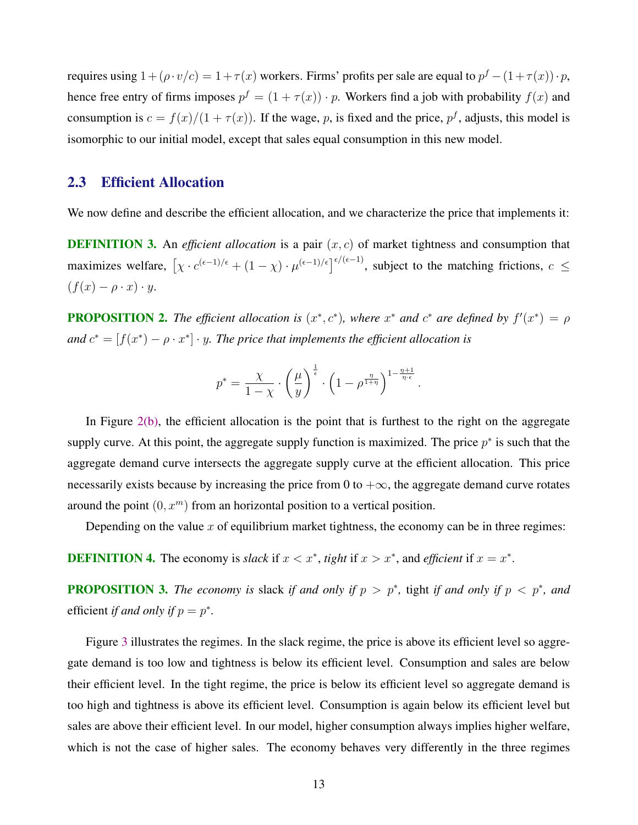<span id="page-14-0"></span>requires using  $1 + (\rho \cdot v/c) = 1 + \tau(x)$  workers. Firms' profits per sale are equal to  $p^f - (1 + \tau(x)) \cdot p$ , hence free entry of firms imposes  $p^f = (1 + \tau(x)) \cdot p$ . Workers find a job with probability  $f(x)$  and consumption is  $c = f(x)/(1 + \tau(x))$ . If the wage, p, is fixed and the price,  $p^f$ , adjusts, this model is isomorphic to our initial model, except that sales equal consumption in this new model.

# 2.3 Efficient Allocation

We now define and describe the efficient allocation, and we characterize the price that implements it:

**DEFINITION 3.** An *efficient allocation* is a pair  $(x, c)$  of market tightness and consumption that maximizes welfare,  $[\chi \cdot c^{(\epsilon-1)/\epsilon} + (1-\chi) \cdot \mu^{(\epsilon-1)/\epsilon}]^{\epsilon/(\epsilon-1)}$ , subject to the matching frictions,  $c \le$  $(f(x) - \rho \cdot x) \cdot y$ .

**PROPOSITION 2.** The efficient allocation is  $(x^*, c^*)$ , where  $x^*$  and  $c^*$  are defined by  $f'(x^*) = \rho$ and  $c^* = [f(x^*) - \rho \cdot x^*] \cdot y$ . The price that implements the efficient allocation is

$$
p^* = \frac{\chi}{1-\chi} \cdot \left(\frac{\mu}{y}\right)^{\frac{1}{\epsilon}} \cdot \left(1-\rho^{\frac{\eta}{1+\eta}}\right)^{1-\frac{\eta+1}{\eta\cdot\epsilon}}
$$

.

In Figure  $2(b)$ , the efficient allocation is the point that is furthest to the right on the aggregate supply curve. At this point, the aggregate supply function is maximized. The price  $p^*$  is such that the aggregate demand curve intersects the aggregate supply curve at the efficient allocation. This price necessarily exists because by increasing the price from 0 to  $+\infty$ , the aggregate demand curve rotates around the point  $(0, x^m)$  from an horizontal position to a vertical position.

Depending on the value  $x$  of equilibrium market tightness, the economy can be in three regimes:

**DEFINITION 4.** The economy is *slack* if  $x < x^*$ , *tight* if  $x > x^*$ , and *efficient* if  $x = x^*$ .

**PROPOSITION 3.** The economy is slack if and only if  $p > p^*$ , tight if and only if  $p < p^*$ , and efficient *if and only if*  $p = p^*$ .

Figure [3](#page-15-0) illustrates the regimes. In the slack regime, the price is above its efficient level so aggregate demand is too low and tightness is below its efficient level. Consumption and sales are below their efficient level. In the tight regime, the price is below its efficient level so aggregate demand is too high and tightness is above its efficient level. Consumption is again below its efficient level but sales are above their efficient level. In our model, higher consumption always implies higher welfare, which is not the case of higher sales. The economy behaves very differently in the three regimes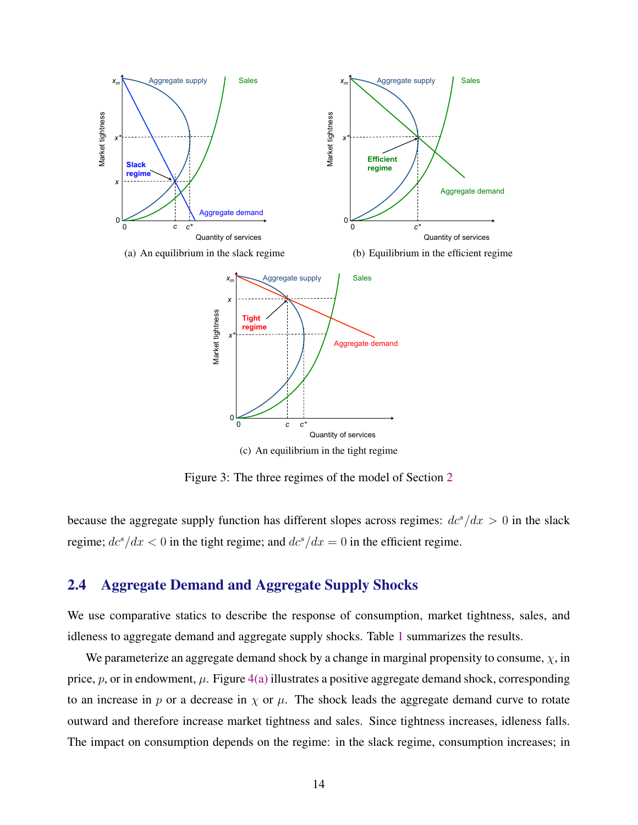<span id="page-15-0"></span>

(c) An equilibrium in the tight regime

Figure 3: The three regimes of the model of Section [2](#page-5-0)

because the aggregate supply function has different slopes across regimes:  $dc^s/dx > 0$  in the slack regime;  $dc^s/dx < 0$  in the tight regime; and  $dc^s/dx = 0$  in the efficient regime.

# 2.4 Aggregate Demand and Aggregate Supply Shocks

We use comparative statics to describe the response of consumption, market tightness, sales, and idleness to aggregate demand and aggregate supply shocks. Table [1](#page-17-0) summarizes the results.

We parameterize an aggregate demand shock by a change in marginal propensity to consume,  $\chi$ , in price, p, or in endowment,  $\mu$ . Figure [4\(a\)](#page-16-0) illustrates a positive aggregate demand shock, corresponding to an increase in p or a decrease in  $\chi$  or  $\mu$ . The shock leads the aggregate demand curve to rotate outward and therefore increase market tightness and sales. Since tightness increases, idleness falls. The impact on consumption depends on the regime: in the slack regime, consumption increases; in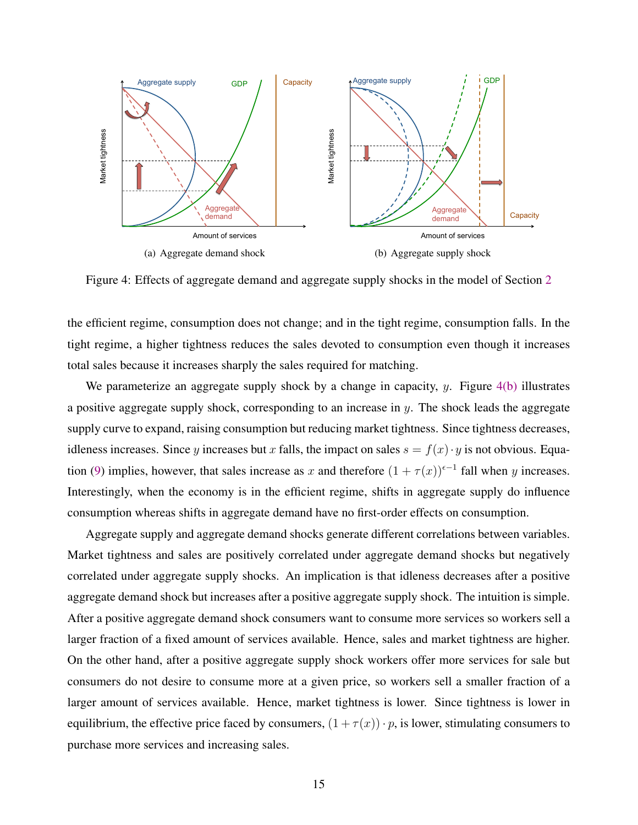<span id="page-16-0"></span>

Figure 4: Effects of aggregate demand and aggregate supply shocks in the model of Section [2](#page-5-0)

the efficient regime, consumption does not change; and in the tight regime, consumption falls. In the tight regime, a higher tightness reduces the sales devoted to consumption even though it increases total sales because it increases sharply the sales required for matching.

We parameterize an aggregate supply shock by a change in capacity, y. Figure  $4(b)$  illustrates a positive aggregate supply shock, corresponding to an increase in  $y$ . The shock leads the aggregate supply curve to expand, raising consumption but reducing market tightness. Since tightness decreases, idleness increases. Since y increases but x falls, the impact on sales  $s = f(x) \cdot y$  is not obvious. Equa-tion [\(9\)](#page-12-0) implies, however, that sales increase as x and therefore  $(1 + \tau(x))^{(-1)}$  fall when y increases. Interestingly, when the economy is in the efficient regime, shifts in aggregate supply do influence consumption whereas shifts in aggregate demand have no first-order effects on consumption.

Aggregate supply and aggregate demand shocks generate different correlations between variables. Market tightness and sales are positively correlated under aggregate demand shocks but negatively correlated under aggregate supply shocks. An implication is that idleness decreases after a positive aggregate demand shock but increases after a positive aggregate supply shock. The intuition is simple. After a positive aggregate demand shock consumers want to consume more services so workers sell a larger fraction of a fixed amount of services available. Hence, sales and market tightness are higher. On the other hand, after a positive aggregate supply shock workers offer more services for sale but consumers do not desire to consume more at a given price, so workers sell a smaller fraction of a larger amount of services available. Hence, market tightness is lower. Since tightness is lower in equilibrium, the effective price faced by consumers,  $(1 + \tau(x)) \cdot p$ , is lower, stimulating consumers to purchase more services and increasing sales.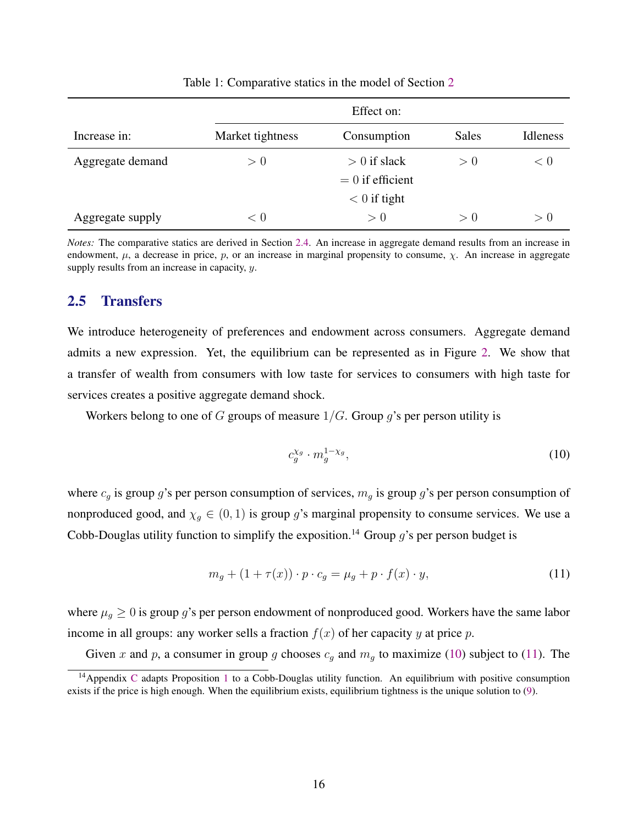<span id="page-17-0"></span>

|                  | Effect on:       |                                      |              |          |  |
|------------------|------------------|--------------------------------------|--------------|----------|--|
| Increase in:     | Market tightness | Consumption                          | <b>Sales</b> | Idleness |  |
| Aggregate demand | > 0              | $> 0$ if slack<br>$= 0$ if efficient | > 0          | < 0      |  |
|                  |                  | $< 0$ if tight                       |              |          |  |
| Aggregate supply | < 0              | > 0                                  | > 0          | > 0      |  |

Table 1: Comparative statics in the model of Section [2](#page-5-0)

*Notes:* The comparative statics are derived in Section [2.4.](#page-15-0) An increase in aggregate demand results from an increase in endowment,  $\mu$ , a decrease in price, p, or an increase in marginal propensity to consume,  $\chi$ . An increase in aggregate supply results from an increase in capacity,  $y$ .

### 2.5 Transfers

We introduce heterogeneity of preferences and endowment across consumers. Aggregate demand admits a new expression. Yet, the equilibrium can be represented as in Figure [2.](#page-13-0) We show that a transfer of wealth from consumers with low taste for services to consumers with high taste for services creates a positive aggregate demand shock.

Workers belong to one of G groups of measure  $1/G$ . Group g's per person utility is

$$
c_g^{\chi_g} \cdot m_g^{1-\chi_g},\tag{10}
$$

where  $c_g$  is group g's per person consumption of services,  $m_g$  is group g's per person consumption of nonproduced good, and  $\chi_g \in (0,1)$  is group g's marginal propensity to consume services. We use a Cobb-Douglas utility function to simplify the exposition.<sup>14</sup> Group g's per person budget is

$$
m_g + (1 + \tau(x)) \cdot p \cdot c_g = \mu_g + p \cdot f(x) \cdot y,\tag{11}
$$

where  $\mu_g \geq 0$  is group g's per person endowment of nonproduced good. Workers have the same labor income in all groups: any worker sells a fraction  $f(x)$  of her capacity y at price p.

Given x and p, a consumer in group g chooses  $c_g$  and  $m_g$  to maximize (10) subject to (11). The

<sup>&</sup>lt;sup>14</sup> Appendix [C](#page-53-0) adapts Proposition [1](#page-12-0) to a Cobb-Douglas utility function. An equilibrium with positive consumption exists if the price is high enough. When the equilibrium exists, equilibrium tightness is the unique solution to [\(9\)](#page-12-0).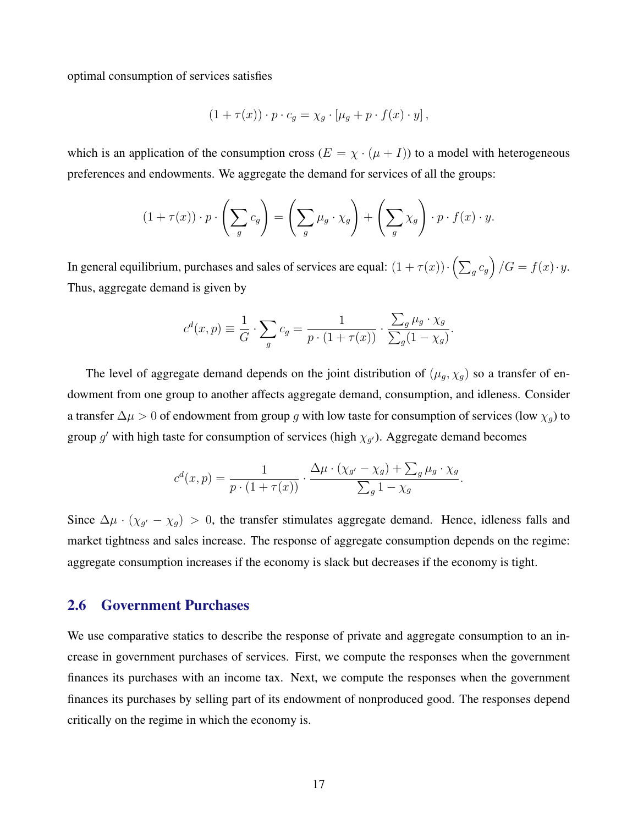<span id="page-18-0"></span>optimal consumption of services satisfies

$$
(1 + \tau(x)) \cdot p \cdot c_g = \chi_g \cdot [\mu_g + p \cdot f(x) \cdot y],
$$

which is an application of the consumption cross  $(E = \chi \cdot (\mu + I))$  to a model with heterogeneous preferences and endowments. We aggregate the demand for services of all the groups:

$$
(1 + \tau(x)) \cdot p \cdot \left(\sum_g c_g\right) = \left(\sum_g \mu_g \cdot \chi_g\right) + \left(\sum_g \chi_g\right) \cdot p \cdot f(x) \cdot y.
$$

In general equilibrium, purchases and sales of services are equal:  $(1+\tau(x)) \cdot (\sum_g c_g)(G = f(x) \cdot y$ . Thus, aggregate demand is given by

$$
c^{d}(x, p) \equiv \frac{1}{G} \cdot \sum_{g} c_{g} = \frac{1}{p \cdot (1 + \tau(x))} \cdot \frac{\sum_{g} \mu_{g} \cdot \chi_{g}}{\sum_{g} (1 - \chi_{g})}.
$$

The level of aggregate demand depends on the joint distribution of  $(\mu_g, \chi_g)$  so a transfer of endowment from one group to another affects aggregate demand, consumption, and idleness. Consider a transfer  $\Delta \mu > 0$  of endowment from group g with low taste for consumption of services (low  $\chi_g$ ) to group g' with high taste for consumption of services (high  $\chi_{g'}$ ). Aggregate demand becomes

$$
c^{d}(x, p) = \frac{1}{p \cdot (1 + \tau(x))} \cdot \frac{\Delta \mu \cdot (\chi_{g'} - \chi_g) + \sum_g \mu_g \cdot \chi_g}{\sum_g 1 - \chi_g}.
$$

Since  $\Delta \mu \cdot (\chi_{g'} - \chi_g) > 0$ , the transfer stimulates aggregate demand. Hence, idleness falls and market tightness and sales increase. The response of aggregate consumption depends on the regime: aggregate consumption increases if the economy is slack but decreases if the economy is tight.

#### 2.6 Government Purchases

We use comparative statics to describe the response of private and aggregate consumption to an increase in government purchases of services. First, we compute the responses when the government finances its purchases with an income tax. Next, we compute the responses when the government finances its purchases by selling part of its endowment of nonproduced good. The responses depend critically on the regime in which the economy is.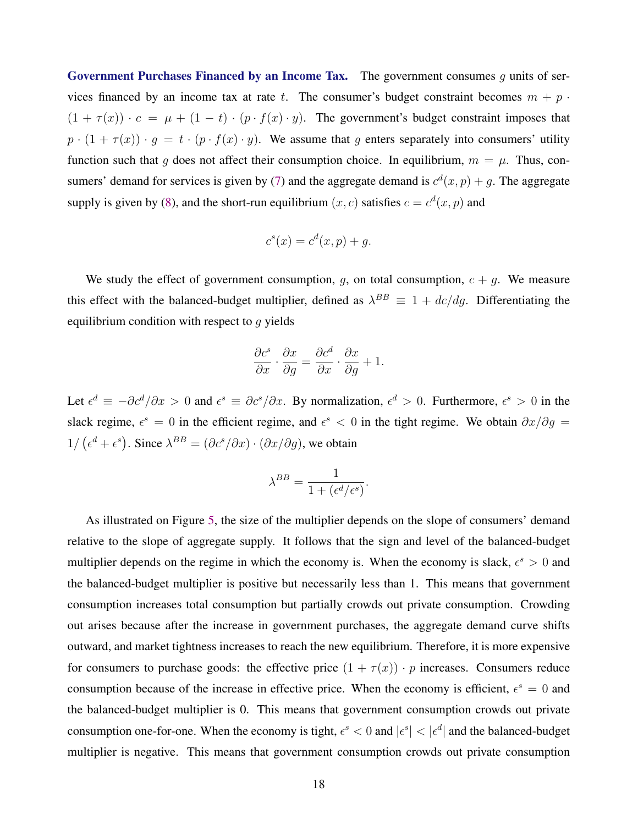Government Purchases Financed by an Income Tax. The government consumes  $q$  units of services financed by an income tax at rate t. The consumer's budget constraint becomes  $m + p$ .  $(1 + \tau(x)) \cdot c = \mu + (1 - t) \cdot (p \cdot f(x) \cdot y)$ . The government's budget constraint imposes that  $p \cdot (1 + \tau(x)) \cdot g = t \cdot (p \cdot f(x) \cdot y)$ . We assume that g enters separately into consumers' utility function such that g does not affect their consumption choice. In equilibrium,  $m = \mu$ . Thus, con-sumers' demand for services is given by [\(7\)](#page-10-0) and the aggregate demand is  $c^d(x, p) + g$ . The aggregate supply is given by [\(8\)](#page-10-0), and the short-run equilibrium  $(x, c)$  satisfies  $c = c<sup>d</sup>(x, p)$  and

$$
c^s(x) = c^d(x, p) + g.
$$

We study the effect of government consumption, g, on total consumption,  $c + g$ . We measure this effect with the balanced-budget multiplier, defined as  $\lambda^{BB} \equiv 1 + dc/dg$ . Differentiating the equilibrium condition with respect to  $q$  yields

$$
\frac{\partial c^s}{\partial x} \cdot \frac{\partial x}{\partial y} = \frac{\partial c^d}{\partial x} \cdot \frac{\partial x}{\partial y} + 1.
$$

Let  $\epsilon^d \equiv -\partial c^d/\partial x > 0$  and  $\epsilon^s \equiv \partial c^s/\partial x$ . By normalization,  $\epsilon^d > 0$ . Furthermore,  $\epsilon^s > 0$  in the slack regime,  $\epsilon^s = 0$  in the efficient regime, and  $\epsilon^s < 0$  in the tight regime. We obtain  $\partial x / \partial g =$  $1/\left(\epsilon^d + \epsilon^s\right)$ . Since  $\lambda^{BB} = (\partial c^s / \partial x) \cdot (\partial x / \partial g)$ , we obtain

$$
\lambda^{BB} = \frac{1}{1 + (\epsilon^d/\epsilon^s)}.
$$

As illustrated on Figure [5,](#page-20-0) the size of the multiplier depends on the slope of consumers' demand relative to the slope of aggregate supply. It follows that the sign and level of the balanced-budget multiplier depends on the regime in which the economy is. When the economy is slack,  $\epsilon^s > 0$  and the balanced-budget multiplier is positive but necessarily less than 1. This means that government consumption increases total consumption but partially crowds out private consumption. Crowding out arises because after the increase in government purchases, the aggregate demand curve shifts outward, and market tightness increases to reach the new equilibrium. Therefore, it is more expensive for consumers to purchase goods: the effective price  $(1 + \tau(x)) \cdot p$  increases. Consumers reduce consumption because of the increase in effective price. When the economy is efficient,  $\epsilon^s = 0$  and the balanced-budget multiplier is 0. This means that government consumption crowds out private consumption one-for-one. When the economy is tight,  $\epsilon^s < 0$  and  $|\epsilon^s| < |\epsilon^d|$  and the balanced-budget multiplier is negative. This means that government consumption crowds out private consumption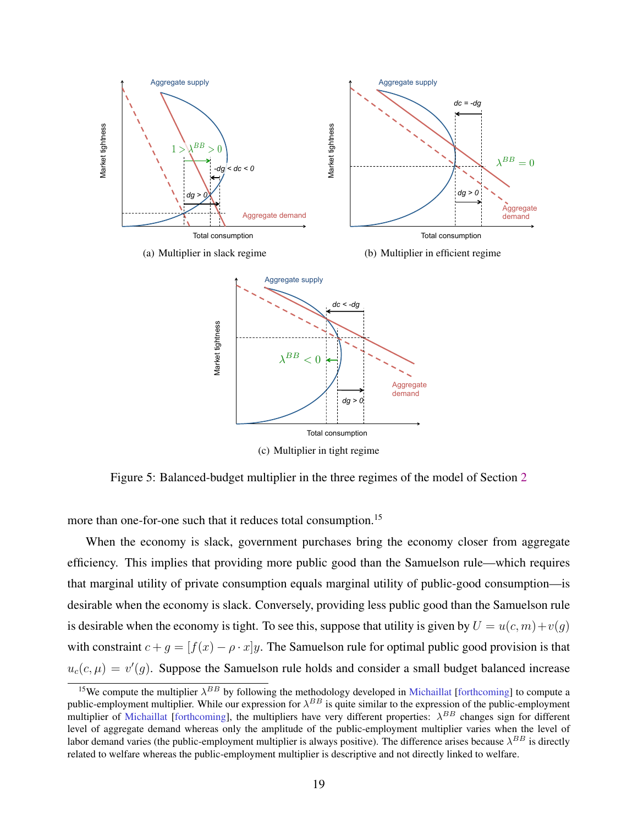<span id="page-20-0"></span>

Figure 5: Balanced-budget multiplier in the three regimes of the model of Section [2](#page-5-0)

more than one-for-one such that it reduces total consumption.<sup>15</sup>

When the economy is slack, government purchases bring the economy closer from aggregate efficiency. This implies that providing more public good than the Samuelson rule—which requires that marginal utility of private consumption equals marginal utility of public-good consumption—is desirable when the economy is slack. Conversely, providing less public good than the Samuelson rule is desirable when the economy is tight. To see this, suppose that utility is given by  $U = u(c, m) + v(q)$ with constraint  $c + g = [f(x) - \rho \cdot x]y$ . The Samuelson rule for optimal public good provision is that  $u_c(c,\mu) = v'(g)$ . Suppose the Samuelson rule holds and consider a small budget balanced increase

<sup>&</sup>lt;sup>15</sup>We compute the multiplier  $\lambda^{BB}$  by following the methodology developed in [Michaillat](#page-45-0) [\[forthcoming\]](#page-45-0) to compute a public-employment multiplier. While our expression for  $\lambda^{BB}$  is quite similar to the expression of the public-employment multiplier of [Michaillat](#page-45-0) [\[forthcoming\]](#page-45-0), the multipliers have very different properties:  $\lambda^{BB}$  changes sign for different level of aggregate demand whereas only the amplitude of the public-employment multiplier varies when the level of labor demand varies (the public-employment multiplier is always positive). The difference arises because  $\lambda^{BB}$  is directly related to welfare whereas the public-employment multiplier is descriptive and not directly linked to welfare.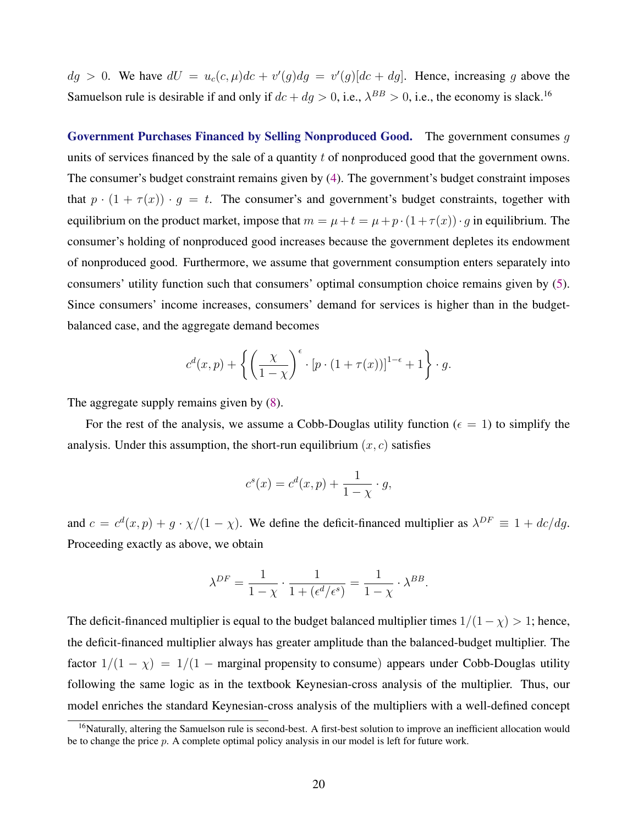$dg > 0$ . We have  $dU = u_c(c, \mu)dc + v'(g)dg = v'(g)[dc + dg]$ . Hence, increasing g above the Samuelson rule is desirable if and only if  $dc + dg > 0$ , i.e.,  $\lambda^{BB} > 0$ , i.e., the economy is slack.<sup>16</sup>

Government Purchases Financed by Selling Nonproduced Good. The government consumes g units of services financed by the sale of a quantity  $t$  of nonproduced good that the government owns. The consumer's budget constraint remains given by [\(4\)](#page-8-0). The government's budget constraint imposes that  $p \cdot (1 + \tau(x)) \cdot g = t$ . The consumer's and government's budget constraints, together with equilibrium on the product market, impose that  $m = \mu + t = \mu + p \cdot (1 + \tau(x)) \cdot g$  in equilibrium. The consumer's holding of nonproduced good increases because the government depletes its endowment of nonproduced good. Furthermore, we assume that government consumption enters separately into consumers' utility function such that consumers' optimal consumption choice remains given by [\(5\)](#page-8-0). Since consumers' income increases, consumers' demand for services is higher than in the budgetbalanced case, and the aggregate demand becomes

$$
c^{d}(x,p) + \left\{ \left( \frac{\chi}{1-\chi} \right)^{\epsilon} \cdot [p \cdot (1+\tau(x))]^{1-\epsilon} + 1 \right\} \cdot g.
$$

The aggregate supply remains given by  $(8)$ .

For the rest of the analysis, we assume a Cobb-Douglas utility function ( $\epsilon = 1$ ) to simplify the analysis. Under this assumption, the short-run equilibrium  $(x, c)$  satisfies

$$
c^{s}(x) = c^{d}(x, p) + \frac{1}{1 - \chi} \cdot g,
$$

and  $c = c^d(x, p) + g \cdot \chi/(1 - \chi)$ . We define the deficit-financed multiplier as  $\lambda^{DF} \equiv 1 + dc/dg$ . Proceeding exactly as above, we obtain

$$
\lambda^{DF} = \frac{1}{1 - \chi} \cdot \frac{1}{1 + (\epsilon^d/\epsilon^s)} = \frac{1}{1 - \chi} \cdot \lambda^{BB}.
$$

The deficit-financed multiplier is equal to the budget balanced multiplier times  $1/(1 - \chi) > 1$ ; hence, the deficit-financed multiplier always has greater amplitude than the balanced-budget multiplier. The factor  $1/(1 - \chi) = 1/(1 - \text{marginal propensity to consume})$  appears under Cobb-Douglas utility following the same logic as in the textbook Keynesian-cross analysis of the multiplier. Thus, our model enriches the standard Keynesian-cross analysis of the multipliers with a well-defined concept

<sup>&</sup>lt;sup>16</sup>Naturally, altering the Samuelson rule is second-best. A first-best solution to improve an inefficient allocation would be to change the price p. A complete optimal policy analysis in our model is left for future work.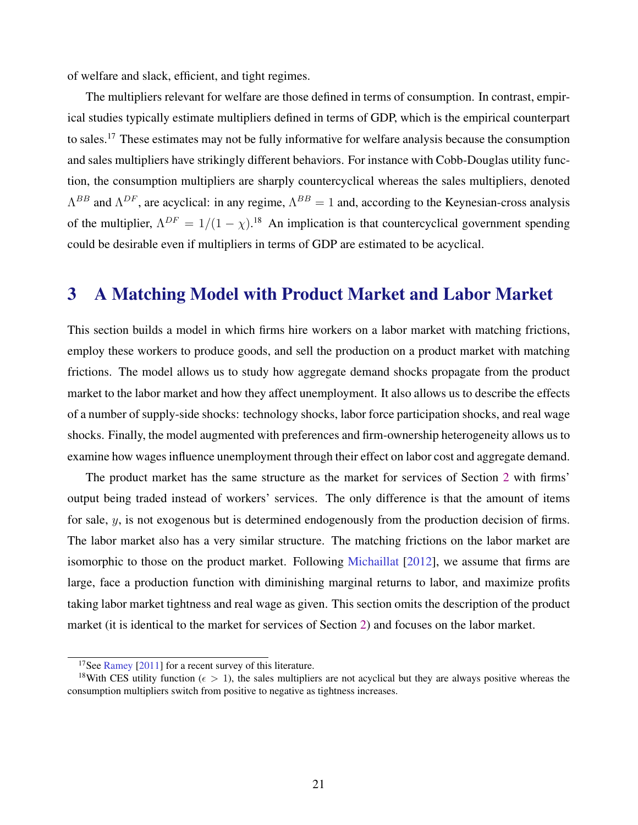<span id="page-22-0"></span>of welfare and slack, efficient, and tight regimes.

The multipliers relevant for welfare are those defined in terms of consumption. In contrast, empirical studies typically estimate multipliers defined in terms of GDP, which is the empirical counterpart to sales.<sup>17</sup> These estimates may not be fully informative for welfare analysis because the consumption and sales multipliers have strikingly different behaviors. For instance with Cobb-Douglas utility function, the consumption multipliers are sharply countercyclical whereas the sales multipliers, denoted  $\Lambda^{BB}$  and  $\Lambda^{DF}$ , are acyclical: in any regime,  $\Lambda^{BB} = 1$  and, according to the Keynesian-cross analysis of the multiplier,  $\Lambda^{DF} = 1/(1 - \chi)^{18}$  An implication is that countercyclical government spending could be desirable even if multipliers in terms of GDP are estimated to be acyclical.

# 3 A Matching Model with Product Market and Labor Market

This section builds a model in which firms hire workers on a labor market with matching frictions, employ these workers to produce goods, and sell the production on a product market with matching frictions. The model allows us to study how aggregate demand shocks propagate from the product market to the labor market and how they affect unemployment. It also allows us to describe the effects of a number of supply-side shocks: technology shocks, labor force participation shocks, and real wage shocks. Finally, the model augmented with preferences and firm-ownership heterogeneity allows us to examine how wages influence unemployment through their effect on labor cost and aggregate demand.

The product market has the same structure as the market for services of Section [2](#page-5-0) with firms' output being traded instead of workers' services. The only difference is that the amount of items for sale, y, is not exogenous but is determined endogenously from the production decision of firms. The labor market also has a very similar structure. The matching frictions on the labor market are isomorphic to those on the product market. Following [Michaillat](#page-45-0) [\[2012\]](#page-45-0), we assume that firms are large, face a production function with diminishing marginal returns to labor, and maximize profits taking labor market tightness and real wage as given. This section omits the description of the product market (it is identical to the market for services of Section [2\)](#page-5-0) and focuses on the labor market.

<sup>&</sup>lt;sup>17</sup>See [Ramey](#page-45-0) [\[2011\]](#page-45-0) for a recent survey of this literature.

<sup>&</sup>lt;sup>18</sup>With CES utility function ( $\epsilon > 1$ ), the sales multipliers are not acyclical but they are always positive whereas the consumption multipliers switch from positive to negative as tightness increases.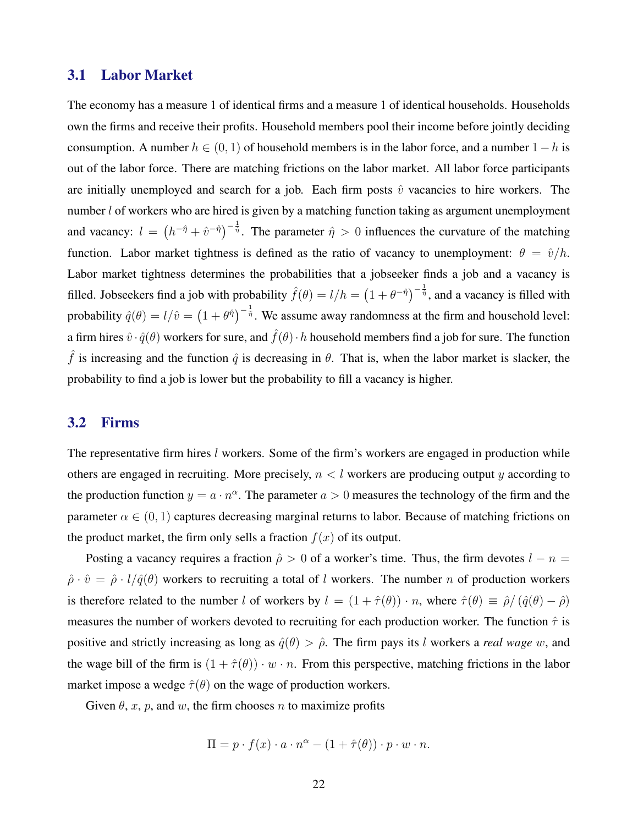# 3.1 Labor Market

The economy has a measure 1 of identical firms and a measure 1 of identical households. Households own the firms and receive their profits. Household members pool their income before jointly deciding consumption. A number  $h \in (0, 1)$  of household members is in the labor force, and a number  $1 - h$  is out of the labor force. There are matching frictions on the labor market. All labor force participants are initially unemployed and search for a job. Each firm posts  $\hat{v}$  vacancies to hire workers. The number *l* of workers who are hired is given by a matching function taking as argument unemployment and vacancy:  $l = (h^{-\hat{\eta}} + \hat{v}^{-\hat{\eta}})^{-\frac{1}{\hat{\eta}}}$ . The parameter  $\hat{\eta} > 0$  influences the curvature of the matching function. Labor market tightness is defined as the ratio of vacancy to unemployment:  $\theta = \hat{v}/h$ . Labor market tightness determines the probabilities that a jobseeker finds a job and a vacancy is filled. Jobseekers find a job with probability  $\hat{f}(\theta) = l/h = (1 + \theta^{-\hat{\eta}})^{-\frac{1}{\hat{\eta}}}$ , and a vacancy is filled with probability  $\hat{q}(\theta) = l/\hat{v} = (1 + \theta^{\hat{\eta}})^{-\frac{1}{\hat{\eta}}}$ . We assume away randomness at the firm and household level: a firm hires  $\hat{v} \cdot \hat{q}(\theta)$  workers for sure, and  $\hat{f}(\theta) \cdot h$  household members find a job for sure. The function  $\hat{f}$  is increasing and the function  $\hat{q}$  is decreasing in  $\theta$ . That is, when the labor market is slacker, the probability to find a job is lower but the probability to fill a vacancy is higher.

### 3.2 Firms

The representative firm hires l workers. Some of the firm's workers are engaged in production while others are engaged in recruiting. More precisely,  $n < l$  workers are producing output y according to the production function  $y = a \cdot n^{\alpha}$ . The parameter  $a > 0$  measures the technology of the firm and the parameter  $\alpha \in (0, 1)$  captures decreasing marginal returns to labor. Because of matching frictions on the product market, the firm only sells a fraction  $f(x)$  of its output.

Posting a vacancy requires a fraction  $\hat{\rho} > 0$  of a worker's time. Thus, the firm devotes  $l - n =$  $\hat{\rho} \cdot \hat{v} = \hat{\rho} \cdot l/\hat{q}(\theta)$  workers to recruiting a total of l workers. The number n of production workers is therefore related to the number l of workers by  $l = (1 + \hat{\tau}(\theta)) \cdot n$ , where  $\hat{\tau}(\theta) \equiv \hat{\rho}/(\hat{q}(\theta) - \hat{\rho})$ measures the number of workers devoted to recruiting for each production worker. The function  $\hat{\tau}$  is positive and strictly increasing as long as  $\hat{q}(\theta) > \hat{\rho}$ . The firm pays its *l* workers a *real wage* w, and the wage bill of the firm is  $(1 + \hat{\tau}(\theta)) \cdot w \cdot n$ . From this perspective, matching frictions in the labor market impose a wedge  $\hat{\tau}(\theta)$  on the wage of production workers.

Given  $\theta$ , x, p, and w, the firm chooses n to maximize profits

$$
\Pi = p \cdot f(x) \cdot a \cdot n^{\alpha} - (1 + \hat{\tau}(\theta)) \cdot p \cdot w \cdot n.
$$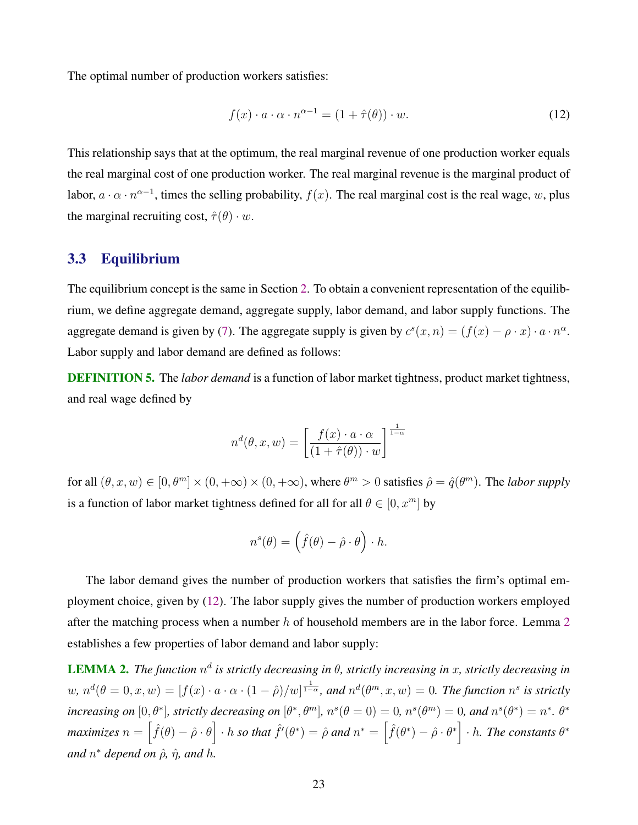<span id="page-24-0"></span>The optimal number of production workers satisfies:

$$
f(x) \cdot a \cdot \alpha \cdot n^{\alpha - 1} = (1 + \hat{\tau}(\theta)) \cdot w.
$$
 (12)

This relationship says that at the optimum, the real marginal revenue of one production worker equals the real marginal cost of one production worker. The real marginal revenue is the marginal product of labor,  $a \cdot \alpha \cdot n^{\alpha-1}$ , times the selling probability,  $f(x)$ . The real marginal cost is the real wage, w, plus the marginal recruiting cost,  $\hat{\tau}(\theta) \cdot w$ .

### 3.3 Equilibrium

The equilibrium concept is the same in Section [2.](#page-5-0) To obtain a convenient representation of the equilibrium, we define aggregate demand, aggregate supply, labor demand, and labor supply functions. The aggregate demand is given by [\(7\)](#page-10-0). The aggregate supply is given by  $c^s(x, n) = (f(x) - \rho \cdot x) \cdot a \cdot n^{\alpha}$ . Labor supply and labor demand are defined as follows:

DEFINITION 5. The *labor demand* is a function of labor market tightness, product market tightness, and real wage defined by

$$
n^{d}(\theta, x, w) = \left[\frac{f(x) \cdot a \cdot \alpha}{(1 + \hat{\tau}(\theta)) \cdot w}\right]^{\frac{1}{1 - \alpha}}
$$

for all  $(\theta, x, w) \in [0, \theta^m] \times (0, +\infty) \times (0, +\infty)$ , where  $\theta^m > 0$  satisfies  $\hat{\rho} = \hat{q}(\theta^m)$ . The *labor supply* is a function of labor market tightness defined for all for all  $\theta \in [0, x^m]$  by

$$
n^{s}(\theta) = (\hat{f}(\theta) - \hat{\rho} \cdot \theta) \cdot h.
$$

The labor demand gives the number of production workers that satisfies the firm's optimal employment choice, given by (12). The labor supply gives the number of production workers employed after the matching process when a number  $h$  of household members are in the labor force. Lemma  $2$ establishes a few properties of labor demand and labor supply:

**LEMMA 2.** The function  $n^d$  is strictly decreasing in  $\theta$ , strictly increasing in x, strictly decreasing in  $w, n^d(\theta = 0, x, w) = [f(x) \cdot a \cdot \alpha \cdot (1 - \hat{\rho})/w]^{\frac{1}{1 - \alpha}}$ , and  $n^d(\theta^m, x, w) = 0$ . The function  $n^s$  is strictly *increasing on*  $[0, \theta^*]$ *, strictly decreasing on*  $[\theta^*, \theta^m]$ *, n*<sup> $s(\theta = 0) = 0$ *, n*<sup> $s(\theta^m) = 0$ *, and*  $n^s(\theta^*) = n^*$ *.*  $\theta^*$ </sup></sup>  $maximizes~n = \left\lceil \hat{f}(\theta) - \hat{\rho} \cdot \theta \right\rceil \cdot h \ so \ that \ \hat{f}'(\theta^*) = \hat{\rho} \ and \ n^* = \left\lceil \hat{f}(\theta^*) - \hat{\rho} \cdot \theta^* \right\rceil \cdot h.$  The constants  $\theta^*$  $and n<sup>*</sup> depend on  $\hat{\rho}$ ,  $\hat{\eta}$ , and h.$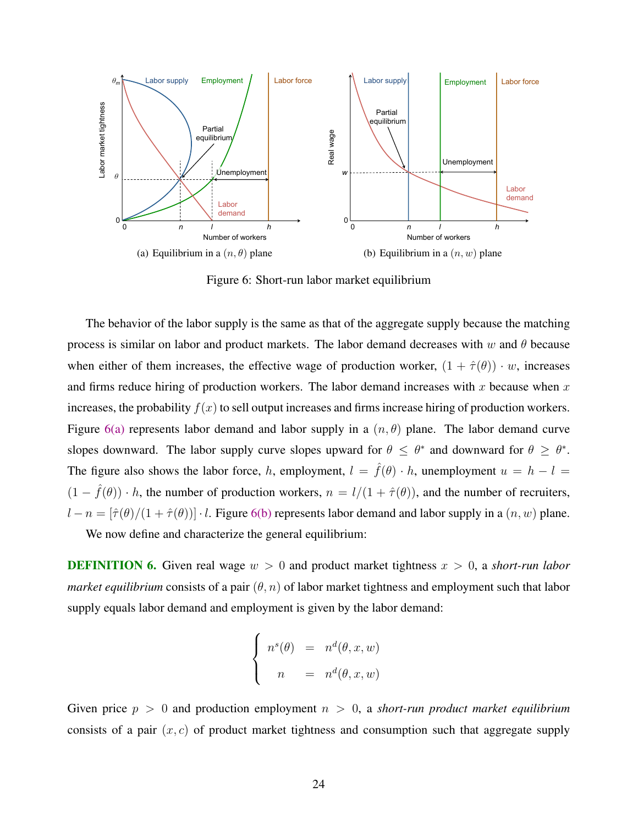<span id="page-25-0"></span>

Figure 6: Short-run labor market equilibrium

The behavior of the labor supply is the same as that of the aggregate supply because the matching process is similar on labor and product markets. The labor demand decreases with w and  $\theta$  because when either of them increases, the effective wage of production worker,  $(1 + \hat{\tau}(\theta)) \cdot w$ , increases and firms reduce hiring of production workers. The labor demand increases with x because when x increases, the probability  $f(x)$  to sell output increases and firms increase hiring of production workers. Figure 6(a) represents labor demand and labor supply in a  $(n, \theta)$  plane. The labor demand curve slopes downward. The labor supply curve slopes upward for  $\theta \leq \theta^*$  and downward for  $\theta \geq \theta^*$ . The figure also shows the labor force, h, employment,  $l = \hat{f}(\theta) \cdot h$ , unemployment  $u = h - l =$  $(1 - \hat{f}(\theta)) \cdot h$ , the number of production workers,  $n = l/(1 + \hat{\tau}(\theta))$ , and the number of recruiters,  $l - n = [\hat{\tau}(\theta)/(1 + \hat{\tau}(\theta))] \cdot l$ . Figure 6(b) represents labor demand and labor supply in a  $(n, w)$  plane.

We now define and characterize the general equilibrium:

**DEFINITION 6.** Given real wage  $w > 0$  and product market tightness  $x > 0$ , a *short-run labor market equilibrium* consists of a pair  $(\theta, n)$  of labor market tightness and employment such that labor supply equals labor demand and employment is given by the labor demand:

$$
\begin{cases}\nn^s(\theta) = n^d(\theta, x, w) \\
n = n^d(\theta, x, w)\n\end{cases}
$$

Given price  $p > 0$  and production employment  $n > 0$ , a *short-run product market equilibrium* consists of a pair  $(x, c)$  of product market tightness and consumption such that aggregate supply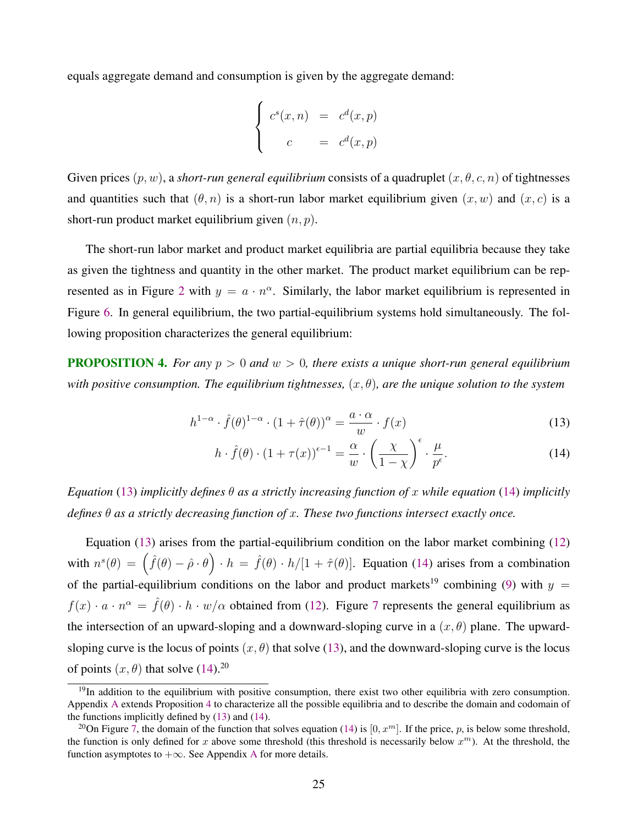<span id="page-26-0"></span>equals aggregate demand and consumption is given by the aggregate demand:

$$
\begin{cases}\nc^s(x,n) = c^d(x,p) \\
c = c^d(x,p)\n\end{cases}
$$

Given prices  $(p, w)$ , a *short-run general equilibrium* consists of a quadruplet  $(x, \theta, c, n)$  of tightnesses and quantities such that  $(\theta, n)$  is a short-run labor market equilibrium given  $(x, w)$  and  $(x, c)$  is a short-run product market equilibrium given  $(n, p)$ .

The short-run labor market and product market equilibria are partial equilibria because they take as given the tightness and quantity in the other market. The product market equilibrium can be rep-resented as in Figure [2](#page-13-0) with  $y = a \cdot n^{\alpha}$ . Similarly, the labor market equilibrium is represented in Figure [6.](#page-25-0) In general equilibrium, the two partial-equilibrium systems hold simultaneously. The following proposition characterizes the general equilibrium:

PROPOSITION 4. *For any* p > 0 *and* w > 0*, there exists a unique short-run general equilibrium with positive consumption. The equilibrium tightnesses,*  $(x, \theta)$ *, are the unique solution to the system* 

$$
h^{1-\alpha} \cdot \hat{f}(\theta)^{1-\alpha} \cdot (1+\hat{\tau}(\theta))^{\alpha} = \frac{a \cdot \alpha}{w} \cdot f(x)
$$
 (13)

$$
h \cdot \hat{f}(\theta) \cdot (1 + \tau(x))^{\epsilon - 1} = \frac{\alpha}{w} \cdot \left(\frac{\chi}{1 - \chi}\right)^{\epsilon} \cdot \frac{\mu}{p^{\epsilon}}.
$$
 (14)

*Equation* (13) *implicitly defines* θ *as a strictly increasing function of* x *while equation* (14) *implicitly defines* θ *as a strictly decreasing function of* x*. These two functions intersect exactly once.*

Equation (13) arises from the partial-equilibrium condition on the labor market combining [\(12\)](#page-24-0) with  $n^{s}(\theta) = (\hat{f}(\theta) - \hat{\rho} \cdot \theta) \cdot h = \hat{f}(\theta) \cdot h/[1 + \hat{\tau}(\theta)].$  Equation (14) arises from a combination of the partial-equilibrium conditions on the labor and product markets<sup>19</sup> combining [\(9\)](#page-12-0) with  $y =$  $f(x) \cdot a \cdot n^{\alpha} = \hat{f}(\theta) \cdot h \cdot w/\alpha$  obtained from [\(12\)](#page-24-0). Figure [7](#page-27-0) represents the general equilibrium as the intersection of an upward-sloping and a downward-sloping curve in a  $(x, \theta)$  plane. The upwardsloping curve is the locus of points  $(x, \theta)$  that solve (13), and the downward-sloping curve is the locus of points  $(x, \theta)$  that solve  $(14)$ <sup>20</sup>

 $19$ In addition to the equilibrium with positive consumption, there exist two other equilibria with zero consumption. Appendix [A](#page-46-0) extends Proposition 4 to characterize all the possible equilibria and to describe the domain and codomain of the functions implicitly defined by (13) and (14).

<sup>&</sup>lt;sup>20</sup>On Figure [7,](#page-27-0) the domain of the function that solves equation (14) is [0,  $x^m$ ]. If the price, p, is below some threshold, the function is only defined for x above some threshold (this threshold is necessarily below  $x^m$ ). At the threshold, the function asymptotes to  $+\infty$ . See [A](#page-46-0)ppendix A for more details.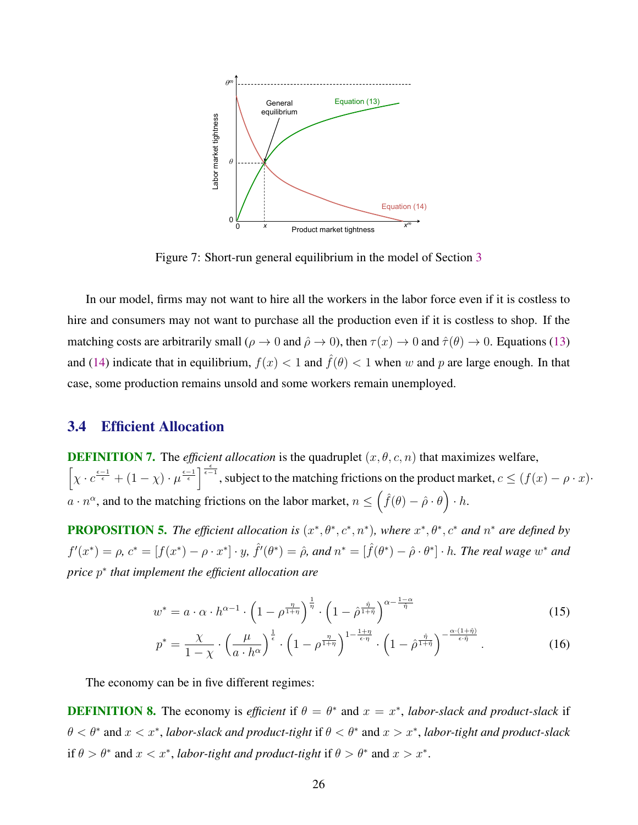<span id="page-27-0"></span>

Figure 7: Short-run general equilibrium in the model of Section [3](#page-22-0)

In our model, firms may not want to hire all the workers in the labor force even if it is costless to hire and consumers may not want to purchase all the production even if it is costless to shop. If the matching costs are arbitrarily small ( $\rho \to 0$  and  $\hat{\rho} \to 0$ ), then  $\tau(x) \to 0$  and  $\hat{\tau}(\theta) \to 0$ . Equations [\(13\)](#page-26-0) and [\(14\)](#page-26-0) indicate that in equilibrium,  $f(x) < 1$  and  $\hat{f}(\theta) < 1$  when w and p are large enough. In that case, some production remains unsold and some workers remain unemployed.

# 3.4 Efficient Allocation

**DEFINITION 7.** The *efficient allocation* is the quadruplet  $(x, \theta, c, n)$  that maximizes welfare,  $\left[\chi \cdot c^{\frac{\epsilon-1}{\epsilon}} + (1-\chi) \cdot \mu^{\frac{\epsilon-1}{\epsilon}}\right]^{\frac{\epsilon}{\epsilon-1}}$ , subject to the matching frictions on the product market,  $c \leq (f(x) - \rho \cdot x)$ .  $a \cdot n^{\alpha}$ , and to the matching frictions on the labor market,  $n \leq \left(\hat{f}(\theta) - \hat{\rho} \cdot \theta\right) \cdot h$ .

**PROPOSITION 5.** The efficient allocation is  $(x^*, \theta^*, c^*, n^*)$ , where  $x^*, \theta^*, c^*$  and  $n^*$  are defined by  $f'(x^*) = \rho$ ,  $c^* = [f(x^*) - \rho \cdot x^*] \cdot y$ ,  $\hat{f}'(\theta^*) = \hat{\rho}$ , and  $n^* = [\hat{f}(\theta^*) - \hat{\rho} \cdot \theta^*] \cdot h$ . The real wage  $w^*$  and *price* p ∗ *that implement the efficient allocation are*

$$
w^* = a \cdot \alpha \cdot h^{\alpha - 1} \cdot \left(1 - \rho^{\frac{\eta}{1 + \eta}}\right)^{\frac{1}{\eta}} \cdot \left(1 - \hat{\rho}^{\frac{\hat{\eta}}{1 + \hat{\eta}}}\right)^{\alpha - \frac{1 - \alpha}{\hat{\eta}}}
$$
(15)

$$
p^* = \frac{\chi}{1-\chi} \cdot \left(\frac{\mu}{a \cdot h^{\alpha}}\right)^{\frac{1}{\epsilon}} \cdot \left(1 - \rho^{\frac{\eta}{1+\eta}}\right)^{1 - \frac{1+\eta}{\epsilon \cdot \eta}} \cdot \left(1 - \hat{\rho}^{\frac{\hat{\eta}}{1+\hat{\eta}}}\right)^{-\frac{\alpha \cdot (1+\hat{\eta})}{\epsilon \cdot \hat{\eta}}}.
$$
 (16)

The economy can be in five different regimes:

**DEFINITION 8.** The economy is *efficient* if  $\theta = \theta^*$  and  $x = x^*$ , *labor-slack and product-slack* if  $\theta < \theta^*$  and  $x < x^*$ , *labor-slack and product-tight* if  $\theta < \theta^*$  and  $x > x^*$ , *labor-tight and product-slack* if  $\theta > \theta^*$  and  $x < x^*$ , *labor-tight and product-tight* if  $\theta > \theta^*$  and  $x > x^*$ .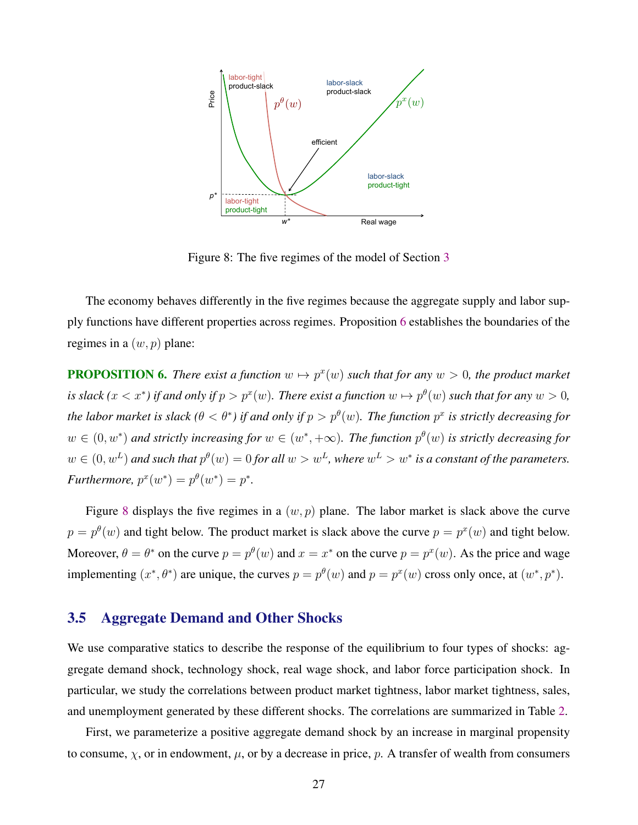<span id="page-28-0"></span>

Figure 8: The five regimes of the model of Section [3](#page-22-0)

The economy behaves differently in the five regimes because the aggregate supply and labor supply functions have different properties across regimes. Proposition 6 establishes the boundaries of the regimes in a  $(w, p)$  plane:

**PROPOSITION 6.** There exist a function  $w \mapsto p^x(w)$  such that for any  $w > 0$ , the product market is slack  $(x < x^*)$  if and only if  $p > p^x(w)$ . There exist a function  $w \mapsto p^{\theta}(w)$  such that for any  $w > 0$ , *the labor market is slack* ( $\theta < \theta^*$ ) if and only if  $p > p^{\theta}(w)$ . The function  $p^x$  is strictly decreasing for  $w \in (0, w^*)$  and strictly increasing for  $w \in (w^*, +\infty)$ . The function  $p^{\theta}(w)$  is strictly decreasing for  $w \in (0, w^L)$  and such that  $p^{\theta}(w) = 0$  for all  $w > w^L$ , where  $w^L > w^*$  is a constant of the parameters. *Furthermore,*  $p^x(w^*) = p^{\theta}(w^*) = p^*$ .

Figure 8 displays the five regimes in a  $(w, p)$  plane. The labor market is slack above the curve  $p = p^{\theta}(w)$  and tight below. The product market is slack above the curve  $p = p^{x}(w)$  and tight below. Moreover,  $\theta = \theta^*$  on the curve  $p = p^{\theta}(w)$  and  $x = x^*$  on the curve  $p = p^x(w)$ . As the price and wage implementing  $(x^*, \theta^*)$  are unique, the curves  $p = p^{\theta}(w)$  and  $p = p^x(w)$  cross only once, at  $(w^*, p^*)$ .

### 3.5 Aggregate Demand and Other Shocks

We use comparative statics to describe the response of the equilibrium to four types of shocks: aggregate demand shock, technology shock, real wage shock, and labor force participation shock. In particular, we study the correlations between product market tightness, labor market tightness, sales, and unemployment generated by these different shocks. The correlations are summarized in Table [2.](#page-31-0)

First, we parameterize a positive aggregate demand shock by an increase in marginal propensity to consume,  $\chi$ , or in endowment,  $\mu$ , or by a decrease in price, p. A transfer of wealth from consumers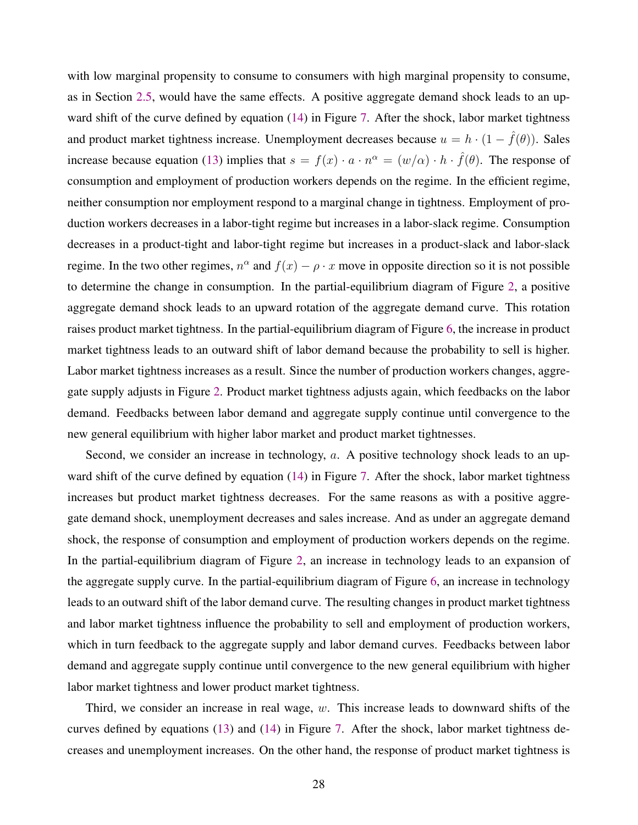with low marginal propensity to consume to consumers with high marginal propensity to consume, as in Section [2.5,](#page-17-0) would have the same effects. A positive aggregate demand shock leads to an upward shift of the curve defined by equation [\(14\)](#page-26-0) in Figure [7.](#page-27-0) After the shock, labor market tightness and product market tightness increase. Unemployment decreases because  $u = h \cdot (1 - \hat{f}(\theta))$ . Sales increase because equation [\(13\)](#page-26-0) implies that  $s = f(x) \cdot a \cdot n^{\alpha} = (w/\alpha) \cdot h \cdot \hat{f}(\theta)$ . The response of consumption and employment of production workers depends on the regime. In the efficient regime, neither consumption nor employment respond to a marginal change in tightness. Employment of production workers decreases in a labor-tight regime but increases in a labor-slack regime. Consumption decreases in a product-tight and labor-tight regime but increases in a product-slack and labor-slack regime. In the two other regimes,  $n^{\alpha}$  and  $f(x) - \rho \cdot x$  move in opposite direction so it is not possible to determine the change in consumption. In the partial-equilibrium diagram of Figure [2,](#page-13-0) a positive aggregate demand shock leads to an upward rotation of the aggregate demand curve. This rotation raises product market tightness. In the partial-equilibrium diagram of Figure [6,](#page-25-0) the increase in product market tightness leads to an outward shift of labor demand because the probability to sell is higher. Labor market tightness increases as a result. Since the number of production workers changes, aggregate supply adjusts in Figure [2.](#page-13-0) Product market tightness adjusts again, which feedbacks on the labor demand. Feedbacks between labor demand and aggregate supply continue until convergence to the new general equilibrium with higher labor market and product market tightnesses.

Second, we consider an increase in technology, a. A positive technology shock leads to an up-ward shift of the curve defined by equation [\(14\)](#page-26-0) in Figure [7.](#page-27-0) After the shock, labor market tightness increases but product market tightness decreases. For the same reasons as with a positive aggregate demand shock, unemployment decreases and sales increase. And as under an aggregate demand shock, the response of consumption and employment of production workers depends on the regime. In the partial-equilibrium diagram of Figure [2,](#page-13-0) an increase in technology leads to an expansion of the aggregate supply curve. In the partial-equilibrium diagram of Figure [6,](#page-25-0) an increase in technology leads to an outward shift of the labor demand curve. The resulting changes in product market tightness and labor market tightness influence the probability to sell and employment of production workers, which in turn feedback to the aggregate supply and labor demand curves. Feedbacks between labor demand and aggregate supply continue until convergence to the new general equilibrium with higher labor market tightness and lower product market tightness.

Third, we consider an increase in real wage,  $w$ . This increase leads to downward shifts of the curves defined by equations [\(13\)](#page-26-0) and [\(14\)](#page-26-0) in Figure [7.](#page-27-0) After the shock, labor market tightness decreases and unemployment increases. On the other hand, the response of product market tightness is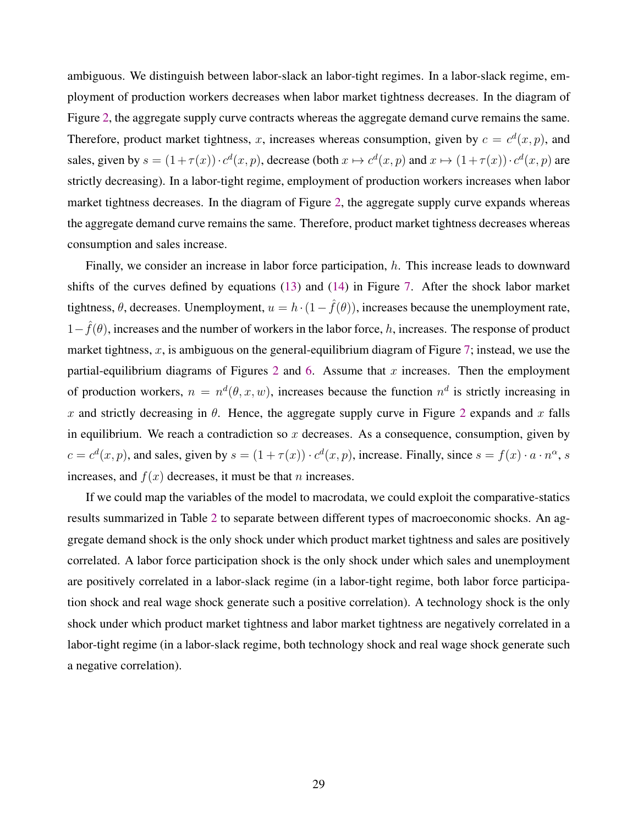<span id="page-30-0"></span>ambiguous. We distinguish between labor-slack an labor-tight regimes. In a labor-slack regime, employment of production workers decreases when labor market tightness decreases. In the diagram of Figure [2,](#page-13-0) the aggregate supply curve contracts whereas the aggregate demand curve remains the same. Therefore, product market tightness, x, increases whereas consumption, given by  $c = c<sup>d</sup>(x, p)$ , and sales, given by  $s = (1 + \tau(x)) \cdot c^d(x, p)$ , decrease (both  $x \mapsto c^d(x, p)$  and  $x \mapsto (1 + \tau(x)) \cdot c^d(x, p)$  are strictly decreasing). In a labor-tight regime, employment of production workers increases when labor market tightness decreases. In the diagram of Figure [2,](#page-13-0) the aggregate supply curve expands whereas the aggregate demand curve remains the same. Therefore, product market tightness decreases whereas consumption and sales increase.

Finally, we consider an increase in labor force participation, h. This increase leads to downward shifts of the curves defined by equations [\(13\)](#page-26-0) and [\(14\)](#page-26-0) in Figure [7.](#page-27-0) After the shock labor market tightness,  $\theta$ , decreases. Unemployment,  $u = h \cdot (1 - \hat{f}(\theta))$ , increases because the unemployment rate,  $1-\hat{f}(\theta)$ , increases and the number of workers in the labor force, h, increases. The response of product market tightness, x, is ambiguous on the general-equilibrium diagram of Figure [7;](#page-27-0) instead, we use the partial-equilibrium diagrams of Figures [2](#page-13-0) and [6.](#page-25-0) Assume that  $x$  increases. Then the employment of production workers,  $n = n<sup>d</sup>(\theta, x, w)$ , increases because the function  $n<sup>d</sup>$  is strictly increasing in x and strictly decreasing in  $\theta$ . Hence, the aggregate supply curve in Figure [2](#page-13-0) expands and x falls in equilibrium. We reach a contradiction so  $x$  decreases. As a consequence, consumption, given by  $c = c<sup>d</sup>(x, p)$ , and sales, given by  $s = (1 + \tau(x)) \cdot c<sup>d</sup>(x, p)$ , increase. Finally, since  $s = f(x) \cdot a \cdot n^{\alpha}$ , s increases, and  $f(x)$  decreases, it must be that *n* increases.

If we could map the variables of the model to macrodata, we could exploit the comparative-statics results summarized in Table [2](#page-31-0) to separate between different types of macroeconomic shocks. An aggregate demand shock is the only shock under which product market tightness and sales are positively correlated. A labor force participation shock is the only shock under which sales and unemployment are positively correlated in a labor-slack regime (in a labor-tight regime, both labor force participation shock and real wage shock generate such a positive correlation). A technology shock is the only shock under which product market tightness and labor market tightness are negatively correlated in a labor-tight regime (in a labor-slack regime, both technology shock and real wage shock generate such a negative correlation).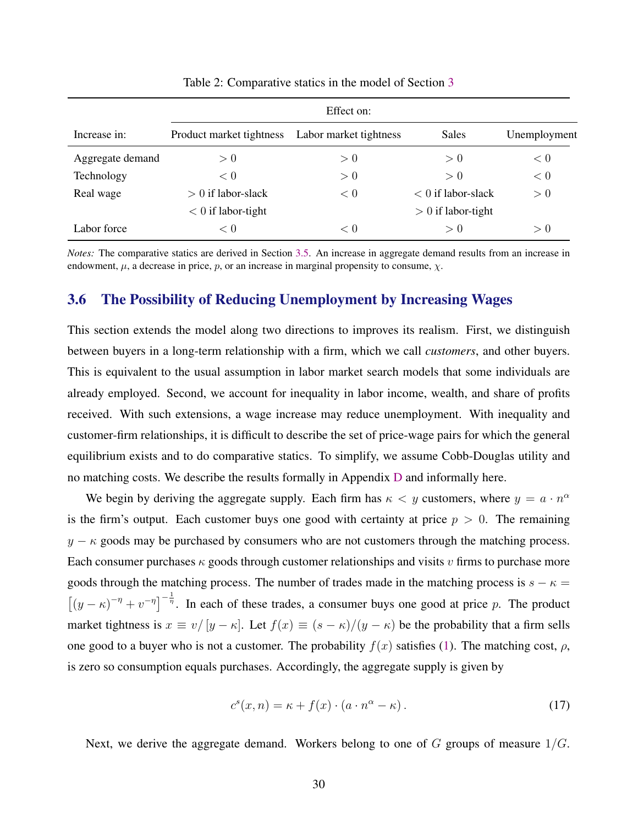<span id="page-31-0"></span>

|                  | Effect on:               |                        |                      |              |  |  |
|------------------|--------------------------|------------------------|----------------------|--------------|--|--|
| Increase in:     | Product market tightness | Labor market tightness | <b>Sales</b>         | Unemployment |  |  |
| Aggregate demand | > 0                      | > 0                    | > 0                  | < 0          |  |  |
| Technology       | < 0                      | > 0                    | > 0                  | < 0          |  |  |
| Real wage        | $> 0$ if labor-slack     | < 0                    | $< 0$ if labor-slack | > 0          |  |  |
|                  | $< 0$ if labor-tight     |                        | $> 0$ if labor-tight |              |  |  |
| Labor force      | < 0                      | < 0                    | > 0                  | > 0          |  |  |

Table 2: Comparative statics in the model of Section [3](#page-22-0)

*Notes:* The comparative statics are derived in Section [3.5.](#page-28-0) An increase in aggregate demand results from an increase in endowment,  $\mu$ , a decrease in price,  $p$ , or an increase in marginal propensity to consume,  $\chi$ .

# 3.6 The Possibility of Reducing Unemployment by Increasing Wages

This section extends the model along two directions to improves its realism. First, we distinguish between buyers in a long-term relationship with a firm, which we call *customers*, and other buyers. This is equivalent to the usual assumption in labor market search models that some individuals are already employed. Second, we account for inequality in labor income, wealth, and share of profits received. With such extensions, a wage increase may reduce unemployment. With inequality and customer-firm relationships, it is difficult to describe the set of price-wage pairs for which the general equilibrium exists and to do comparative statics. To simplify, we assume Cobb-Douglas utility and no matching costs. We describe the results formally in Appendix [D](#page-56-0) and informally here.

We begin by deriving the aggregate supply. Each firm has  $\kappa < y$  customers, where  $y = a \cdot n^{\alpha}$ is the firm's output. Each customer buys one good with certainty at price  $p > 0$ . The remaining  $y - \kappa$  goods may be purchased by consumers who are not customers through the matching process. Each consumer purchases  $\kappa$  goods through customer relationships and visits v firms to purchase more goods through the matching process. The number of trades made in the matching process is  $s - \kappa =$  $[(y - \kappa)^{-\eta} + v^{-\eta}]^{-\frac{1}{\eta}}$ . In each of these trades, a consumer buys one good at price p. The product market tightness is  $x \equiv v/[y - \kappa]$ . Let  $f(x) \equiv (s - \kappa)/(y - \kappa)$  be the probability that a firm sells one good to a buyer who is not a customer. The probability  $f(x)$  satisfies [\(1\)](#page-6-0). The matching cost,  $\rho$ , is zero so consumption equals purchases. Accordingly, the aggregate supply is given by

$$
c^{s}(x,n) = \kappa + f(x) \cdot (a \cdot n^{\alpha} - \kappa). \tag{17}
$$

Next, we derive the aggregate demand. Workers belong to one of  $G$  groups of measure  $1/G$ .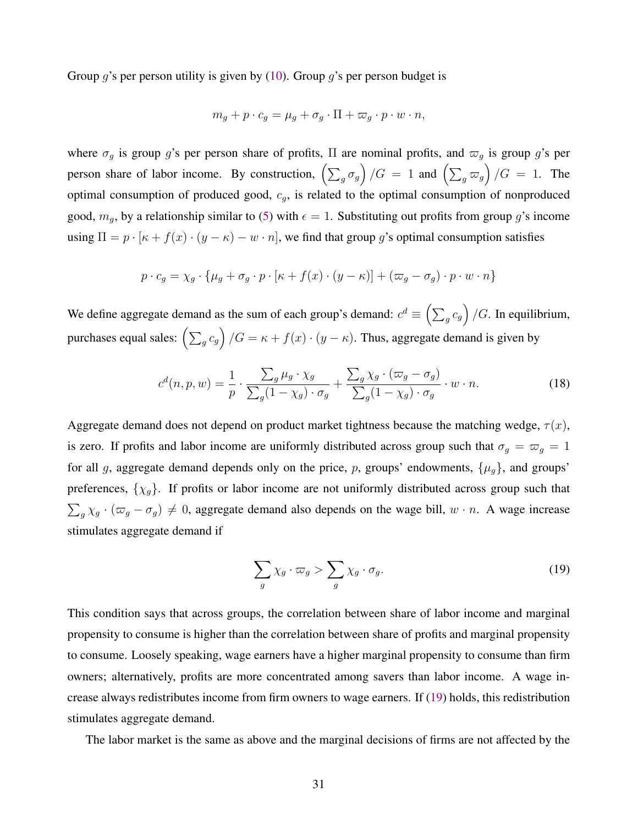<span id="page-32-0"></span>Group q's per person utility is given by  $(10)$ . Group q's per person budget is

$$
m_g + p \cdot c_g = \mu_g + \sigma_g \cdot \Pi + \varpi_g \cdot p \cdot w \cdot n,
$$

where  $\sigma_g$  is group g's per person share of profits,  $\Pi$  are nominal profits, and  $\sigma_g$  is group g's per person share of labor income. By construction,  $\left(\sum_g \sigma_g\right)/G = 1$  and  $\left(\sum_g \varpi_g\right)/G = 1$ . The optimal consumption of produced good,  $c<sub>g</sub>$ , is related to the optimal consumption of nonproduced good,  $m_q$ , by a relationship similar to [\(5\)](#page-8-0) with  $\epsilon = 1$ . Substituting out profits from group g's income using  $\Pi = p \cdot [\kappa + f(x) \cdot (y - \kappa) - w \cdot n]$ , we find that group g's optimal consumption satisfies

$$
p \cdot c_g = \chi_g \cdot \{\mu_g + \sigma_g \cdot p \cdot [\kappa + f(x) \cdot (y - \kappa)] + (\varpi_g - \sigma_g) \cdot p \cdot w \cdot n\}
$$

We define aggregate demand as the sum of each group's demand:  $c^d \equiv \left(\sum_g c_g\right)/G$ . In equilibrium, purchases equal sales:  $\left(\sum_g c_g\right)/G = \kappa + f(x) \cdot (y - \kappa)$ . Thus, aggregate demand is given by

$$
c^{d}(n, p, w) = \frac{1}{p} \cdot \frac{\sum_{g} \mu_{g} \cdot \chi_{g}}{\sum_{g} (1 - \chi_{g}) \cdot \sigma_{g}} + \frac{\sum_{g} \chi_{g} \cdot (\varpi_{g} - \sigma_{g})}{\sum_{g} (1 - \chi_{g}) \cdot \sigma_{g}} \cdot w \cdot n.
$$
 (18)

Aggregate demand does not depend on product market tightness because the matching wedge,  $\tau(x)$ , is zero. If profits and labor income are uniformly distributed across group such that  $\sigma_g = \sigma_g = 1$ for all g, aggregate demand depends only on the price, p, groups' endowments,  $\{\mu_g\}$ , and groups' preferences,  $\{\chi_g\}$ . If profits or labor income are not uniformly distributed across group such that  $\sum_{g} \chi_g \cdot (\varpi_g - \sigma_g) \neq 0$ , aggregate demand also depends on the wage bill,  $w \cdot n$ . A wage increase stimulates aggregate demand if

$$
\sum_{g} \chi_g \cdot \varpi_g > \sum_{g} \chi_g \cdot \sigma_g. \tag{19}
$$

This condition says that across groups, the correlation between share of labor income and marginal propensity to consume is higher than the correlation between share of profits and marginal propensity to consume. Loosely speaking, wage earners have a higher marginal propensity to consume than firm owners; alternatively, profits are more concentrated among savers than labor income. A wage increase always redistributes income from firm owners to wage earners. If (19) holds, this redistribution stimulates aggregate demand.

The labor market is the same as above and the marginal decisions of firms are not affected by the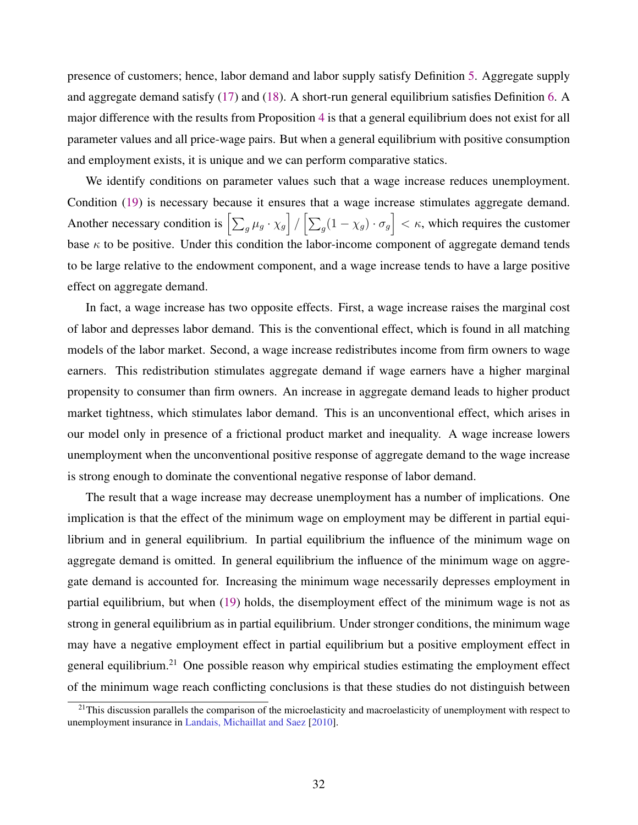presence of customers; hence, labor demand and labor supply satisfy Definition [5.](#page-24-0) Aggregate supply and aggregate demand satisfy [\(17\)](#page-31-0) and [\(18\)](#page-32-0). A short-run general equilibrium satisfies Definition [6.](#page-25-0) A major difference with the results from Proposition [4](#page-26-0) is that a general equilibrium does not exist for all parameter values and all price-wage pairs. But when a general equilibrium with positive consumption and employment exists, it is unique and we can perform comparative statics.

We identify conditions on parameter values such that a wage increase reduces unemployment. Condition [\(19\)](#page-32-0) is necessary because it ensures that a wage increase stimulates aggregate demand. Another necessary condition is  $\left[\sum_g \mu_g \cdot \chi_g\right] / \left[\sum_g (1 - \chi_g) \cdot \sigma_g\right] < \kappa$ , which requires the customer base  $\kappa$  to be positive. Under this condition the labor-income component of aggregate demand tends to be large relative to the endowment component, and a wage increase tends to have a large positive effect on aggregate demand.

In fact, a wage increase has two opposite effects. First, a wage increase raises the marginal cost of labor and depresses labor demand. This is the conventional effect, which is found in all matching models of the labor market. Second, a wage increase redistributes income from firm owners to wage earners. This redistribution stimulates aggregate demand if wage earners have a higher marginal propensity to consumer than firm owners. An increase in aggregate demand leads to higher product market tightness, which stimulates labor demand. This is an unconventional effect, which arises in our model only in presence of a frictional product market and inequality. A wage increase lowers unemployment when the unconventional positive response of aggregate demand to the wage increase is strong enough to dominate the conventional negative response of labor demand.

The result that a wage increase may decrease unemployment has a number of implications. One implication is that the effect of the minimum wage on employment may be different in partial equilibrium and in general equilibrium. In partial equilibrium the influence of the minimum wage on aggregate demand is omitted. In general equilibrium the influence of the minimum wage on aggregate demand is accounted for. Increasing the minimum wage necessarily depresses employment in partial equilibrium, but when [\(19\)](#page-32-0) holds, the disemployment effect of the minimum wage is not as strong in general equilibrium as in partial equilibrium. Under stronger conditions, the minimum wage may have a negative employment effect in partial equilibrium but a positive employment effect in general equilibrium.<sup>21</sup> One possible reason why empirical studies estimating the employment effect of the minimum wage reach conflicting conclusions is that these studies do not distinguish between

 $21$ This discussion parallels the comparison of the microelasticity and macroelasticity of unemployment with respect to unemployment insurance in [Landais, Michaillat and Saez](#page-44-0) [\[2010\]](#page-44-0).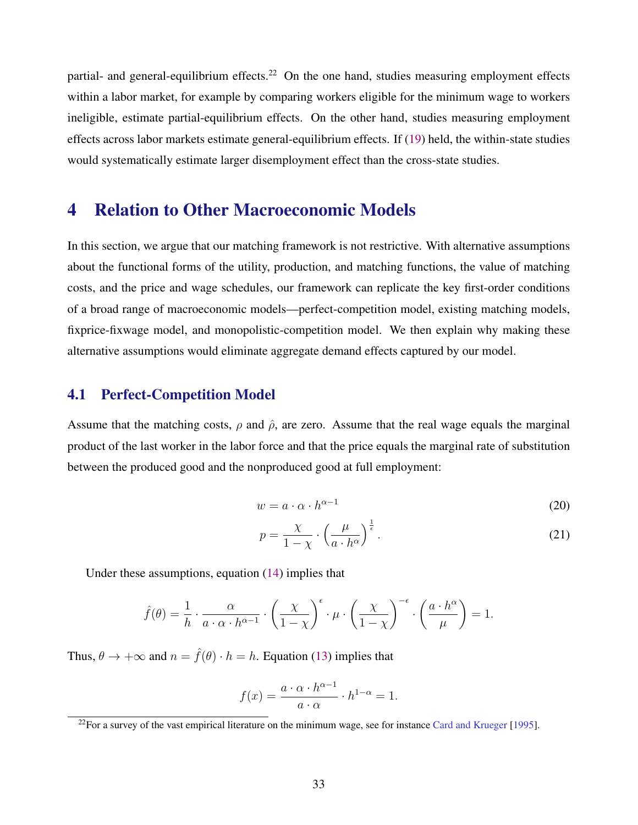<span id="page-34-0"></span>partial- and general-equilibrium effects.<sup>22</sup> On the one hand, studies measuring employment effects within a labor market, for example by comparing workers eligible for the minimum wage to workers ineligible, estimate partial-equilibrium effects. On the other hand, studies measuring employment effects across labor markets estimate general-equilibrium effects. If [\(19\)](#page-32-0) held, the within-state studies would systematically estimate larger disemployment effect than the cross-state studies.

# 4 Relation to Other Macroeconomic Models

In this section, we argue that our matching framework is not restrictive. With alternative assumptions about the functional forms of the utility, production, and matching functions, the value of matching costs, and the price and wage schedules, our framework can replicate the key first-order conditions of a broad range of macroeconomic models—perfect-competition model, existing matching models, fixprice-fixwage model, and monopolistic-competition model. We then explain why making these alternative assumptions would eliminate aggregate demand effects captured by our model.

# 4.1 Perfect-Competition Model

Assume that the matching costs,  $\rho$  and  $\hat{\rho}$ , are zero. Assume that the real wage equals the marginal product of the last worker in the labor force and that the price equals the marginal rate of substitution between the produced good and the nonproduced good at full employment:

$$
w = a \cdot \alpha \cdot h^{\alpha - 1} \tag{20}
$$

$$
p = \frac{\chi}{1 - \chi} \cdot \left(\frac{\mu}{a \cdot h^{\alpha}}\right)^{\frac{1}{\epsilon}}.
$$
 (21)

Under these assumptions, equation [\(14\)](#page-26-0) implies that

$$
\hat{f}(\theta) = \frac{1}{h} \cdot \frac{\alpha}{a \cdot \alpha \cdot h^{\alpha - 1}} \cdot \left(\frac{\chi}{1 - \chi}\right)^{\epsilon} \cdot \mu \cdot \left(\frac{\chi}{1 - \chi}\right)^{-\epsilon} \cdot \left(\frac{a \cdot h^{\alpha}}{\mu}\right) = 1.
$$

Thus,  $\theta \to +\infty$  and  $n = \hat{f}(\theta) \cdot h = h$ . Equation [\(13\)](#page-26-0) implies that

$$
f(x) = \frac{a \cdot \alpha \cdot h^{\alpha - 1}}{a \cdot \alpha} \cdot h^{1 - \alpha} = 1.
$$

 $^{22}$ For a survey of the vast empirical literature on the minimum wage, see for instance [Card and Krueger](#page-44-0) [\[1995\]](#page-44-0).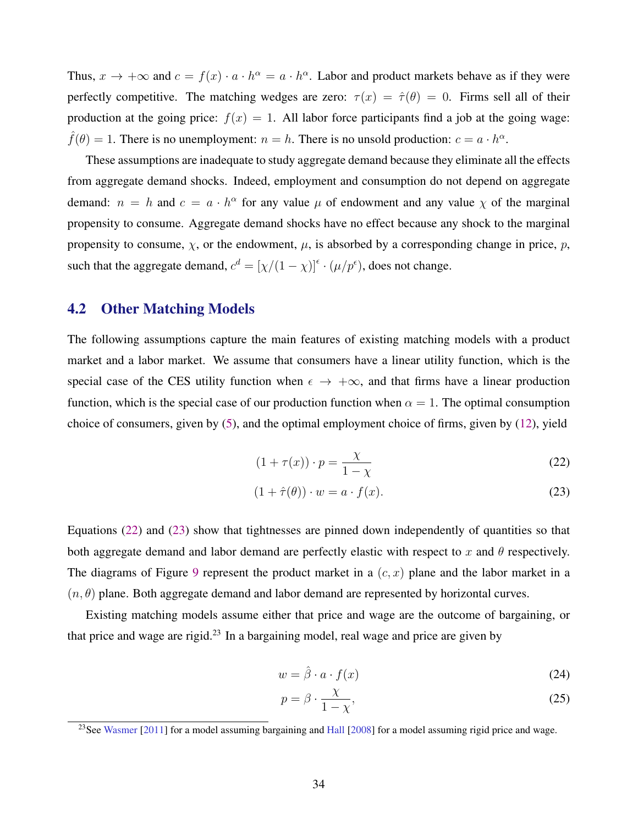<span id="page-35-0"></span>Thus,  $x \to +\infty$  and  $c = f(x) \cdot a \cdot h^{\alpha} = a \cdot h^{\alpha}$ . Labor and product markets behave as if they were perfectly competitive. The matching wedges are zero:  $\tau(x) = \hat{\tau}(\theta) = 0$ . Firms sell all of their production at the going price:  $f(x) = 1$ . All labor force participants find a job at the going wage:  $\hat{f}(\theta) = 1$ . There is no unemployment:  $n = h$ . There is no unsold production:  $c = a \cdot h^{\alpha}$ .

These assumptions are inadequate to study aggregate demand because they eliminate all the effects from aggregate demand shocks. Indeed, employment and consumption do not depend on aggregate demand:  $n = h$  and  $c = a \cdot h^{\alpha}$  for any value  $\mu$  of endowment and any value  $\chi$  of the marginal propensity to consume. Aggregate demand shocks have no effect because any shock to the marginal propensity to consume,  $\chi$ , or the endowment,  $\mu$ , is absorbed by a corresponding change in price, p, such that the aggregate demand,  $c^d = [\chi/(1-\chi)]^{\epsilon} \cdot (\mu/p^{\epsilon})$ , does not change.

# 4.2 Other Matching Models

The following assumptions capture the main features of existing matching models with a product market and a labor market. We assume that consumers have a linear utility function, which is the special case of the CES utility function when  $\epsilon \to +\infty$ , and that firms have a linear production function, which is the special case of our production function when  $\alpha = 1$ . The optimal consumption choice of consumers, given by [\(5\)](#page-8-0), and the optimal employment choice of firms, given by [\(12\)](#page-24-0), yield

$$
(1 + \tau(x)) \cdot p = \frac{\chi}{1 - \chi} \tag{22}
$$

$$
(1 + \hat{\tau}(\theta)) \cdot w = a \cdot f(x). \tag{23}
$$

Equations (22) and (23) show that tightnesses are pinned down independently of quantities so that both aggregate demand and labor demand are perfectly elastic with respect to x and  $\theta$  respectively. The diagrams of Figure [9](#page-36-0) represent the product market in a  $(c, x)$  plane and the labor market in a  $(n, \theta)$  plane. Both aggregate demand and labor demand are represented by horizontal curves.

Existing matching models assume either that price and wage are the outcome of bargaining, or that price and wage are rigid.<sup>23</sup> In a bargaining model, real wage and price are given by

$$
w = \hat{\beta} \cdot a \cdot f(x) \tag{24}
$$

$$
p = \beta \cdot \frac{\chi}{1 - \chi},\tag{25}
$$

<sup>&</sup>lt;sup>23</sup>See [Wasmer](#page-45-0) [\[2011\]](#page-45-0) for a model assuming bargaining and [Hall](#page-44-0) [\[2008\]](#page-44-0) for a model assuming rigid price and wage.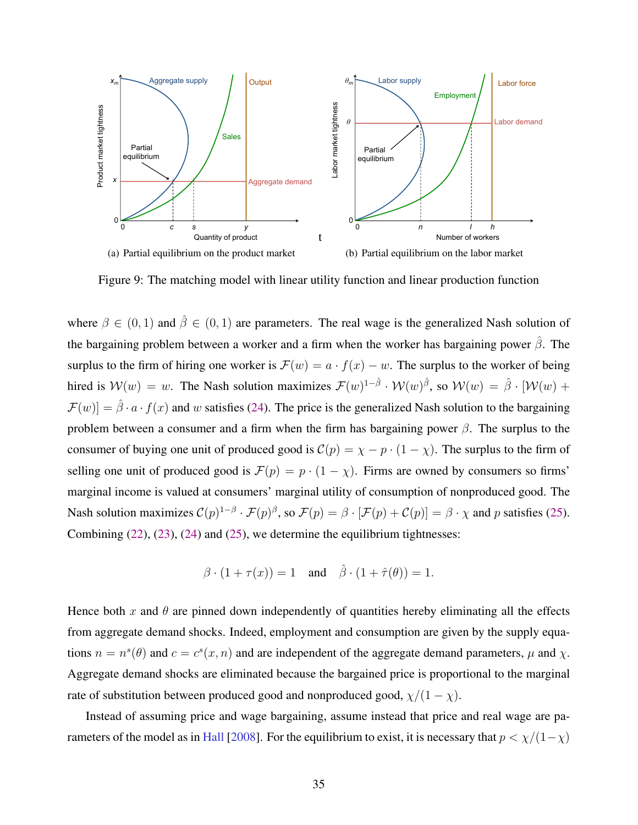<span id="page-36-0"></span>

Figure 9: The matching model with linear utility function and linear production function

where  $\beta \in (0, 1)$  and  $\hat{\beta} \in (0, 1)$  are parameters. The real wage is the generalized Nash solution of the bargaining problem between a worker and a firm when the worker has bargaining power  $\hat{\beta}$ . The surplus to the firm of hiring one worker is  $\mathcal{F}(w) = a \cdot f(x) - w$ . The surplus to the worker of being hired is  $\mathcal{W}(w) = w$ . The Nash solution maximizes  $\mathcal{F}(w)^{1-\hat{\beta}} \cdot \mathcal{W}(w)^{\hat{\beta}}$ , so  $\mathcal{W}(w) = \hat{\beta} \cdot [\mathcal{W}(w) +$  $\mathcal{F}(w) = \hat{\beta} \cdot a \cdot f(x)$  and w satisfies [\(24\)](#page-35-0). The price is the generalized Nash solution to the bargaining problem between a consumer and a firm when the firm has bargaining power  $\beta$ . The surplus to the consumer of buying one unit of produced good is  $C(p) = \chi - p \cdot (1 - \chi)$ . The surplus to the firm of selling one unit of produced good is  $\mathcal{F}(p) = p \cdot (1 - \chi)$ . Firms are owned by consumers so firms' marginal income is valued at consumers' marginal utility of consumption of nonproduced good. The Nash solution maximizes  $C(p)^{1-\beta} \cdot \mathcal{F}(p)^{\beta}$ , so  $\mathcal{F}(p) = \beta \cdot [\mathcal{F}(p) + C(p)] = \beta \cdot \chi$  and p satisfies [\(25\)](#page-35-0). Combining [\(22\)](#page-35-0), [\(23\)](#page-35-0), [\(24\)](#page-35-0) and [\(25\)](#page-35-0), we determine the equilibrium tightnesses:

$$
\beta \cdot (1 + \tau(x)) = 1 \quad \text{and} \quad \hat{\beta} \cdot (1 + \hat{\tau}(\theta)) = 1.
$$

Hence both x and  $\theta$  are pinned down independently of quantities hereby eliminating all the effects from aggregate demand shocks. Indeed, employment and consumption are given by the supply equations  $n = n^{s}(\theta)$  and  $c = c^{s}(x, n)$  and are independent of the aggregate demand parameters,  $\mu$  and  $\chi$ . Aggregate demand shocks are eliminated because the bargained price is proportional to the marginal rate of substitution between produced good and nonproduced good,  $\chi/(1-\chi)$ .

Instead of assuming price and wage bargaining, assume instead that price and real wage are pa-rameters of the model as in [Hall](#page-44-0) [\[2008\]](#page-44-0). For the equilibrium to exist, it is necessary that  $p < \chi/(1-\chi)$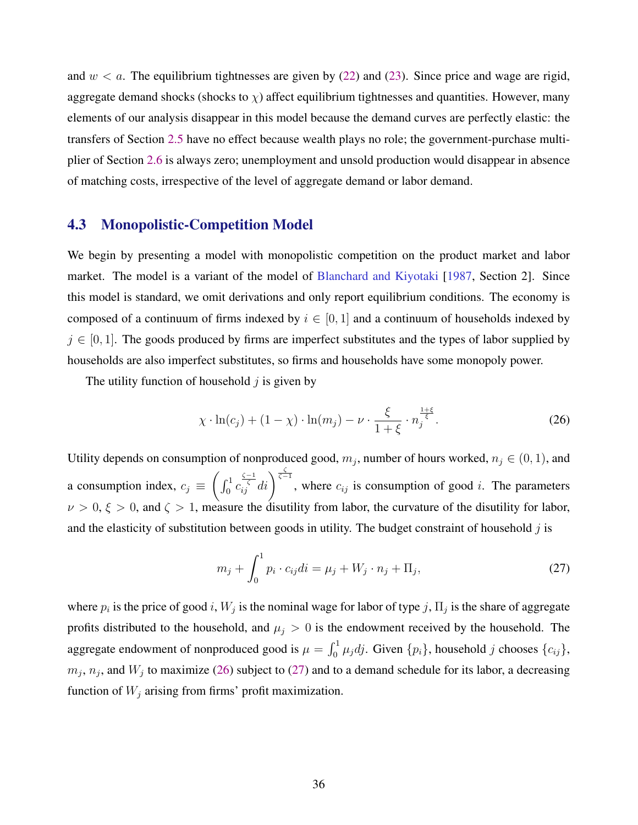and  $w < a$ . The equilibrium tightnesses are given by [\(22\)](#page-35-0) and [\(23\)](#page-35-0). Since price and wage are rigid, aggregate demand shocks (shocks to  $\chi$ ) affect equilibrium tightnesses and quantities. However, many elements of our analysis disappear in this model because the demand curves are perfectly elastic: the transfers of Section [2.5](#page-17-0) have no effect because wealth plays no role; the government-purchase multiplier of Section [2.6](#page-18-0) is always zero; unemployment and unsold production would disappear in absence of matching costs, irrespective of the level of aggregate demand or labor demand.

# 4.3 Monopolistic-Competition Model

We begin by presenting a model with monopolistic competition on the product market and labor market. The model is a variant of the model of [Blanchard and Kiyotaki](#page-44-0) [\[1987,](#page-44-0) Section 2]. Since this model is standard, we omit derivations and only report equilibrium conditions. The economy is composed of a continuum of firms indexed by  $i \in [0, 1]$  and a continuum of households indexed by  $j \in [0, 1]$ . The goods produced by firms are imperfect substitutes and the types of labor supplied by households are also imperfect substitutes, so firms and households have some monopoly power.

The utility function of household  $j$  is given by

$$
\chi \cdot \ln(c_j) + (1 - \chi) \cdot \ln(m_j) - \nu \cdot \frac{\xi}{1 + \xi} \cdot n_j^{\frac{1 + \xi}{\xi}}.
$$
 (26)

Utility depends on consumption of nonproduced good,  $m_j$ , number of hours worked,  $n_j \in (0, 1)$ , and a consumption index,  $c_j \equiv$  $\int_0^1 c_{ij}^{\frac{\zeta-1}{\zeta}}$  $\int_{i,j}^{\frac{\zeta-1}{\zeta}} di$ , where  $c_{ij}$  is consumption of good *i*. The parameters  $\nu > 0, \xi > 0$ , and  $\zeta > 1$ , measure the disutility from labor, the curvature of the disutility for labor, and the elasticity of substitution between goods in utility. The budget constraint of household  $j$  is

$$
m_j + \int_0^1 p_i \cdot c_{ij} di = \mu_j + W_j \cdot n_j + \Pi_j,
$$
 (27)

where  $p_i$  is the price of good i,  $W_j$  is the nominal wage for labor of type j,  $\Pi_j$  is the share of aggregate profits distributed to the household, and  $\mu_j > 0$  is the endowment received by the household. The aggregate endowment of nonproduced good is  $\mu = \int_0^1 \mu_j dj$ . Given  $\{p_i\}$ , household j chooses  $\{c_{ij}\}$ ,  $m_j$ ,  $n_j$ , and  $W_j$  to maximize (26) subject to (27) and to a demand schedule for its labor, a decreasing function of  $W_j$  arising from firms' profit maximization.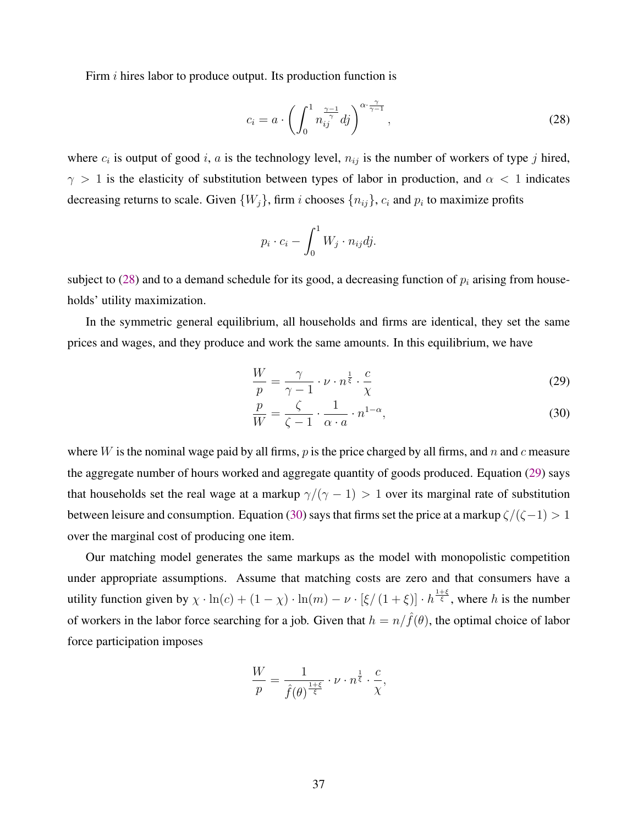<span id="page-38-0"></span>Firm *i* hires labor to produce output. Its production function is

$$
c_i = a \cdot \left( \int_0^1 n_{ij}^{\frac{\gamma - 1}{\gamma}} dj \right)^{\alpha \cdot \frac{\gamma}{\gamma - 1}}, \tag{28}
$$

where  $c_i$  is output of good i, a is the technology level,  $n_{ij}$  is the number of workers of type j hired,  $\gamma > 1$  is the elasticity of substitution between types of labor in production, and  $\alpha < 1$  indicates decreasing returns to scale. Given  $\{W_j\}$ , firm *i* chooses  $\{n_{ij}\}$ ,  $c_i$  and  $p_i$  to maximize profits

$$
p_i \cdot c_i - \int_0^1 W_j \cdot n_{ij} dj.
$$

subject to (28) and to a demand schedule for its good, a decreasing function of  $p_i$  arising from households' utility maximization.

In the symmetric general equilibrium, all households and firms are identical, they set the same prices and wages, and they produce and work the same amounts. In this equilibrium, we have

$$
\frac{W}{p} = \frac{\gamma}{\gamma - 1} \cdot \nu \cdot n^{\frac{1}{\xi}} \cdot \frac{c}{\chi} \tag{29}
$$

$$
\frac{p}{W} = \frac{\zeta}{\zeta - 1} \cdot \frac{1}{\alpha \cdot a} \cdot n^{1 - \alpha},\tag{30}
$$

where W is the nominal wage paid by all firms,  $p$  is the price charged by all firms, and  $n$  and  $c$  measure the aggregate number of hours worked and aggregate quantity of goods produced. Equation (29) says that households set the real wage at a markup  $\gamma/(\gamma - 1) > 1$  over its marginal rate of substitution between leisure and consumption. Equation (30) says that firms set the price at a markup  $\zeta/(\zeta-1) > 1$ over the marginal cost of producing one item.

Our matching model generates the same markups as the model with monopolistic competition under appropriate assumptions. Assume that matching costs are zero and that consumers have a utility function given by  $\chi \cdot \ln(c) + (1 - \chi) \cdot \ln(m) - \nu \cdot [\xi/(1 + \xi)] \cdot h^{\frac{1+\xi}{\xi}}$ , where h is the number of workers in the labor force searching for a job. Given that  $h = n/\hat{f}(\theta)$ , the optimal choice of labor force participation imposes

$$
\frac{W}{p} = \frac{1}{\hat{f}(\theta)^{\frac{1+\xi}{\xi}}} \cdot \nu \cdot n^{\frac{1}{\xi}} \cdot \frac{c}{\chi},
$$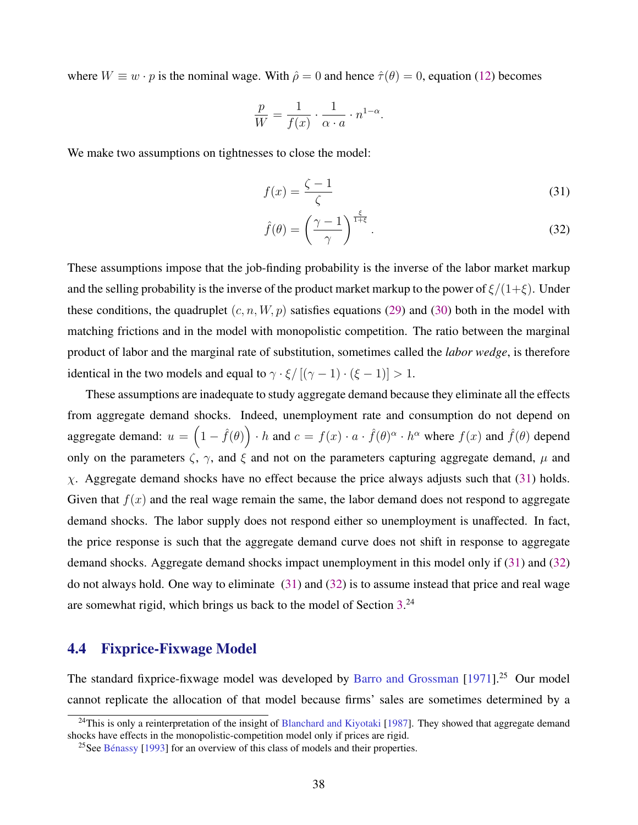<span id="page-39-0"></span>where  $W \equiv w \cdot p$  is the nominal wage. With  $\hat{\rho} = 0$  and hence  $\hat{\tau}(\theta) = 0$ , equation [\(12\)](#page-24-0) becomes

$$
\frac{p}{W} = \frac{1}{f(x)} \cdot \frac{1}{\alpha \cdot a} \cdot n^{1-\alpha}.
$$

We make two assumptions on tightnesses to close the model:

$$
f(x) = \frac{\zeta - 1}{\zeta} \tag{31}
$$

$$
\hat{f}(\theta) = \left(\frac{\gamma - 1}{\gamma}\right)^{\frac{\xi}{1 + \xi}}.\tag{32}
$$

These assumptions impose that the job-finding probability is the inverse of the labor market markup and the selling probability is the inverse of the product market markup to the power of  $\xi/(1+\xi)$ . Under these conditions, the quadruplet  $(c, n, W, p)$  satisfies equations [\(29\)](#page-38-0) and [\(30\)](#page-38-0) both in the model with matching frictions and in the model with monopolistic competition. The ratio between the marginal product of labor and the marginal rate of substitution, sometimes called the *labor wedge*, is therefore identical in the two models and equal to  $\gamma \cdot \xi / [(\gamma - 1) \cdot (\xi - 1)] > 1$ .

These assumptions are inadequate to study aggregate demand because they eliminate all the effects from aggregate demand shocks. Indeed, unemployment rate and consumption do not depend on aggregate demand:  $u = \left(1 - \hat{f}(\theta)\right) \cdot h$  and  $c = f(x) \cdot a \cdot \hat{f}(\theta)^{\alpha} \cdot h^{\alpha}$  where  $f(x)$  and  $\hat{f}(\theta)$  depend only on the parameters  $\zeta$ ,  $\gamma$ , and  $\xi$  and not on the parameters capturing aggregate demand,  $\mu$  and  $\chi$ . Aggregate demand shocks have no effect because the price always adjusts such that (31) holds. Given that  $f(x)$  and the real wage remain the same, the labor demand does not respond to aggregate demand shocks. The labor supply does not respond either so unemployment is unaffected. In fact, the price response is such that the aggregate demand curve does not shift in response to aggregate demand shocks. Aggregate demand shocks impact unemployment in this model only if (31) and (32) do not always hold. One way to eliminate (31) and (32) is to assume instead that price and real wage are somewhat rigid, which brings us back to the model of Section [3.](#page-22-0)<sup>24</sup>

# 4.4 Fixprice-Fixwage Model

The standard fixprice-fixwage model was developed by [Barro and Grossman](#page-44-0) [\[1971\]](#page-44-0).<sup>25</sup> Our model cannot replicate the allocation of that model because firms' sales are sometimes determined by a

<sup>&</sup>lt;sup>24</sup>This is only a reinterpretation of the insight of [Blanchard and Kiyotaki](#page-44-0) [\[1987\]](#page-44-0). They showed that aggregate demand shocks have effects in the monopolistic-competition model only if prices are rigid.

 $^{25}$ See Bénassy [\[1993\]](#page-44-0) for an overview of this class of models and their properties.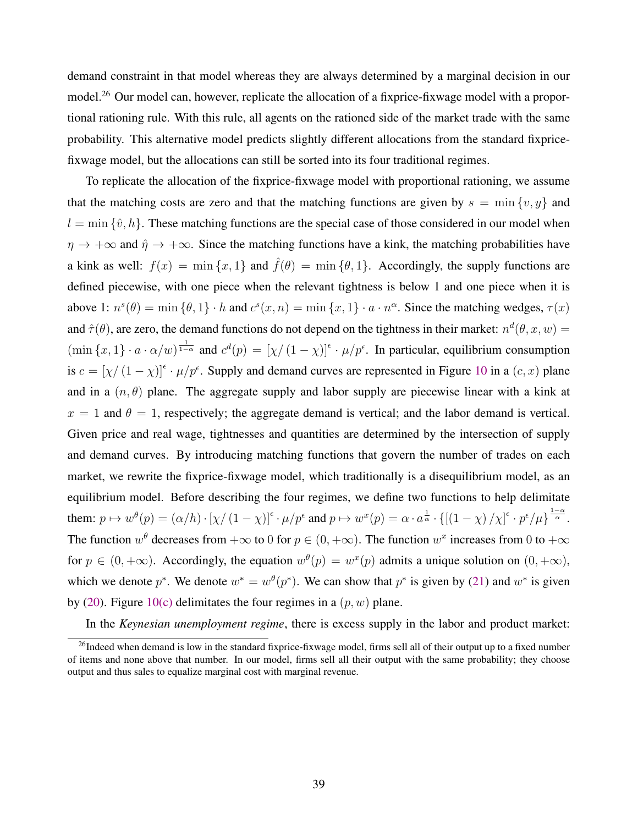demand constraint in that model whereas they are always determined by a marginal decision in our model.<sup>26</sup> Our model can, however, replicate the allocation of a fixprice-fixwage model with a proportional rationing rule. With this rule, all agents on the rationed side of the market trade with the same probability. This alternative model predicts slightly different allocations from the standard fixpricefixwage model, but the allocations can still be sorted into its four traditional regimes.

To replicate the allocation of the fixprice-fixwage model with proportional rationing, we assume that the matching costs are zero and that the matching functions are given by  $s = \min \{v, y\}$  and  $l = \min \{\hat{v}, h\}$ . These matching functions are the special case of those considered in our model when  $\eta \to +\infty$  and  $\hat{\eta} \to +\infty$ . Since the matching functions have a kink, the matching probabilities have a kink as well:  $f(x) = \min\{x, 1\}$  and  $\hat{f}(\theta) = \min\{0, 1\}$ . Accordingly, the supply functions are defined piecewise, with one piece when the relevant tightness is below 1 and one piece when it is above 1:  $n^{s}(\theta) = \min{\{\theta, 1\}} \cdot h$  and  $c^{s}(x, n) = \min{\{x, 1\}} \cdot a \cdot n^{\alpha}$ . Since the matching wedges,  $\tau(x)$ and  $\hat{\tau}(\theta)$ , are zero, the demand functions do not depend on the tightness in their market:  $n^d(\theta, x, w) =$  $(\min\{x,1\}\cdot a\cdot\alpha/w)^{\frac{1}{1-\alpha}}$  and  $c^d(p) = [\chi/(1-\chi)]^{\epsilon} \cdot \mu/p^{\epsilon}$ . In particular, equilibrium consumption is  $c = [\chi/(1-\chi)]^{\epsilon} \cdot \mu/p^{\epsilon}$ . Supply and demand curves are represented in Figure [10](#page-42-0) in a  $(c, x)$  plane and in a  $(n, \theta)$  plane. The aggregate supply and labor supply are piecewise linear with a kink at  $x = 1$  and  $\theta = 1$ , respectively; the aggregate demand is vertical; and the labor demand is vertical. Given price and real wage, tightnesses and quantities are determined by the intersection of supply and demand curves. By introducing matching functions that govern the number of trades on each market, we rewrite the fixprice-fixwage model, which traditionally is a disequilibrium model, as an equilibrium model. Before describing the four regimes, we define two functions to help delimitate them:  $p \mapsto w^{\theta}(p) = (\alpha/h) \cdot [\chi/(1-\chi)]^{\epsilon} \cdot \mu/p^{\epsilon}$  and  $p \mapsto w^{x}(p) = \alpha \cdot a^{\frac{1}{\alpha}} \cdot \{[(1-\chi)/\chi]^{\epsilon} \cdot p^{\epsilon}/\mu\}^{\frac{1-\alpha}{\alpha}}$ . The function  $w^{\theta}$  decreases from  $+\infty$  to 0 for  $p \in (0, +\infty)$ . The function  $w^x$  increases from 0 to  $+\infty$ for  $p \in (0, +\infty)$ . Accordingly, the equation  $w^{\theta}(p) = w^x(p)$  admits a unique solution on  $(0, +\infty)$ , which we denote  $p^*$ . We denote  $w^* = w^{\theta}(p^*)$ . We can show that  $p^*$  is given by [\(21\)](#page-34-0) and  $w^*$  is given by [\(20\)](#page-34-0). Figure [10\(c\)](#page-42-0) delimitates the four regimes in a  $(p, w)$  plane.

In the *Keynesian unemployment regime*, there is excess supply in the labor and product market:

<sup>&</sup>lt;sup>26</sup>Indeed when demand is low in the standard fixprice-fixwage model, firms sell all of their output up to a fixed number of items and none above that number. In our model, firms sell all their output with the same probability; they choose output and thus sales to equalize marginal cost with marginal revenue.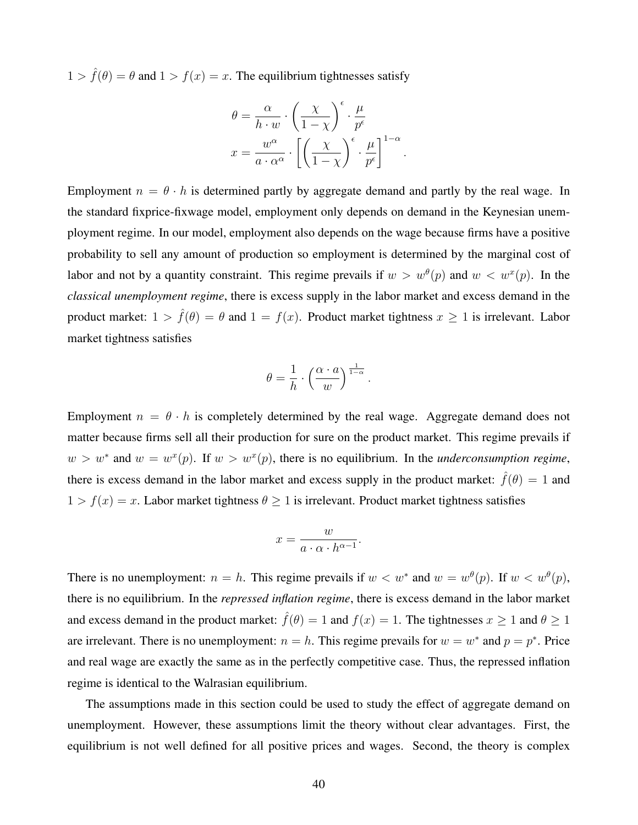$1 > \hat{f}(\theta) = \theta$  and  $1 > f(x) = x$ . The equilibrium tightnesses satisfy

$$
\theta = \frac{\alpha}{h \cdot w} \cdot \left(\frac{\chi}{1 - \chi}\right)^{\epsilon} \cdot \frac{\mu}{p^{\epsilon}}
$$

$$
x = \frac{w^{\alpha}}{a \cdot \alpha^{\alpha}} \cdot \left[\left(\frac{\chi}{1 - \chi}\right)^{\epsilon} \cdot \frac{\mu}{p^{\epsilon}}\right]^{1 - \alpha}.
$$

Employment  $n = \theta \cdot h$  is determined partly by aggregate demand and partly by the real wage. In the standard fixprice-fixwage model, employment only depends on demand in the Keynesian unemployment regime. In our model, employment also depends on the wage because firms have a positive probability to sell any amount of production so employment is determined by the marginal cost of labor and not by a quantity constraint. This regime prevails if  $w > w^{\theta}(p)$  and  $w < w^{x}(p)$ . In the *classical unemployment regime*, there is excess supply in the labor market and excess demand in the product market:  $1 > \hat{f}(\theta) = \theta$  and  $1 = f(x)$ . Product market tightness  $x \ge 1$  is irrelevant. Labor market tightness satisfies

$$
\theta = \frac{1}{h} \cdot \left(\frac{\alpha \cdot a}{w}\right)^{\frac{1}{1-\alpha}}
$$

.

Employment  $n = \theta \cdot h$  is completely determined by the real wage. Aggregate demand does not matter because firms sell all their production for sure on the product market. This regime prevails if  $w > w^*$  and  $w = w^x(p)$ . If  $w > w^x(p)$ , there is no equilibrium. In the *underconsumption regime*, there is excess demand in the labor market and excess supply in the product market:  $\hat{f}(\theta) = 1$  and  $1 > f(x) = x$ . Labor market tightness  $\theta \ge 1$  is irrelevant. Product market tightness satisfies

$$
x = \frac{w}{a \cdot \alpha \cdot h^{\alpha - 1}}.
$$

There is no unemployment:  $n = h$ . This regime prevails if  $w < w^*$  and  $w = w^{\theta}(p)$ . If  $w < w^{\theta}(p)$ , there is no equilibrium. In the *repressed inflation regime*, there is excess demand in the labor market and excess demand in the product market:  $\hat{f}(\theta) = 1$  and  $f(x) = 1$ . The tightnesses  $x > 1$  and  $\theta > 1$ are irrelevant. There is no unemployment:  $n = h$ . This regime prevails for  $w = w^*$  and  $p = p^*$ . Price and real wage are exactly the same as in the perfectly competitive case. Thus, the repressed inflation regime is identical to the Walrasian equilibrium.

The assumptions made in this section could be used to study the effect of aggregate demand on unemployment. However, these assumptions limit the theory without clear advantages. First, the equilibrium is not well defined for all positive prices and wages. Second, the theory is complex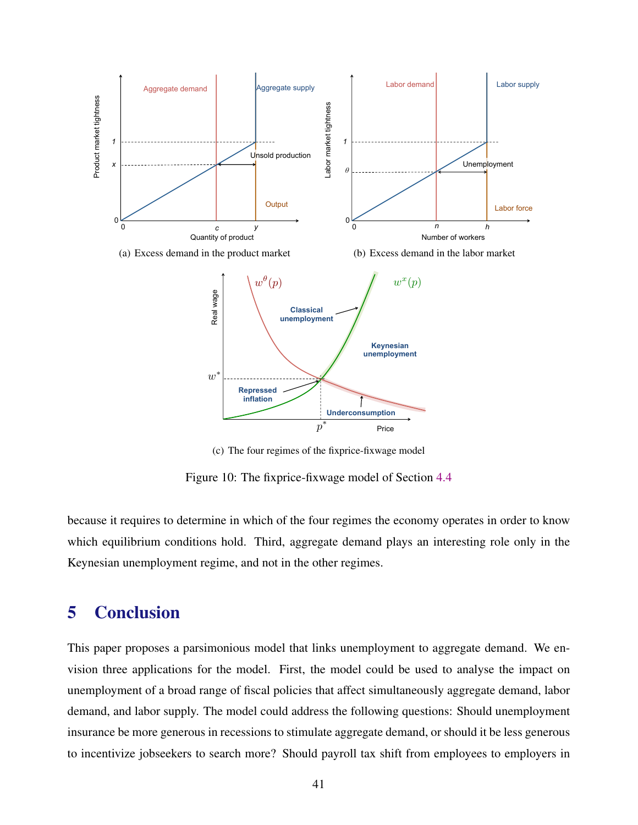<span id="page-42-0"></span>

(c) The four regimes of the fixprice-fixwage model

Figure 10: The fixprice-fixwage model of Section [4.4](#page-39-0)

because it requires to determine in which of the four regimes the economy operates in order to know which equilibrium conditions hold. Third, aggregate demand plays an interesting role only in the Keynesian unemployment regime, and not in the other regimes.

# 5 Conclusion

This paper proposes a parsimonious model that links unemployment to aggregate demand. We envision three applications for the model. First, the model could be used to analyse the impact on unemployment of a broad range of fiscal policies that affect simultaneously aggregate demand, labor demand, and labor supply. The model could address the following questions: Should unemployment insurance be more generous in recessions to stimulate aggregate demand, or should it be less generous to incentivize jobseekers to search more? Should payroll tax shift from employees to employers in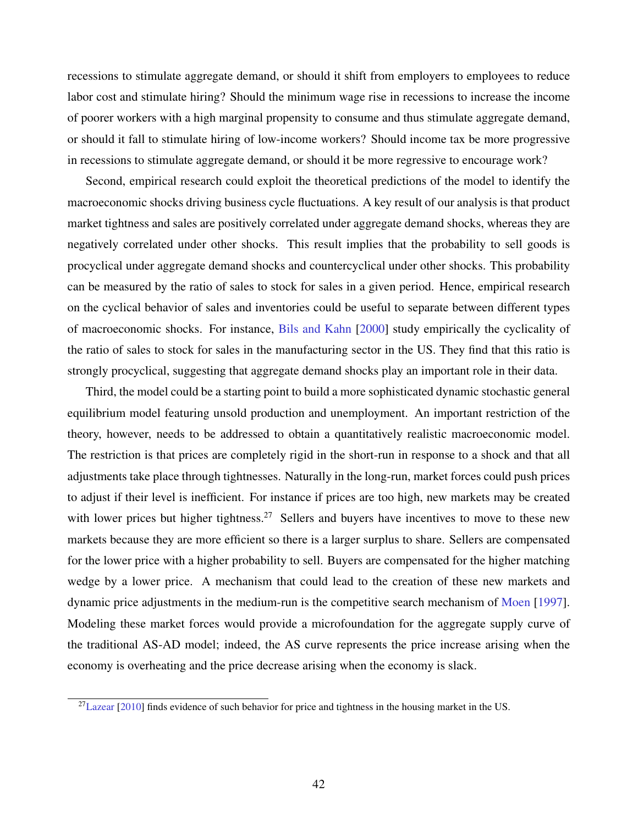recessions to stimulate aggregate demand, or should it shift from employers to employees to reduce labor cost and stimulate hiring? Should the minimum wage rise in recessions to increase the income of poorer workers with a high marginal propensity to consume and thus stimulate aggregate demand, or should it fall to stimulate hiring of low-income workers? Should income tax be more progressive in recessions to stimulate aggregate demand, or should it be more regressive to encourage work?

Second, empirical research could exploit the theoretical predictions of the model to identify the macroeconomic shocks driving business cycle fluctuations. A key result of our analysis is that product market tightness and sales are positively correlated under aggregate demand shocks, whereas they are negatively correlated under other shocks. This result implies that the probability to sell goods is procyclical under aggregate demand shocks and countercyclical under other shocks. This probability can be measured by the ratio of sales to stock for sales in a given period. Hence, empirical research on the cyclical behavior of sales and inventories could be useful to separate between different types of macroeconomic shocks. For instance, [Bils and Kahn](#page-44-0) [\[2000\]](#page-44-0) study empirically the cyclicality of the ratio of sales to stock for sales in the manufacturing sector in the US. They find that this ratio is strongly procyclical, suggesting that aggregate demand shocks play an important role in their data.

Third, the model could be a starting point to build a more sophisticated dynamic stochastic general equilibrium model featuring unsold production and unemployment. An important restriction of the theory, however, needs to be addressed to obtain a quantitatively realistic macroeconomic model. The restriction is that prices are completely rigid in the short-run in response to a shock and that all adjustments take place through tightnesses. Naturally in the long-run, market forces could push prices to adjust if their level is inefficient. For instance if prices are too high, new markets may be created with lower prices but higher tightness.<sup>27</sup> Sellers and buyers have incentives to move to these new markets because they are more efficient so there is a larger surplus to share. Sellers are compensated for the lower price with a higher probability to sell. Buyers are compensated for the higher matching wedge by a lower price. A mechanism that could lead to the creation of these new markets and dynamic price adjustments in the medium-run is the competitive search mechanism of [Moen](#page-45-0) [\[1997\]](#page-45-0). Modeling these market forces would provide a microfoundation for the aggregate supply curve of the traditional AS-AD model; indeed, the AS curve represents the price increase arising when the economy is overheating and the price decrease arising when the economy is slack.

 $^{27}$ [Lazear](#page-45-0) [\[2010\]](#page-45-0) finds evidence of such behavior for price and tightness in the housing market in the US.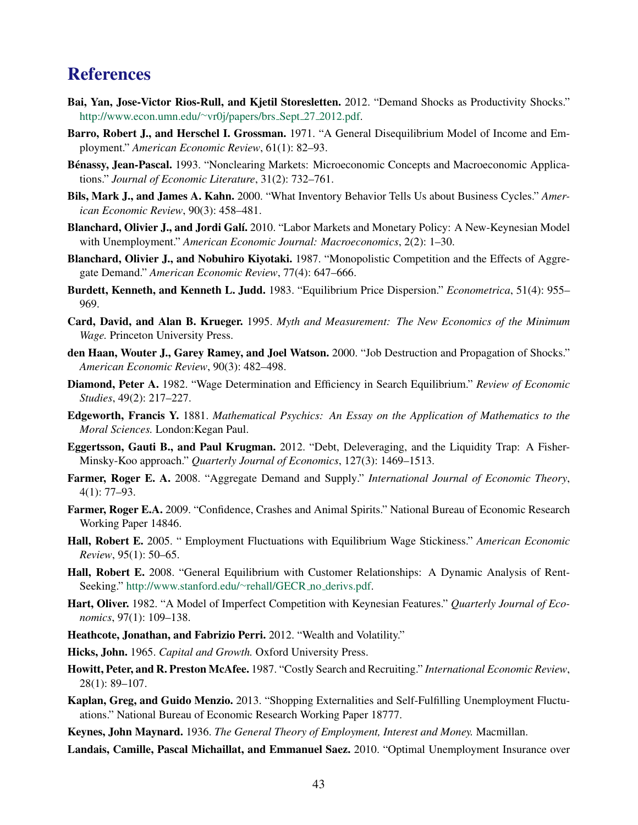# <span id="page-44-0"></span>**References**

- Bai, Yan, Jose-Victor Rios-Rull, and Kjetil Storesletten. 2012. "Demand Shocks as Productivity Shocks." [http://www.econ.umn.edu/](http://www.econ.umn.edu/~vr0j/papers/brs_Sept_27_2012.pdf)∼vr0j/papers/brs Sept 27 2012.pdf.
- Barro, Robert J., and Herschel I. Grossman. 1971. "A General Disequilibrium Model of Income and Employment." *American Economic Review*, 61(1): 82–93.
- Bénassy, Jean-Pascal. 1993. "Nonclearing Markets: Microeconomic Concepts and Macroeconomic Applications." *Journal of Economic Literature*, 31(2): 732–761.
- Bils, Mark J., and James A. Kahn. 2000. "What Inventory Behavior Tells Us about Business Cycles." *American Economic Review*, 90(3): 458–481.
- Blanchard, Olivier J., and Jordi Galí. 2010. "Labor Markets and Monetary Policy: A New-Keynesian Model with Unemployment." *American Economic Journal: Macroeconomics*, 2(2): 1–30.
- Blanchard, Olivier J., and Nobuhiro Kiyotaki. 1987. "Monopolistic Competition and the Effects of Aggregate Demand." *American Economic Review*, 77(4): 647–666.
- Burdett, Kenneth, and Kenneth L. Judd. 1983. "Equilibrium Price Dispersion." *Econometrica*, 51(4): 955– 969.
- Card, David, and Alan B. Krueger. 1995. *Myth and Measurement: The New Economics of the Minimum Wage.* Princeton University Press.
- den Haan, Wouter J., Garey Ramey, and Joel Watson. 2000. "Job Destruction and Propagation of Shocks." *American Economic Review*, 90(3): 482–498.
- Diamond, Peter A. 1982. "Wage Determination and Efficiency in Search Equilibrium." *Review of Economic Studies*, 49(2): 217–227.
- Edgeworth, Francis Y. 1881. *Mathematical Psychics: An Essay on the Application of Mathematics to the Moral Sciences.* London:Kegan Paul.
- Eggertsson, Gauti B., and Paul Krugman. 2012. "Debt, Deleveraging, and the Liquidity Trap: A Fisher-Minsky-Koo approach." *Quarterly Journal of Economics*, 127(3): 1469–1513.
- Farmer, Roger E. A. 2008. "Aggregate Demand and Supply." *International Journal of Economic Theory*, 4(1): 77–93.
- Farmer, Roger E.A. 2009. "Confidence, Crashes and Animal Spirits." National Bureau of Economic Research Working Paper 14846.
- Hall, Robert E. 2005. " Employment Fluctuations with Equilibrium Wage Stickiness." *American Economic Review*, 95(1): 50–65.
- Hall, Robert E. 2008. "General Equilibrium with Customer Relationships: A Dynamic Analysis of RentSeeking." [http://www.stanford.edu/](http://www.stanford.edu/~rehall/GECR_no_derivs.pdf)∼rehall/GECR\_no\_derivs.pdf.
- Hart, Oliver. 1982. "A Model of Imperfect Competition with Keynesian Features." *Quarterly Journal of Economics*, 97(1): 109–138.
- Heathcote, Jonathan, and Fabrizio Perri. 2012. "Wealth and Volatility."
- Hicks, John. 1965. *Capital and Growth.* Oxford University Press.
- Howitt, Peter, and R. Preston McAfee. 1987. "Costly Search and Recruiting." *International Economic Review*, 28(1): 89–107.
- Kaplan, Greg, and Guido Menzio. 2013. "Shopping Externalities and Self-Fulfilling Unemployment Fluctuations." National Bureau of Economic Research Working Paper 18777.
- Keynes, John Maynard. 1936. *The General Theory of Employment, Interest and Money.* Macmillan.
- Landais, Camille, Pascal Michaillat, and Emmanuel Saez. 2010. "Optimal Unemployment Insurance over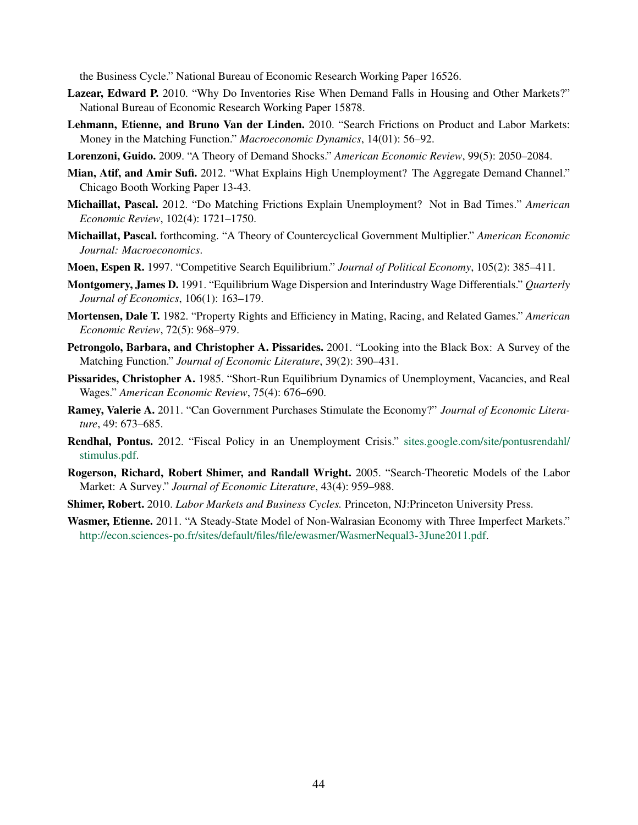<span id="page-45-0"></span>the Business Cycle." National Bureau of Economic Research Working Paper 16526.

- Lazear, Edward P. 2010. "Why Do Inventories Rise When Demand Falls in Housing and Other Markets?" National Bureau of Economic Research Working Paper 15878.
- Lehmann, Etienne, and Bruno Van der Linden. 2010. "Search Frictions on Product and Labor Markets: Money in the Matching Function." *Macroeconomic Dynamics*, 14(01): 56–92.
- Lorenzoni, Guido. 2009. "A Theory of Demand Shocks." *American Economic Review*, 99(5): 2050–2084.
- Mian, Atif, and Amir Sufi. 2012. "What Explains High Unemployment? The Aggregate Demand Channel." Chicago Booth Working Paper 13-43.
- Michaillat, Pascal. 2012. "Do Matching Frictions Explain Unemployment? Not in Bad Times." *American Economic Review*, 102(4): 1721–1750.
- Michaillat, Pascal. forthcoming. "A Theory of Countercyclical Government Multiplier." *American Economic Journal: Macroeconomics*.
- Moen, Espen R. 1997. "Competitive Search Equilibrium." *Journal of Political Economy*, 105(2): 385–411.
- Montgomery, James D. 1991. "Equilibrium Wage Dispersion and Interindustry Wage Differentials." *Quarterly Journal of Economics*, 106(1): 163–179.
- Mortensen, Dale T. 1982. "Property Rights and Efficiency in Mating, Racing, and Related Games." *American Economic Review*, 72(5): 968–979.
- Petrongolo, Barbara, and Christopher A. Pissarides. 2001. "Looking into the Black Box: A Survey of the Matching Function." *Journal of Economic Literature*, 39(2): 390–431.
- Pissarides, Christopher A. 1985. "Short-Run Equilibrium Dynamics of Unemployment, Vacancies, and Real Wages." *American Economic Review*, 75(4): 676–690.
- Ramey, Valerie A. 2011. "Can Government Purchases Stimulate the Economy?" *Journal of Economic Literature*, 49: 673–685.
- Rendhal, Pontus. 2012. "Fiscal Policy in an Unemployment Crisis." [sites.google.com/site/pontusrendahl/](sites.google.com/site/pontusrendahl/stimulus.pdf) [stimulus.pdf.](sites.google.com/site/pontusrendahl/stimulus.pdf)
- Rogerson, Richard, Robert Shimer, and Randall Wright. 2005. "Search-Theoretic Models of the Labor Market: A Survey." *Journal of Economic Literature*, 43(4): 959–988.
- Shimer, Robert. 2010. *Labor Markets and Business Cycles.* Princeton, NJ:Princeton University Press.
- Wasmer, Etienne. 2011. "A Steady-State Model of Non-Walrasian Economy with Three Imperfect Markets." [http://econ.sciences-po.fr/sites/default/files/file/ewasmer/WasmerNequal3-3June2011.pdf.](http://econ.sciences-po.fr/sites/default/files/file/ewasmer/WasmerNequal3-3June2011.pdf)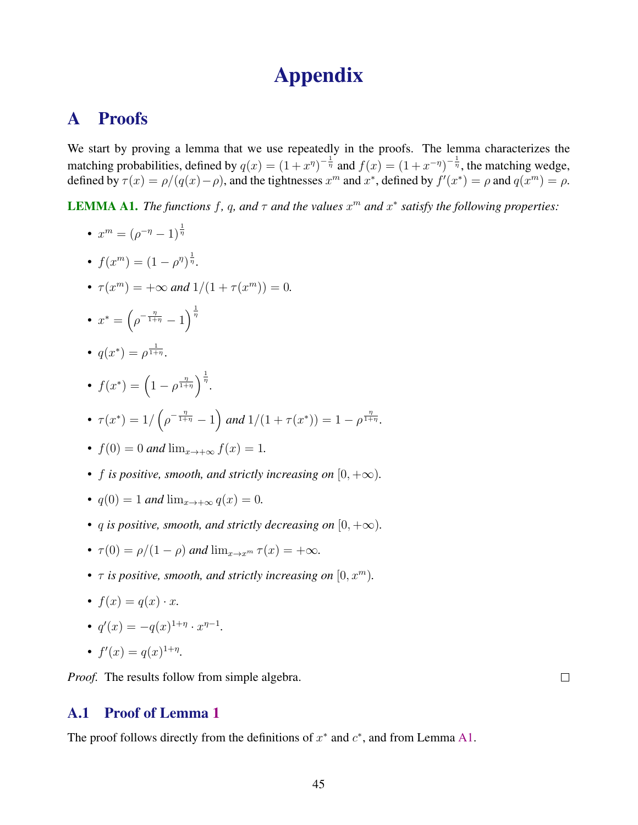# Appendix

# <span id="page-46-0"></span>A Proofs

We start by proving a lemma that we use repeatedly in the proofs. The lemma characterizes the matching probabilities, defined by  $q(x) = (1+x^{\eta})^{-\frac{1}{\eta}}$  and  $f(x) = (1+x^{-\eta})^{-\frac{1}{\eta}}$ , the matching wedge, defined by  $\tau(x) = \rho/(q(x) - \rho)$ , and the tightnesses  $x^m$  and  $x^*$ , defined by  $f'(x^*) = \rho$  and  $q(x^m) = \rho$ .

**LEMMA A1.** *The functions* f, q, and  $\tau$  and the values  $x^m$  and  $x^*$  satisfy the following properties:

- $x^m = (\rho^{-\eta} 1)^{\frac{1}{\eta}}$
- $f(x^m) = (1 \rho^{\eta})^{\frac{1}{\eta}}$ .
- $\tau(x^m) = +\infty$  *and*  $1/(1 + \tau(x^m)) = 0$ *.*
- $x^* = \left(\rho^{-\frac{\eta}{1+\eta}} 1\right)$  $\frac{1}{\eta}$
- $q(x^*) = \rho^{\frac{1}{1+\eta}}$ .
- $f(x^*) = \left(1 \rho^{\frac{\eta}{1+\eta}}\right)^{\frac{1}{\eta}}$ . •  $\tau(x^*) = 1/\left(\rho^{-\frac{\eta}{1+\eta}} - 1\right)$  and  $1/(1+\tau(x^*)) = 1 - \rho^{\frac{\eta}{1+\eta}}$ .

• 
$$
f(0) = 0
$$
 and  $\lim_{x \to +\infty} f(x) = 1$ .

- *f is positive, smooth, and strictly increasing on*  $[0, +\infty)$ *.*
- $q(0) = 1$  *and*  $\lim_{x \to +\infty} q(x) = 0$ *.*
- *q* is positive, smooth, and strictly decreasing on  $[0, +\infty)$ .
- $\tau(0) = \rho/(1-\rho)$  *and*  $\lim_{x \to x^m} \tau(x) = +\infty$ *.*
- $\tau$  *is positive, smooth, and strictly increasing on*  $[0, x^m)$ *.*
- $f(x) = q(x) \cdot x$ .
- $q'(x) = -q(x)^{1+\eta} \cdot x^{\eta-1}$ .

• 
$$
f'(x) = q(x)^{1+\eta}.
$$

*Proof.* The results follow from simple algebra.

# A.1 Proof of Lemma [1](#page-10-0)

The proof follows directly from the definitions of  $x^*$  and  $c^*$ , and from Lemma A1.

 $\Box$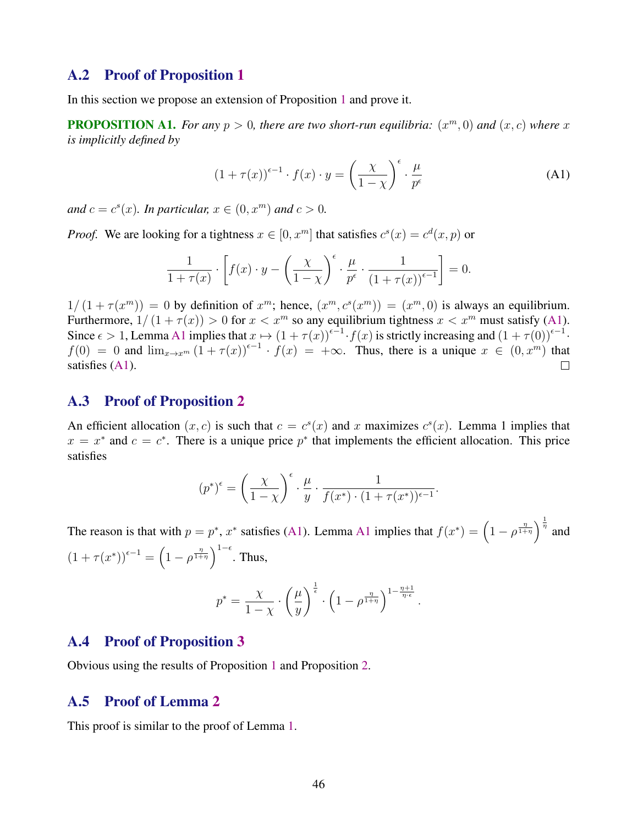### <span id="page-47-0"></span>A.2 Proof of Proposition [1](#page-12-0)

In this section we propose an extension of Proposition [1](#page-12-0) and prove it.

**PROPOSITION A1.** For any  $p > 0$ , there are two short-run equilibria:  $(x^m, 0)$  and  $(x, c)$  where x *is implicitly defined by*

$$
(1 + \tau(x))^{\epsilon - 1} \cdot f(x) \cdot y = \left(\frac{\chi}{1 - \chi}\right)^{\epsilon} \cdot \frac{\mu}{p^{\epsilon}} \tag{A1}
$$

and  $c = c<sup>s</sup>(x)$ *. In particular,*  $x \in (0, x^m)$  and  $c > 0$ *.* 

*Proof.* We are looking for a tightness  $x \in [0, x^m]$  that satisfies  $c^s(x) = c^d(x, p)$  or

$$
\frac{1}{1+\tau(x)} \cdot \left[ f(x) \cdot y - \left( \frac{\chi}{1-\chi} \right)^{\epsilon} \cdot \frac{\mu}{p^{\epsilon}} \cdot \frac{1}{(1+\tau(x))^{\epsilon-1}} \right] = 0.
$$

 $1/(1+\tau(x^m)) = 0$  by definition of  $x^m$ ; hence,  $(x^m, c^s(x^m)) = (x^m, 0)$  is always an equilibrium. Furthermore,  $1/(1 + \tau(x)) > 0$  for  $x < x^m$  so any equilibrium tightness  $x < x^m$  must satisfy (A1). Since  $\epsilon > 1$ , Lemma [A1](#page-46-0) implies that  $x \mapsto (1 + \tau(x))^{e-1} \cdot f(x)$  is strictly increasing and  $(1 + \tau(0))^{e-1} \cdot$  $f(0) = 0$  and  $\lim_{x\to x^m} (1 + \tau(x))^{(-1)} \cdot f(x) = +\infty$ . Thus, there is a unique  $x \in (0, x^m)$  that satisfies (A1).

#### A.3 Proof of Proposition [2](#page-14-0)

An efficient allocation  $(x, c)$  is such that  $c = c<sup>s</sup>(x)$  and x maximizes  $c<sup>s</sup>(x)$ . Lemma 1 implies that  $x = x^*$  and  $c = c^*$ . There is a unique price  $p^*$  that implements the efficient allocation. This price satisfies

$$
(p^*)^{\epsilon} = \left(\frac{\chi}{1-\chi}\right)^{\epsilon} \cdot \frac{\mu}{y} \cdot \frac{1}{f(x^*) \cdot (1+\tau(x^*))^{\epsilon-1}}.
$$

The reason is that with  $p = p^*$ ,  $x^*$  satisfies ([A1](#page-46-0)). Lemma A1 implies that  $f(x^*) = \left(1 - \rho^{\frac{\eta}{1+\eta}}\right)^{\frac{1}{\eta}}$  and  $(1 + \tau(x^*))^{\epsilon - 1} = \left(1 - \rho^{\frac{\eta}{1 + \eta}}\right)^{1 - \epsilon}$ . Thus,

$$
p^* = \frac{\chi}{1-\chi} \cdot \left(\frac{\mu}{y}\right)^{\frac{1}{\epsilon}} \cdot \left(1 - \rho^{\frac{\eta}{1+\eta}}\right)^{1-\frac{\eta+1}{\eta \cdot \epsilon}}.
$$

#### A.4 Proof of Proposition [3](#page-14-0)

Obvious using the results of Proposition [1](#page-12-0) and Proposition [2.](#page-14-0)

### A.5 Proof of Lemma [2](#page-24-0)

This proof is similar to the proof of Lemma [1.](#page-10-0)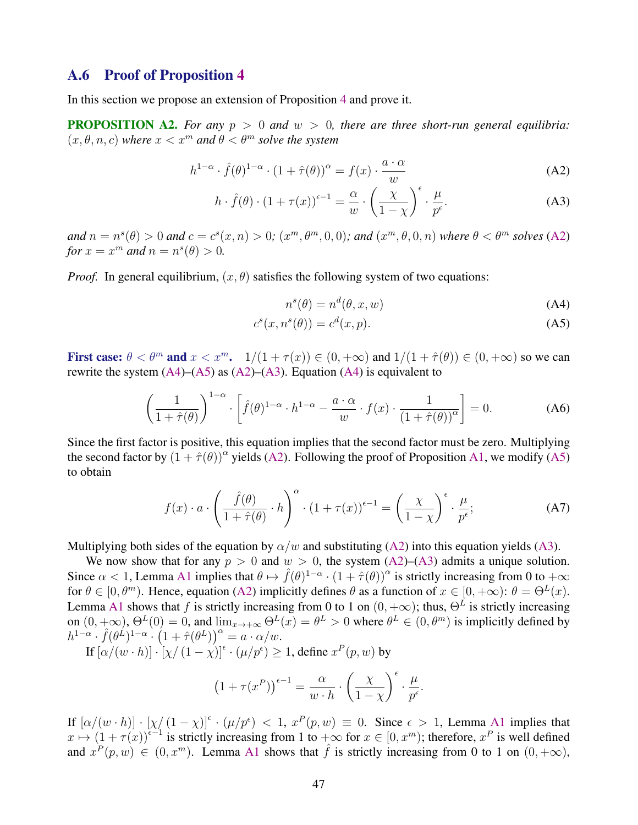### <span id="page-48-0"></span>A.6 Proof of Proposition [4](#page-26-0)

In this section we propose an extension of Proposition [4](#page-26-0) and prove it.

**PROPOSITION A2.** For any  $p > 0$  and  $w > 0$ , there are three short-run general equilibria:  $(x, \theta, n, c)$  *where*  $x < x^m$  *and*  $\theta < \theta^m$  *solve the system* 

$$
h^{1-\alpha} \cdot \hat{f}(\theta)^{1-\alpha} \cdot (1+\hat{\tau}(\theta))^{\alpha} = f(x) \cdot \frac{a \cdot \alpha}{w}
$$
 (A2)

$$
h \cdot \hat{f}(\theta) \cdot (1 + \tau(x))^{\epsilon - 1} = \frac{\alpha}{w} \cdot \left(\frac{\chi}{1 - \chi}\right)^{\epsilon} \cdot \frac{\mu}{p^{\epsilon}}.
$$
 (A3)

 $and\ n = n<sup>s</sup>(\theta) > 0$  and  $c = c<sup>s</sup>(x, n) > 0$ ;  $(x<sup>m</sup>, \theta<sup>m</sup>, 0, 0)$ ; and  $(x<sup>m</sup>, \theta, 0, n)$  where  $\theta < \theta<sup>m</sup>$  solves (A2) *for*  $x = x^m$  *and*  $n = n^s(\theta) > 0$ *.* 

*Proof.* In general equilibrium,  $(x, \theta)$  satisfies the following system of two equations:

$$
n^{s}(\theta) = n^{d}(\theta, x, w)
$$
 (A4)

$$
c^s(x, n^s(\theta)) = c^d(x, p). \tag{A5}
$$

First case:  $\theta < \theta^m$  and  $x < x^m$ .  $1/(1 + \tau(x)) \in (0, +\infty)$  and  $1/(1 + \hat{\tau}(\theta)) \in (0, +\infty)$  so we can rewrite the system  $(A4)$ – $(A5)$  as  $(A2)$ – $(A3)$ . Equation  $(A4)$  is equivalent to

$$
\left(\frac{1}{1+\hat{\tau}(\theta)}\right)^{1-\alpha} \cdot \left[\hat{f}(\theta)^{1-\alpha} \cdot h^{1-\alpha} - \frac{a \cdot \alpha}{w} \cdot f(x) \cdot \frac{1}{(1+\hat{\tau}(\theta))^{\alpha}}\right] = 0.
$$
 (A6)

Since the first factor is positive, this equation implies that the second factor must be zero. Multiplying the second factor by  $(1 + \hat{\tau}(\theta))^{\alpha}$  yields (A2). Following the proof of Proposition [A1,](#page-47-0) we modify (A5) to obtain

$$
f(x) \cdot a \cdot \left(\frac{\hat{f}(\theta)}{1 + \hat{\tau}(\theta)} \cdot h\right)^{\alpha} \cdot \left(1 + \tau(x)\right)^{\epsilon - 1} = \left(\frac{\chi}{1 - \chi}\right)^{\epsilon} \cdot \frac{\mu}{p^{\epsilon}};
$$
 (A7)

Multiplying both sides of the equation by  $\alpha/w$  and substituting (A2) into this equation yields (A3).

We now show that for any  $p > 0$  and  $w > 0$ , the system  $(A2)$ – $(A3)$  admits a unique solution. Since  $\alpha < 1$ , Lemma [A1](#page-46-0) implies that  $\theta \mapsto \hat{f}(\theta)^{1-\alpha} \cdot (1+\hat{\tau}(\theta))^{\alpha}$  is strictly increasing from 0 to  $+\infty$ for  $\theta \in [0, \theta^m)$ . Hence, equation (A2) implicitly defines  $\theta$  as a function of  $x \in [0, +\infty)$ :  $\theta = \Theta^L(x)$ . Lemma [A1](#page-46-0) shows that f is strictly increasing from 0 to 1 on  $(0, +\infty)$ ; thus,  $\Theta^L$  is strictly increasing on  $(0, +\infty)$ ,  $\Theta^L(0) = 0$ , and  $\lim_{x\to+\infty} \Theta^L(x) = \theta^L > 0$  where  $\theta^L \in (0, \theta^m)$  is implicitly defined by  $h^{1-\alpha} \cdot \hat{f}(\theta^{\hat{L}})^{1-\alpha} \cdot \left(1+\hat{\tau}(\theta^L)\right)^{\alpha} = a \cdot \alpha/w.$ 

If  $[\alpha/(w \cdot h)] \cdot [\chi/(1 - \chi)]^{\epsilon} \cdot (\mu/p^{\epsilon}) \ge 1$ , define  $x^P(p, w)$  by

$$
(1 + \tau(x^{P}))^{\epsilon - 1} = \frac{\alpha}{w \cdot h} \cdot \left(\frac{\chi}{1 - \chi}\right)^{\epsilon} \cdot \frac{\mu}{p^{\epsilon}}.
$$

If  $[\alpha/(w \cdot h)] \cdot [\chi/(1-\chi)]^{\epsilon} \cdot (\mu/p^{\epsilon}) < 1$ ,  $x^P(p, w) \equiv 0$ . Since  $\epsilon > 1$ , Lemma [A1](#page-46-0) implies that  $x \mapsto (1 + \tau(x))^{\epsilon-1}$  is strictly increasing from 1 to  $+\infty$  for  $x \in [0, x^m)$ ; therefore,  $x^P$  is well defined and  $x^P(p, w) \in (0, x^m)$ . Lemma [A1](#page-46-0) shows that  $\hat{f}$  is strictly increasing from 0 to 1 on  $(0, +\infty)$ ,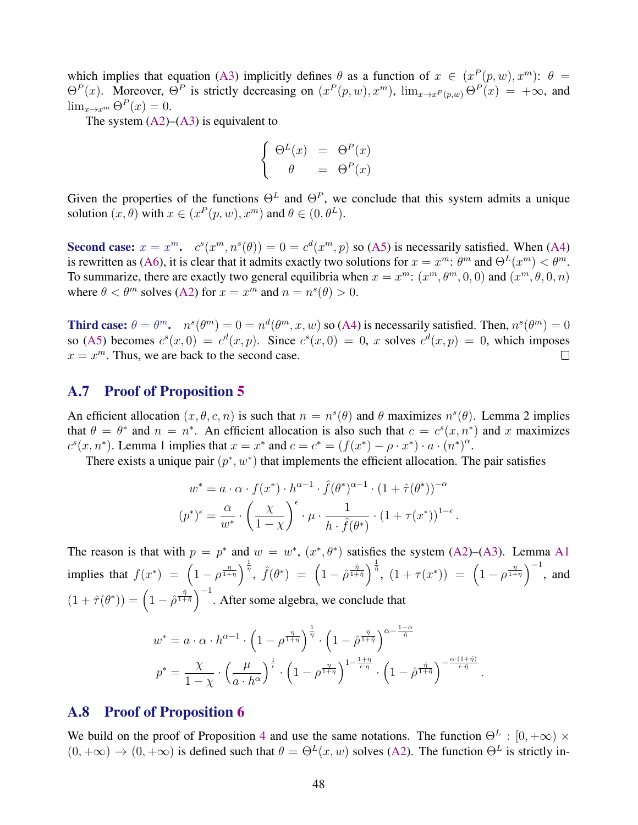which implies that equation [\(A3\)](#page-48-0) implicitly defines  $\theta$  as a function of  $x \in (x^P(p, w), x^m)$ :  $\theta =$  $\Theta^P(x)$ . Moreover,  $\Theta^P$  is strictly decreasing on  $(x^P(p, w), x^m)$ ,  $\lim_{x\to x^P(p, w)} \Theta^P(x) = +\infty$ , and  $\lim_{x\to x^m} \Theta^P(x) = 0.$ 

The system  $(A2)$ – $(A3)$  is equivalent to

$$
\begin{cases}\n\Theta^L(x) &= \Theta^P(x) \\
\theta &= \Theta^P(x)\n\end{cases}
$$

Given the properties of the functions  $\Theta^L$  and  $\Theta^P$ , we conclude that this system admits a unique solution  $(x, \theta)$  with  $x \in (x^P(p, w), x^m)$  and  $\theta \in (0, \theta^L)$ .

Second case:  $x = x^m$ .  $c^s(x^m, n^s(\theta)) = 0 = c^d(x^m, p)$  so [\(A5\)](#page-48-0) is necessarily satisfied. When [\(A4\)](#page-48-0) is rewritten as [\(A6\)](#page-48-0), it is clear that it admits exactly two solutions for  $x = x^m$ :  $\theta^m$  and  $\Theta^L(x^m) < \theta^m$ . To summarize, there are exactly two general equilibria when  $x = x^m$ :  $(x^m, \theta^m, 0, 0)$  and  $(x^m, \theta, 0, n)$ where  $\theta < \theta^m$  solves [\(A2\)](#page-48-0) for  $x = x^m$  and  $n = n<sup>s</sup>(\theta) > 0$ .

Third case:  $\theta = \theta^m$ .  $n^s(\theta^m) = 0 = n^d(\theta^m, x, w)$  so [\(A4\)](#page-48-0) is necessarily satisfied. Then,  $n^s(\theta^m) = 0$ so [\(A5\)](#page-48-0) becomes  $c^s(x,0) = c^d(x,p)$ . Since  $c^s(x,0) = 0$ , x solves  $c^d(x,p) = 0$ , which imposes  $x = x^m$ . Thus, we are back to the second case.  $\Box$ 

### A.7 Proof of Proposition [5](#page-27-0)

An efficient allocation  $(x, \theta, c, n)$  is such that  $n = n<sup>s</sup>(\theta)$  and  $\theta$  maximizes  $n<sup>s</sup>(\theta)$ . Lemma 2 implies that  $\theta = \theta^*$  and  $n = n^*$ . An efficient allocation is also such that  $c = c^s(x, n^*)$  and x maximizes  $c^s(x, n^*)$ . Lemma 1 implies that  $x = x^*$  and  $c = c^* = (f(x^*) - \rho \cdot x^*) \cdot a \cdot (n^*)^{\alpha}$ .

There exists a unique pair  $(p^*, w^*)$  that implements the efficient allocation. The pair satisfies

$$
w^* = a \cdot \alpha \cdot f(x^*) \cdot h^{\alpha - 1} \cdot \hat{f}(\theta^*)^{\alpha - 1} \cdot (1 + \hat{\tau}(\theta^*))^{-\alpha}
$$

$$
(p^*)^{\epsilon} = \frac{\alpha}{w^*} \cdot \left(\frac{\chi}{1 - \chi}\right)^{\epsilon} \cdot \mu \cdot \frac{1}{h \cdot \hat{f}(\theta^*)} \cdot (1 + \tau(x^*))^{1 - \epsilon}
$$

.

.

The reason is that with  $p = p^*$  and  $w = w^*$ ,  $(x^*, \theta^*)$  satisfies the system [\(A2\)](#page-48-0)–[\(A3\)](#page-48-0). Lemma [A1](#page-46-0) implies that  $f(x^*) = \left(1 - \rho^{\frac{\eta}{1+\eta}}\right)^{\frac{1}{\eta}}, \ \hat{f}(\theta^*) = \left(1 - \hat{\rho}^{\frac{\hat{\eta}}{1+\hat{\eta}}}\right)^{\frac{1}{\hat{\eta}}}, \ (1 + \tau(x^*)) = \left(1 - \rho^{\frac{\eta}{1+\eta}}\right)^{-1},$  and  $(1 + \hat{\tau}(\theta^*)) = \left(1 - \hat{\rho}^{\frac{\hat{\eta}}{1+\hat{\eta}}} \right)^{-1}$ . After some algebra, we conclude that

$$
w^* = a \cdot \alpha \cdot h^{\alpha - 1} \cdot \left(1 - \rho^{\frac{\eta}{1 + \eta}}\right)^{\frac{1}{\eta}} \cdot \left(1 - \hat{\rho}^{\frac{\hat{\eta}}{1 + \hat{\eta}}}\right)^{\alpha - \frac{1 - \alpha}{\hat{\eta}}}
$$

$$
p^* = \frac{\chi}{1 - \chi} \cdot \left(\frac{\mu}{a \cdot h^{\alpha}}\right)^{\frac{1}{\epsilon}} \cdot \left(1 - \rho^{\frac{\eta}{1 + \eta}}\right)^{1 - \frac{1 + \eta}{\epsilon \cdot \eta}} \cdot \left(1 - \hat{\rho}^{\frac{\hat{\eta}}{1 + \hat{\eta}}}\right)^{-\frac{\alpha \cdot (1 + \hat{\eta})}{\epsilon \cdot \hat{\eta}}}
$$

### A.8 Proof of Proposition [6](#page-28-0)

We build on the proof of Proposition [4](#page-26-0) and use the same notations. The function  $\Theta^L : [0, +\infty) \times$  $(0, +\infty) \to (0, +\infty)$  is defined such that  $\theta = \Theta^L(x, w)$  solves [\(A2\)](#page-48-0). The function  $\Theta^L$  is strictly in-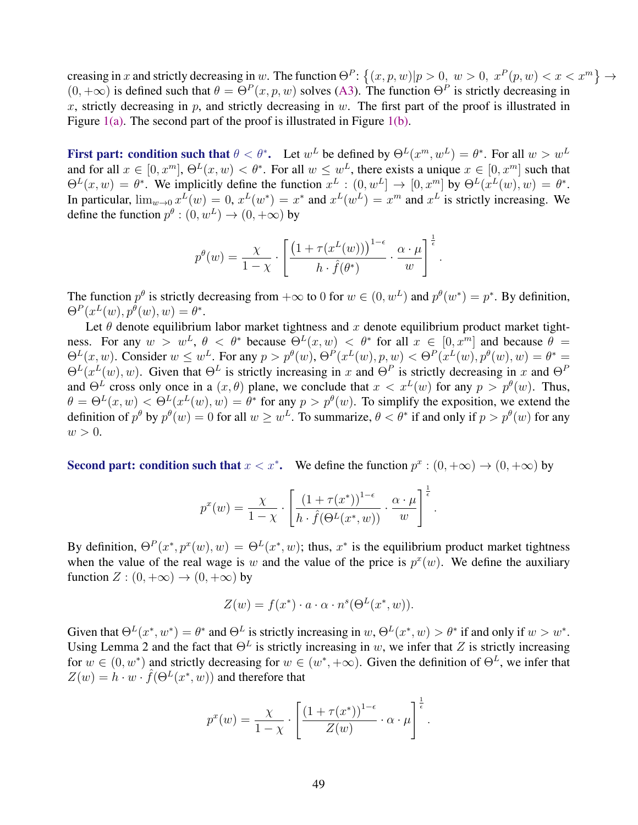creasing in x and strictly decreasing in w. The function  $\Theta^P$ :  $\{(x, p, w)|p > 0, w > 0, x^P(p, w) < x < x^m\} \to$  $(0, +\infty)$  is defined such that  $\theta = \Theta^P(x, p, w)$  solves [\(A3\)](#page-48-0). The function  $\Theta^P$  is strictly decreasing in x, strictly decreasing in p, and strictly decreasing in w. The first part of the proof is illustrated in Figure  $1(a)$ . The second part of the proof is illustrated in Figure  $1(b)$ .

First part: condition such that  $\theta < \theta^*$ . Let  $w^L$  be defined by  $\Theta^L(x^m, w^L) = \theta^*$ . For all  $w > w^L$ and for all  $x \in [0, x^m]$ ,  $\Theta^L(x, w) < \theta^*$ . For all  $w \leq w^L$ , there exists a unique  $x \in [0, x^m]$  such that  $\Theta^L(x, w) = \theta^*$ . We implicitly define the function  $x^L : (0, w^L] \to [0, x^m]$  by  $\Theta^L(x^L(w), w) = \theta^*$ . In particular,  $\lim_{w\to 0} x^L(w) = 0$ ,  $x^L(w^*) = x^*$  and  $x^L(w^L) = x^m$  and  $x^L$  is strictly increasing. We define the function  $p^{\theta} : (0, w^L) \to (0, +\infty)$  by

$$
p^{\theta}(w) = \frac{\chi}{1-\chi} \cdot \left[ \frac{\left(1 + \tau(x^{L}(w))\right)^{1-\epsilon}}{h \cdot \hat{f}(\theta^{*})} \cdot \frac{\alpha \cdot \mu}{w} \right]^{\frac{1}{\epsilon}}.
$$

The function  $p^{\theta}$  is strictly decreasing from  $+\infty$  to 0 for  $w \in (0, w^L)$  and  $p^{\theta}(w^*) = p^*$ . By definition,  $\Theta^P(x^L(w), p^{\theta}(w), w) = \theta^*.$ 

Let  $\theta$  denote equilibrium labor market tightness and x denote equilibrium product market tightness. For any  $w > w^L$ ,  $\theta < \theta^*$  because  $\Theta^L(x, w) < \theta^*$  for all  $x \in [0, x^m]$  and because  $\theta =$  $\Theta^L(x, w)$ . Consider  $w \leq w^L$ . For any  $p > p^{\theta}(w)$ ,  $\Theta^P(x^L(w), p, w) < \Theta^P(x^L(w), p^{\theta}(w), w) = \theta^* = \theta^L(x^L(w), p^L(w))$  $\Theta^L(x^L(w), w)$ . Given that  $\Theta^L$  is strictly increasing in x and  $\Theta^P$  is strictly decreasing in x and  $\Theta^P$ and  $\Theta^L$  cross only once in a  $(x, \theta)$  plane, we conclude that  $x < x^L(w)$  for any  $p > p^{\theta}(w)$ . Thus,  $\theta = \Theta^L(x, w) < \Theta^L(x^L(w), w) = \theta^*$  for any  $p > p^{\theta}(w)$ . To simplify the exposition, we extend the definition of  $p^{\theta}$  by  $p^{\theta}(w) = 0$  for all  $w \geq w^L$ . To summarize,  $\theta < \theta^*$  if and only if  $p > p^{\theta}(w)$  for any  $w > 0$ .

Second part: condition such that  $x < x^*$ . We define the function  $p^x : (0, +\infty) \to (0, +\infty)$  by

$$
p^{x}(w) = \frac{\chi}{1-\chi} \cdot \left[ \frac{(1+\tau(x^{*}))^{1-\epsilon}}{h \cdot \hat{f}(\Theta^{L}(x^{*}, w))} \cdot \frac{\alpha \cdot \mu}{w} \right]^{\frac{1}{\epsilon}}.
$$

By definition,  $\Theta^P(x^*, p^x(w), w) = \Theta^L(x^*, w)$ ; thus,  $x^*$  is the equilibrium product market tightness when the value of the real wage is w and the value of the price is  $p^x(w)$ . We define the auxiliary function  $Z: (0, +\infty) \to (0, +\infty)$  by

$$
Z(w) = f(x^*) \cdot a \cdot \alpha \cdot n^s(\Theta^L(x^*, w)).
$$

Given that  $\Theta^L(x^*, w^*) = \theta^*$  and  $\Theta^L$  is strictly increasing in  $w, \Theta^L(x^*, w) > \theta^*$  if and only if  $w > w^*$ . Using Lemma 2 and the fact that  $\Theta^L$  is strictly increasing in w, we infer that Z is strictly increasing for  $w \in (0, w^*)$  and strictly decreasing for  $w \in (w^*, +\infty)$ . Given the definition of  $\Theta^L$ , we infer that  $Z(w) = h \cdot w \cdot \hat{f}(\Theta^L(x^*, w))$  and therefore that

$$
p^{x}(w) = \frac{\chi}{1-\chi} \cdot \left[ \frac{(1+\tau(x^{*}))^{1-\epsilon}}{Z(w)} \cdot \alpha \cdot \mu \right]^{\frac{1}{\epsilon}}.
$$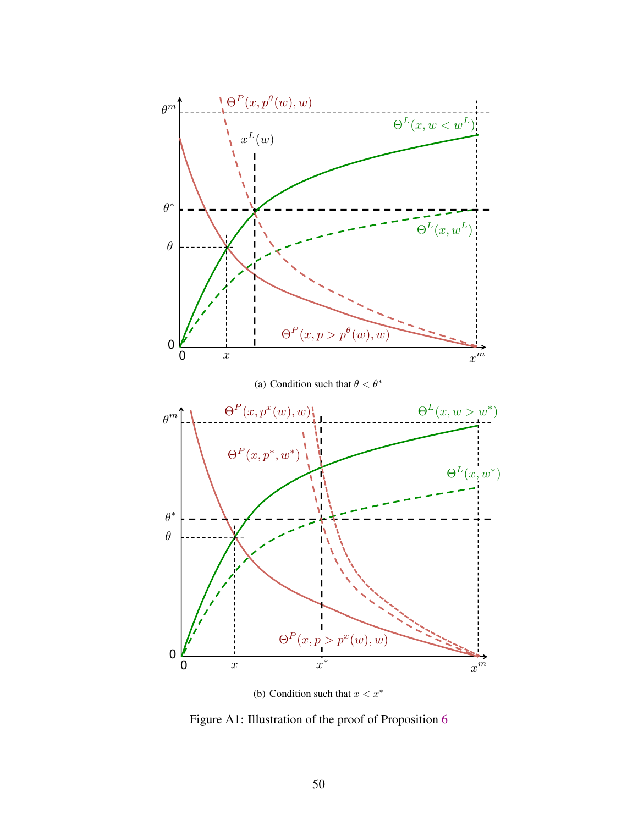<span id="page-51-0"></span>

(b) Condition such that  $x < x^*$ 

Figure A1: Illustration of the proof of Proposition [6](#page-28-0)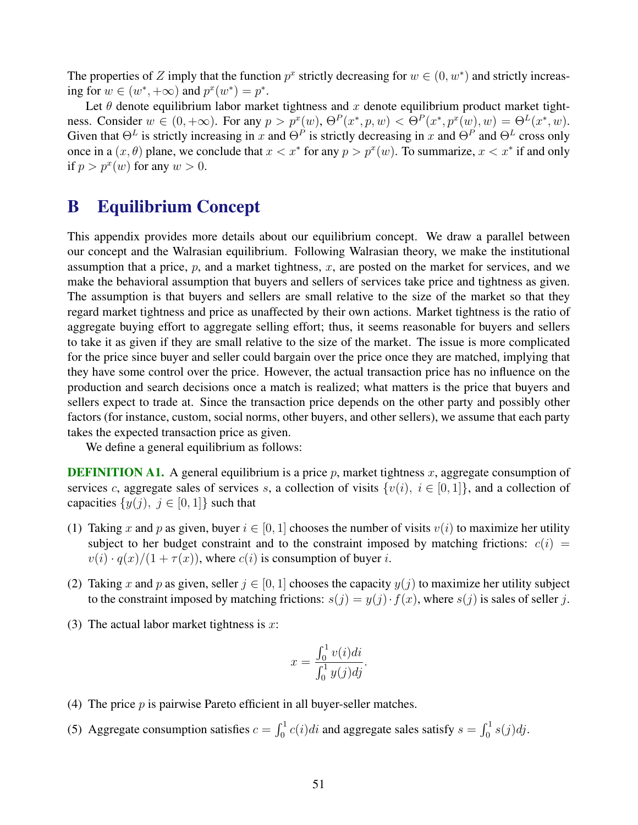<span id="page-52-0"></span>The properties of Z imply that the function  $p^x$  strictly decreasing for  $w \in (0, w^*)$  and strictly increasing for  $w \in (w^*, +\infty)$  and  $p^x(w^*) = p^*$ .

Let  $\theta$  denote equilibrium labor market tightness and x denote equilibrium product market tightness. Consider  $w \in (0, +\infty)$ . For any  $p > p^x(w)$ ,  $\Theta^P(x^*, p, w) < \Theta^P(x^*, p^x(w), w) = \Theta^L(x^*, w)$ . Given that  $\Theta^L$  is strictly increasing in x and  $\Theta^P$  is strictly decreasing in x and  $\Theta^P$  and  $\Theta^L$  cross only once in a  $(x, \theta)$  plane, we conclude that  $x < x^*$  for any  $p > p^x(w)$ . To summarize,  $x < x^*$  if and only if  $p > p^x(w)$  for any  $w > 0$ .

# B Equilibrium Concept

This appendix provides more details about our equilibrium concept. We draw a parallel between our concept and the Walrasian equilibrium. Following Walrasian theory, we make the institutional assumption that a price,  $p$ , and a market tightness,  $x$ , are posted on the market for services, and we make the behavioral assumption that buyers and sellers of services take price and tightness as given. The assumption is that buyers and sellers are small relative to the size of the market so that they regard market tightness and price as unaffected by their own actions. Market tightness is the ratio of aggregate buying effort to aggregate selling effort; thus, it seems reasonable for buyers and sellers to take it as given if they are small relative to the size of the market. The issue is more complicated for the price since buyer and seller could bargain over the price once they are matched, implying that they have some control over the price. However, the actual transaction price has no influence on the production and search decisions once a match is realized; what matters is the price that buyers and sellers expect to trade at. Since the transaction price depends on the other party and possibly other factors (for instance, custom, social norms, other buyers, and other sellers), we assume that each party takes the expected transaction price as given.

We define a general equilibrium as follows:

**DEFINITION A1.** A general equilibrium is a price  $p$ , market tightness  $x$ , aggregate consumption of services c, aggregate sales of services s, a collection of visits  $\{v(i), i \in [0,1]\}$ , and a collection of capacities  $\{y(j), j \in [0,1]\}\$  such that

- (1) Taking x and p as given, buyer  $i \in [0, 1]$  chooses the number of visits  $v(i)$  to maximize her utility subject to her budget constraint and to the constraint imposed by matching frictions:  $c(i)$  =  $v(i) \cdot q(x)/(1 + \tau(x))$ , where  $c(i)$  is consumption of buyer i.
- (2) Taking x and p as given, seller  $j \in [0, 1]$  chooses the capacity  $y(j)$  to maximize her utility subject to the constraint imposed by matching frictions:  $s(j) = y(j) \cdot f(x)$ , where  $s(j)$  is sales of seller j.
- (3) The actual labor market tightness is  $x$ :

$$
x = \frac{\int_0^1 v(i)di}{\int_0^1 y(j)dj}.
$$

- (4) The price  $p$  is pairwise Pareto efficient in all buyer-seller matches.
- (5) Aggregate consumption satisfies  $c = \int_0^1 c(i)di$  and aggregate sales satisfy  $s = \int_0^1 s(j)dj$ .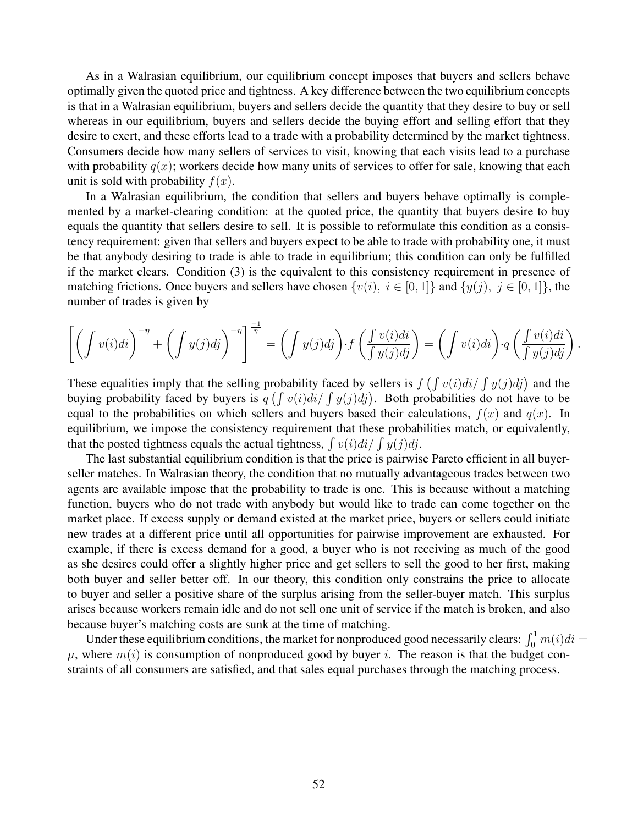<span id="page-53-0"></span>As in a Walrasian equilibrium, our equilibrium concept imposes that buyers and sellers behave optimally given the quoted price and tightness. A key difference between the two equilibrium concepts is that in a Walrasian equilibrium, buyers and sellers decide the quantity that they desire to buy or sell whereas in our equilibrium, buyers and sellers decide the buying effort and selling effort that they desire to exert, and these efforts lead to a trade with a probability determined by the market tightness. Consumers decide how many sellers of services to visit, knowing that each visits lead to a purchase with probability  $q(x)$ ; workers decide how many units of services to offer for sale, knowing that each unit is sold with probability  $f(x)$ .

In a Walrasian equilibrium, the condition that sellers and buyers behave optimally is complemented by a market-clearing condition: at the quoted price, the quantity that buyers desire to buy equals the quantity that sellers desire to sell. It is possible to reformulate this condition as a consistency requirement: given that sellers and buyers expect to be able to trade with probability one, it must be that anybody desiring to trade is able to trade in equilibrium; this condition can only be fulfilled if the market clears. Condition (3) is the equivalent to this consistency requirement in presence of matching frictions. Once buyers and sellers have chosen  $\{v(i), i \in [0, 1]\}$  and  $\{y(j), j \in [0, 1]\}$ , the number of trades is given by

$$
\left[ \left( \int v(i)di \right)^{-\eta} + \left( \int y(j)dj \right)^{-\eta} \right]^{\frac{-1}{\eta}} = \left( \int y(j)dj \right) \cdot f\left( \frac{\int v(i)di}{\int y(j)dj} \right) = \left( \int v(i)di \right) \cdot q\left( \frac{\int v(i)di}{\int y(j)dj} \right)
$$

.

These equalities imply that the selling probability faced by sellers is  $f(\int v(i)di / \int y(j)dj)$  and the buying probability faced by buyers is  $q \left( \int v(i)di / \int y(j)dj \right)$ . Both probabilities do not have to be equal to the probabilities on which sellers and buyers based their calculations,  $f(x)$  and  $g(x)$ . In equilibrium, we impose the consistency requirement that these probabilities match, or equivalently, that the posted tightness equals the actual tightness,  $\int v(i)di / \int y(j)dj$ .

The last substantial equilibrium condition is that the price is pairwise Pareto efficient in all buyerseller matches. In Walrasian theory, the condition that no mutually advantageous trades between two agents are available impose that the probability to trade is one. This is because without a matching function, buyers who do not trade with anybody but would like to trade can come together on the market place. If excess supply or demand existed at the market price, buyers or sellers could initiate new trades at a different price until all opportunities for pairwise improvement are exhausted. For example, if there is excess demand for a good, a buyer who is not receiving as much of the good as she desires could offer a slightly higher price and get sellers to sell the good to her first, making both buyer and seller better off. In our theory, this condition only constrains the price to allocate to buyer and seller a positive share of the surplus arising from the seller-buyer match. This surplus arises because workers remain idle and do not sell one unit of service if the match is broken, and also because buyer's matching costs are sunk at the time of matching.

Under these equilibrium conditions, the market for nonproduced good necessarily clears:  $\int_0^1 m(i)di =$  $\mu$ , where  $m(i)$  is consumption of nonproduced good by buyer i. The reason is that the budget constraints of all consumers are satisfied, and that sales equal purchases through the matching process.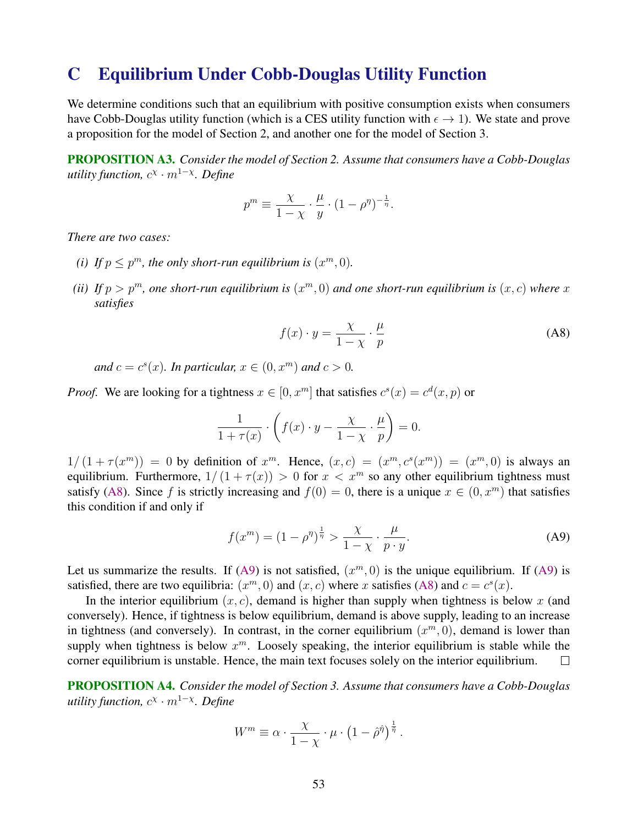# C Equilibrium Under Cobb-Douglas Utility Function

We determine conditions such that an equilibrium with positive consumption exists when consumers have Cobb-Douglas utility function (which is a CES utility function with  $\epsilon \to 1$ ). We state and prove a proposition for the model of Section 2, and another one for the model of Section 3.

PROPOSITION A3. *Consider the model of Section 2. Assume that consumers have a Cobb-Douglas utility function,* c χ · <sup>m</sup><sup>1</sup>−<sup>χ</sup> *. Define*

$$
p^{m} \equiv \frac{\chi}{1-\chi} \cdot \frac{\mu}{y} \cdot (1-\rho^{\eta})^{-\frac{1}{\eta}}.
$$

*There are two cases:*

- (*i*) If  $p \leq p^m$ , the only short-run equilibrium is  $(x^m, 0)$ .
- (*ii*) If  $p > p<sup>m</sup>$ , one short-run equilibrium is  $(x<sup>m</sup>, 0)$  and one short-run equilibrium is  $(x, c)$  where x *satisfies*

$$
f(x) \cdot y = \frac{\chi}{1 - \chi} \cdot \frac{\mu}{p}
$$
 (A8)

and  $c = c<sup>s</sup>(x)$ *. In particular,*  $x \in (0, x^m)$  and  $c > 0$ *.* 

*Proof.* We are looking for a tightness  $x \in [0, x^m]$  that satisfies  $c^s(x) = c^d(x, p)$  or

$$
\frac{1}{1+\tau(x)} \cdot \left( f(x) \cdot y - \frac{\chi}{1-\chi} \cdot \frac{\mu}{p} \right) = 0.
$$

 $1/(1+\tau(x^m)) = 0$  by definition of  $x^m$ . Hence,  $(x, c) = (x^m, c^s(x^m)) = (x^m, 0)$  is always an equilibrium. Furthermore,  $1/(1 + \tau(x)) > 0$  for  $x < x^m$  so any other equilibrium tightness must satisfy (A8). Since f is strictly increasing and  $f(0) = 0$ , there is a unique  $x \in (0, x^m)$  that satisfies this condition if and only if

$$
f(x^m) = (1 - \rho^{\eta})^{\frac{1}{\eta}} > \frac{\chi}{1 - \chi} \cdot \frac{\mu}{p \cdot y}.
$$
 (A9)

Let us summarize the results. If (A9) is not satisfied,  $(x^m, 0)$  is the unique equilibrium. If (A9) is satisfied, there are two equilibria:  $(x^m, 0)$  and  $(x, c)$  where x satisfies (A8) and  $c = c<sup>s</sup>(x)$ .

In the interior equilibrium  $(x, c)$ , demand is higher than supply when tightness is below x (and conversely). Hence, if tightness is below equilibrium, demand is above supply, leading to an increase in tightness (and conversely). In contrast, in the corner equilibrium  $(x^m, 0)$ , demand is lower than supply when tightness is below  $x^m$ . Loosely speaking, the interior equilibrium is stable while the corner equilibrium is unstable. Hence, the main text focuses solely on the interior equilibrium. П

PROPOSITION A4. *Consider the model of Section 3. Assume that consumers have a Cobb-Douglas utility function,* c χ · <sup>m</sup><sup>1</sup>−<sup>χ</sup> *. Define*

$$
W^{m} \equiv \alpha \cdot \frac{\chi}{1-\chi} \cdot \mu \cdot \left(1 - \hat{\rho}^{\hat{\eta}}\right)^{\frac{1}{\hat{\eta}}}.
$$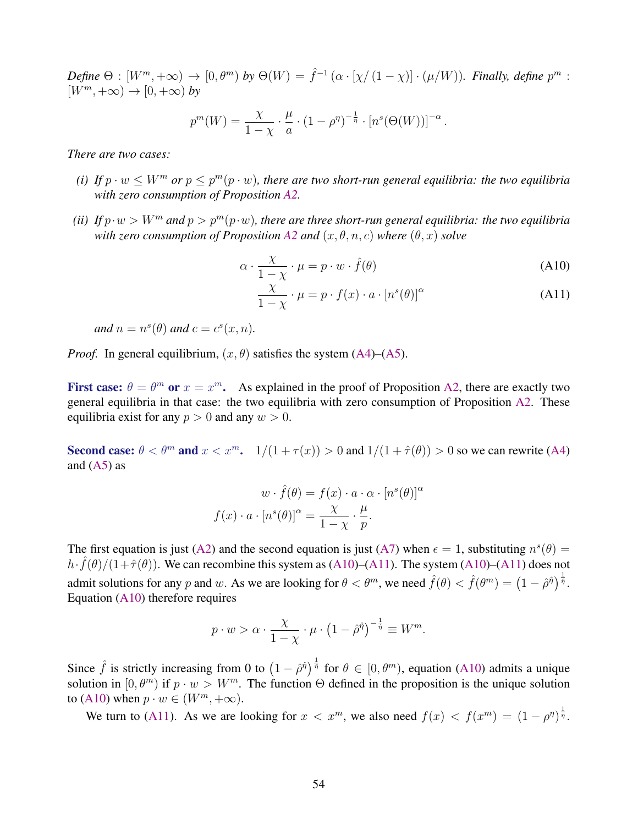<span id="page-55-0"></span> $Define \Theta : [W^m, +\infty) \to [0, \theta^m) by \Theta(W) = \hat{f}^{-1}(\alpha \cdot [\chi/(1-\chi)] \cdot (\mu/W)).$  Finally, define  $p^m$ :  $[W^m, +\infty) \to [0, +\infty)$  *by* 

$$
p^{m}(W) = \frac{\chi}{1-\chi} \cdot \frac{\mu}{a} \cdot (1-\rho^{\eta})^{-\frac{1}{\eta}} \cdot [n^{s}(\Theta(W))]^{-\alpha}.
$$

*There are two cases:*

- (*i*) If  $p \cdot w \le W^m$  or  $p \le p^m(p \cdot w)$ , there are two short-run general equilibria: the two equilibria *with zero consumption of Proposition [A2.](#page-48-0)*
- *(ii) If*  $p \cdot w > W^m$  *and*  $p > p^m(p \cdot w)$ *, there are three short-run general equilibria: the two equilibria with zero consumption of Proposition [A2](#page-48-0) and*  $(x, \theta, n, c)$  *where*  $(\theta, x)$  *solve*

$$
\alpha \cdot \frac{\chi}{1-\chi} \cdot \mu = p \cdot w \cdot \hat{f}(\theta) \tag{A10}
$$

$$
\frac{\chi}{1-\chi} \cdot \mu = p \cdot f(x) \cdot a \cdot [n^s(\theta)]^\alpha \tag{A11}
$$

and 
$$
n = n^s(\theta)
$$
 and  $c = c^s(x, n)$ .

*Proof.* In general equilibrium,  $(x, \theta)$  satisfies the system [\(A4\)](#page-48-0)–[\(A5\)](#page-48-0).

First case:  $\theta = \theta^m$  or  $x = x^m$ . As explained in the proof of Proposition [A2,](#page-48-0) there are exactly two general equilibria in that case: the two equilibria with zero consumption of Proposition [A2.](#page-48-0) These equilibria exist for any  $p > 0$  and any  $w > 0$ .

Second case:  $\theta < \theta^m$  and  $x < x^m$ .  $1/(1 + \tau(x)) > 0$  and  $1/(1 + \hat{\tau}(\theta)) > 0$  so we can rewrite [\(A4\)](#page-48-0) and  $(A5)$  as

$$
w \cdot \hat{f}(\theta) = f(x) \cdot a \cdot \alpha \cdot [n^s(\theta)]^{\alpha}
$$

$$
f(x) \cdot a \cdot [n^s(\theta)]^{\alpha} = \frac{\chi}{1 - \chi} \cdot \frac{\mu}{p}.
$$

The first equation is just [\(A2\)](#page-48-0) and the second equation is just [\(A7\)](#page-48-0) when  $\epsilon = 1$ , substituting  $n^{s}(\theta) =$  $h \cdot \hat{f}(\theta)/(1+\hat{\tau}(\theta))$ . We can recombine this system as (A10)–(A11). The system (A10)–(A11) does not admit solutions for any p and w. As we are looking for  $\theta < \theta^m$ , we need  $\hat{f}(\theta) < \hat{f}(\theta^m) = (1 - \hat{\rho}^{\hat{\eta}})^{\frac{1}{\hat{\eta}}}$ . Equation (A10) therefore requires

$$
p \cdot w > \alpha \cdot \frac{\chi}{1-\chi} \cdot \mu \cdot \left(1 - \hat{\rho}^{\hat{\eta}}\right)^{-\frac{1}{\hat{\eta}}} \equiv W^m.
$$

Since  $\hat{f}$  is strictly increasing from 0 to  $(1 - \hat{\rho}^{\hat{\eta}})^{\frac{1}{\hat{\eta}}}$  for  $\theta \in [0, \theta^m)$ , equation (A10) admits a unique solution in  $[0, \theta^m)$  if  $p \cdot w > W^m$ . The function  $\Theta$  defined in the proposition is the unique solution to (A10) when  $p \cdot w \in (W^m, +\infty)$ .

We turn to (A11). As we are looking for  $x < x^m$ , we also need  $f(x) < f(x^m) = (1 - \rho^{\eta})^{\frac{1}{\eta}}$ .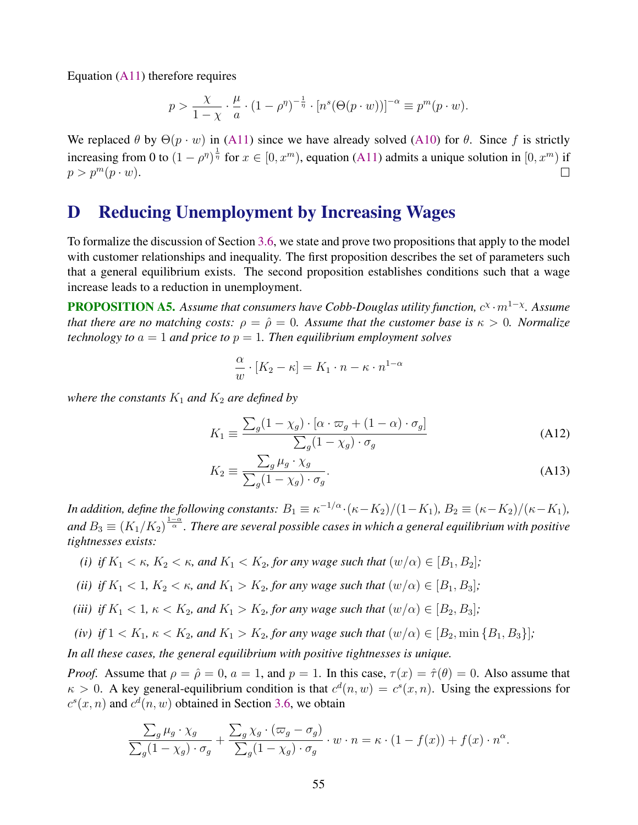<span id="page-56-0"></span>Equation [\(A11\)](#page-55-0) therefore requires

$$
p > \frac{\chi}{1-\chi} \cdot \frac{\mu}{a} \cdot (1-\rho^{\eta})^{-\frac{1}{\eta}} \cdot [n^s(\Theta(p \cdot w))]^{-\alpha} \equiv p^m(p \cdot w).
$$

We replaced  $\theta$  by  $\Theta(p \cdot w)$  in [\(A11\)](#page-55-0) since we have already solved [\(A10\)](#page-55-0) for  $\theta$ . Since f is strictly increasing from 0 to  $(1 - \rho^{\eta})^{\frac{1}{\eta}}$  for  $x \in [0, x^m)$ , equation [\(A11\)](#page-55-0) admits a unique solution in  $[0, x^m)$  if  $p > p^m(p \cdot w)$ .

# D Reducing Unemployment by Increasing Wages

To formalize the discussion of Section [3.6,](#page-30-0) we state and prove two propositions that apply to the model with customer relationships and inequality. The first proposition describes the set of parameters such that a general equilibrium exists. The second proposition establishes conditions such that a wage increase leads to a reduction in unemployment.

**PROPOSITION A5.** Assume that consumers have Cobb-Douglas utility function,  $c^{\chi} \cdot m^{1-\chi}$ . Assume *that there are no matching costs:*  $\rho = \hat{\rho} = 0$ . Assume that the customer base is  $\kappa > 0$ . Normalize *technology to*  $a = 1$  *and price to*  $p = 1$ *. Then equilibrium employment solves* 

$$
\frac{\alpha}{w} \cdot [K_2 - \kappa] = K_1 \cdot n - \kappa \cdot n^{1-\alpha}
$$

*where the constants*  $K_1$  *and*  $K_2$  *are defined by* 

$$
K_1 \equiv \frac{\sum_g (1 - \chi_g) \cdot [\alpha \cdot \varpi_g + (1 - \alpha) \cdot \sigma_g]}{\sum_g (1 - \chi_g) \cdot \sigma_g}
$$
(A12)

$$
K_2 \equiv \frac{\sum_g \mu_g \cdot \chi_g}{\sum_g (1 - \chi_g) \cdot \sigma_g}.
$$
\n(A13)

*In addition, define the following constants:*  $B_1 \equiv \kappa^{-1/\alpha} \cdot (\kappa - K_2)/(1 - K_1)$ ,  $B_2 \equiv (\kappa - K_2)/(\kappa - K_1)$ , and  $B_3\equiv(K_1/K_2)^{\frac{1-\alpha}{\alpha}}.$  There are several possible cases in which a general equilibrium with positive *tightnesses exists:*

- *(i) if*  $K_1 < \kappa$ ,  $K_2 < \kappa$ , and  $K_1 < K_2$ , for any wage such that  $(w/\alpha) \in [B_1, B_2]$ ;
- *(ii) if*  $K_1 < 1$ *,*  $K_2 < \kappa$ *, and*  $K_1 > K_2$ *, for any wage such that*  $(w/\alpha) \in [B_1, B_3]$ *;*
- *(iii) if*  $K_1 < 1$ ,  $\kappa < K_2$ , and  $K_1 > K_2$ , for any wage such that  $(w/\alpha) \in [B_2, B_3]$ ;
- *(iv) if*  $1 < K_1$ ,  $\kappa < K_2$ , and  $K_1 > K_2$ , *for any wage such that*  $(w/\alpha) \in [B_2, \min\{B_1, B_3\}]$ ;

*In all these cases, the general equilibrium with positive tightnesses is unique.*

*Proof.* Assume that  $\rho = \hat{\rho} = 0$ ,  $a = 1$ , and  $p = 1$ . In this case,  $\tau(x) = \hat{\tau}(\theta) = 0$ . Also assume that  $\kappa > 0$ . A key general-equilibrium condition is that  $c^d(n, w) = c^s(x, n)$ . Using the expressions for  $c^s(x, n)$  and  $c^d(n, w)$  obtained in Section [3.6,](#page-30-0) we obtain

$$
\frac{\sum_g \mu_g \cdot \chi_g}{\sum_g (1 - \chi_g) \cdot \sigma_g} + \frac{\sum_g \chi_g \cdot (\varpi_g - \sigma_g)}{\sum_g (1 - \chi_g) \cdot \sigma_g} \cdot w \cdot n = \kappa \cdot (1 - f(x)) + f(x) \cdot n^{\alpha}.
$$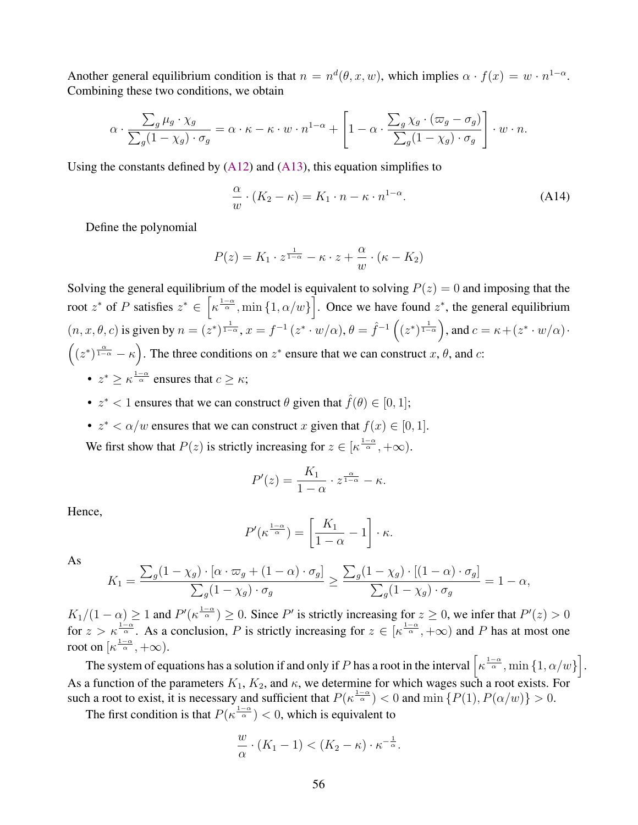Another general equilibrium condition is that  $n = n^d(\theta, x, w)$ , which implies  $\alpha \cdot f(x) = w \cdot n^{1-\alpha}$ . Combining these two conditions, we obtain

$$
\alpha \cdot \frac{\sum_g \mu_g \cdot \chi_g}{\sum_g (1 - \chi_g) \cdot \sigma_g} = \alpha \cdot \kappa - \kappa \cdot w \cdot n^{1 - \alpha} + \left[1 - \alpha \cdot \frac{\sum_g \chi_g \cdot (\varpi_g - \sigma_g)}{\sum_g (1 - \chi_g) \cdot \sigma_g}\right] \cdot w \cdot n.
$$

Using the constants defined by  $(A12)$  and  $(A13)$ , this equation simplifies to

$$
\frac{\alpha}{w} \cdot (K_2 - \kappa) = K_1 \cdot n - \kappa \cdot n^{1-\alpha}.
$$
 (A14)

Define the polynomial

$$
P(z) = K_1 \cdot z^{\frac{1}{1-\alpha}} - \kappa \cdot z + \frac{\alpha}{w} \cdot (\kappa - K_2)
$$

Solving the general equilibrium of the model is equivalent to solving  $P(z) = 0$  and imposing that the root  $z^*$  of P satisfies  $z^* \in \left[ \kappa^{\frac{1-\alpha}{\alpha}}$ , min  $\{1, \alpha/w\} \right]$ . Once we have found  $z^*$ , the general equilibrium  $(n, x, \theta, c)$  is given by  $n = (z^*)^{\frac{1}{1-\alpha}}$ ,  $x = f^{-1}(z^* \cdot w/\alpha)$ ,  $\theta = \hat{f}^{-1}((z^*)^{\frac{1}{1-\alpha}})$ , and  $c = \kappa + (z^* \cdot w/\alpha) \cdot$  $((z^*)^{\frac{\alpha}{1-\alpha}} - \kappa)$ . The three conditions on  $z^*$  ensure that we can construct  $x, \theta$ , and  $c$ :

- $z^* \geq \kappa^{\frac{1-\alpha}{\alpha}}$  ensures that  $c \geq \kappa$ ;
- $z^*$  < 1 ensures that we can construct  $\theta$  given that  $\hat{f}(\theta) \in [0, 1]$ ;
- $z^* < \alpha/w$  ensures that we can construct x given that  $f(x) \in [0, 1]$ .

We first show that  $P(z)$  is strictly increasing for  $z \in [\kappa^{\frac{1-\alpha}{\alpha}}, +\infty)$ .

$$
P'(z) = \frac{K_1}{1 - \alpha} \cdot z^{\frac{\alpha}{1 - \alpha}} - \kappa.
$$

Hence,

$$
P'(\kappa^{\frac{1-\alpha}{\alpha}}) = \left[\frac{K_1}{1-\alpha} - 1\right] \cdot \kappa.
$$

As

$$
K_1 = \frac{\sum_g (1 - \chi_g) \cdot [\alpha \cdot \varpi_g + (1 - \alpha) \cdot \sigma_g]}{\sum_g (1 - \chi_g) \cdot \sigma_g} \ge \frac{\sum_g (1 - \chi_g) \cdot [(1 - \alpha) \cdot \sigma_g]}{\sum_g (1 - \chi_g) \cdot \sigma_g} = 1 - \alpha,
$$

 $K_1/(1-\alpha) \geq 1$  and  $P'(\kappa^{\frac{1-\alpha}{\alpha}}) \geq 0$ . Since P' is strictly increasing for  $z \geq 0$ , we infer that  $P'(z) > 0$ for  $z > \kappa \frac{1-\alpha}{\alpha}$ . As a conclusion, P is strictly increasing for  $z \in [\kappa \frac{1-\alpha}{\alpha}, +\infty)$  and P has at most one root on  $\left[\kappa^{\frac{1-\alpha}{\alpha}}, +\infty\right)$ .

The system of equations has a solution if and only if P has a root in the interval  $\left[\kappa^{\frac{1-\alpha}{\alpha}},\min\left\{1,\alpha/w\right\}\right]$ . As a function of the parameters  $K_1$ ,  $K_2$ , and  $\kappa$ , we determine for which wages such a root exists. For such a root to exist, it is necessary and sufficient that  $P(\kappa^{\frac{1-\alpha}{\alpha}}) < 0$  and  $\min \{P(1), P(\alpha/w)\} > 0$ .

The first condition is that  $P(\kappa^{\frac{1-\alpha}{\alpha}}) < 0$ , which is equivalent to

$$
\frac{w}{\alpha} \cdot (K_1 - 1) < (K_2 - \kappa) \cdot \kappa^{-\frac{1}{\alpha}}.
$$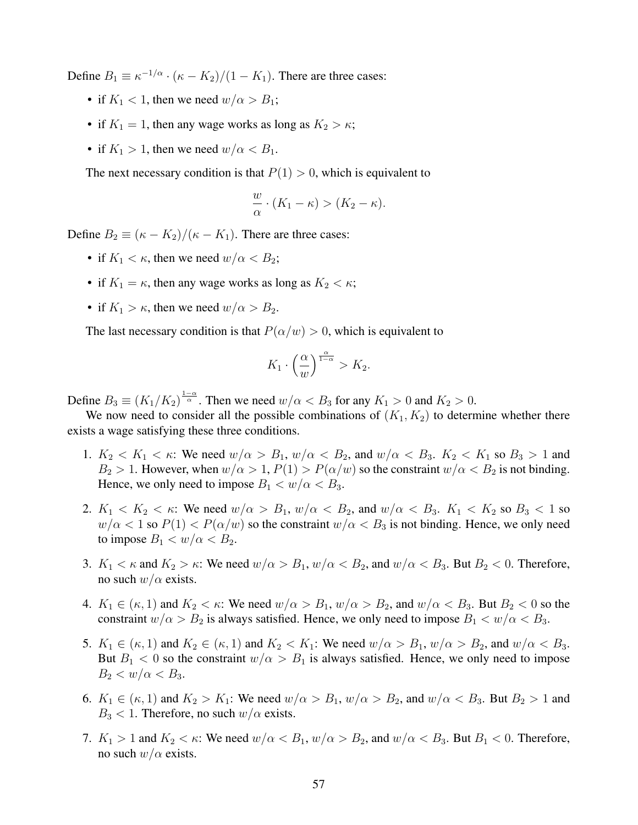Define  $B_1 \equiv \kappa^{-1/\alpha} \cdot (\kappa - K_2)/(1 - K_1)$ . There are three cases:

- if  $K_1 < 1$ , then we need  $w/\alpha > B_1$ ;
- if  $K_1 = 1$ , then any wage works as long as  $K_2 > \kappa$ ;
- if  $K_1 > 1$ , then we need  $w/\alpha < B_1$ .

The next necessary condition is that  $P(1) > 0$ , which is equivalent to

$$
\frac{w}{\alpha} \cdot (K_1 - \kappa) > (K_2 - \kappa).
$$

Define  $B_2 \equiv (\kappa - K_2)/(\kappa - K_1)$ . There are three cases:

- if  $K_1 < \kappa$ , then we need  $w/\alpha < B_2$ ;
- if  $K_1 = \kappa$ , then any wage works as long as  $K_2 < \kappa$ ;
- if  $K_1 > \kappa$ , then we need  $w/\alpha > B_2$ .

The last necessary condition is that  $P(\alpha/w) > 0$ , which is equivalent to

$$
K_1 \cdot \left(\frac{\alpha}{w}\right)^{\frac{\alpha}{1-\alpha}} > K_2.
$$

Define  $B_3 \equiv (K_1/K_2)^{\frac{1-\alpha}{\alpha}}$ . Then we need  $w/\alpha < B_3$  for any  $K_1 > 0$  and  $K_2 > 0$ .

We now need to consider all the possible combinations of  $(K_1, K_2)$  to determine whether there exists a wage satisfying these three conditions.

- 1.  $K_2 < K_1 < \kappa$ : We need  $w/\alpha > B_1$ ,  $w/\alpha < B_2$ , and  $w/\alpha < B_3$ .  $K_2 < K_1$  so  $B_3 > 1$  and  $B_2 > 1$ . However, when  $w/\alpha > 1$ ,  $P(1) > P(\alpha/w)$  so the constraint  $w/\alpha < B_2$  is not binding. Hence, we only need to impose  $B_1 < w/\alpha < B_3$ .
- 2.  $K_1 < K_2 < \kappa$ : We need  $w/\alpha > B_1$ ,  $w/\alpha < B_2$ , and  $w/\alpha < B_3$ .  $K_1 < K_2$  so  $B_3 < 1$  so  $w/\alpha < 1$  so  $P(1) < P(\alpha/w)$  so the constraint  $w/\alpha < B_3$  is not binding. Hence, we only need to impose  $B_1 < w/\alpha < B_2$ .
- 3.  $K_1 < \kappa$  and  $K_2 > \kappa$ : We need  $w/\alpha > B_1$ ,  $w/\alpha < B_2$ , and  $w/\alpha < B_3$ . But  $B_2 < 0$ . Therefore, no such  $w/\alpha$  exists.
- 4.  $K_1 \in (\kappa, 1)$  and  $K_2 < \kappa$ : We need  $w/\alpha > B_1$ ,  $w/\alpha > B_2$ , and  $w/\alpha < B_3$ . But  $B_2 < 0$  so the constraint  $w/\alpha > B_2$  is always satisfied. Hence, we only need to impose  $B_1 < w/\alpha < B_3$ .
- 5.  $K_1 \in (\kappa, 1)$  and  $K_2 \in (\kappa, 1)$  and  $K_2 < K_1$ : We need  $w/\alpha > B_1$ ,  $w/\alpha > B_2$ , and  $w/\alpha < B_3$ . But  $B_1 < 0$  so the constraint  $w/\alpha > B_1$  is always satisfied. Hence, we only need to impose  $B_2 < w/\alpha < B_3$ .
- 6.  $K_1 \in (\kappa, 1)$  and  $K_2 > K_1$ : We need  $w/\alpha > B_1$ ,  $w/\alpha > B_2$ , and  $w/\alpha < B_3$ . But  $B_2 > 1$  and  $B_3 < 1$ . Therefore, no such  $w/\alpha$  exists.
- 7.  $K_1 > 1$  and  $K_2 < \kappa$ : We need  $w/\alpha < B_1$ ,  $w/\alpha > B_2$ , and  $w/\alpha < B_3$ . But  $B_1 < 0$ . Therefore, no such  $w/\alpha$  exists.